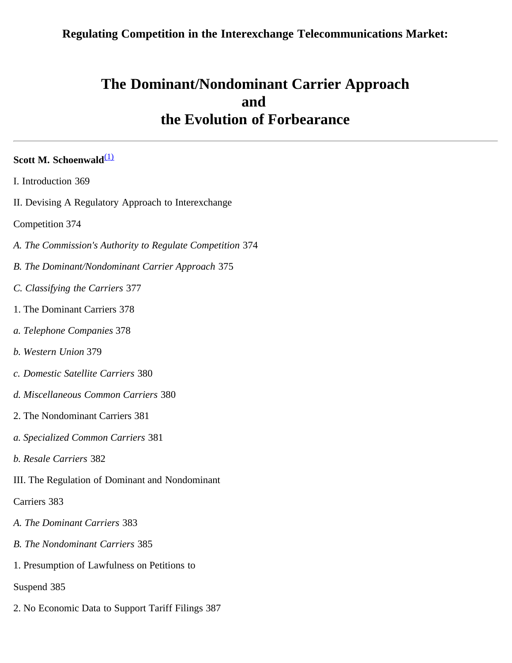# **Regulating Competition in the Interexchange Telecommunications Market:**

# **The Dominant/Nondominant Carrier Approach and the Evolution of Forbearance**

# **Scott M. Schoenwald**<sup>[\(1\)](#page-36-0)</sup>

| I. Introduction 369 |  |
|---------------------|--|
|                     |  |

II. Devising A Regulatory Approach to Interexchange

Competition 374

- *A. The Commission's Authority to Regulate Competition* 374
- *B. The Dominant/Nondominant Carrier Approach* 375
- *C. Classifying the Carriers* 377
- 1. The Dominant Carriers 378
- *a. Telephone Companies* 378
- *b. Western Union* 379
- *c. Domestic Satellite Carriers* 380
- *d. Miscellaneous Common Carriers* 380
- 2. The Nondominant Carriers 381
- *a. Specialized Common Carriers* 381
- *b. Resale Carriers* 382
- III. The Regulation of Dominant and Nondominant

Carriers 383

- *A. The Dominant Carriers* 383
- *B. The Nondominant Carriers* 385
- 1. Presumption of Lawfulness on Petitions to

Suspend 385

2. No Economic Data to Support Tariff Filings 387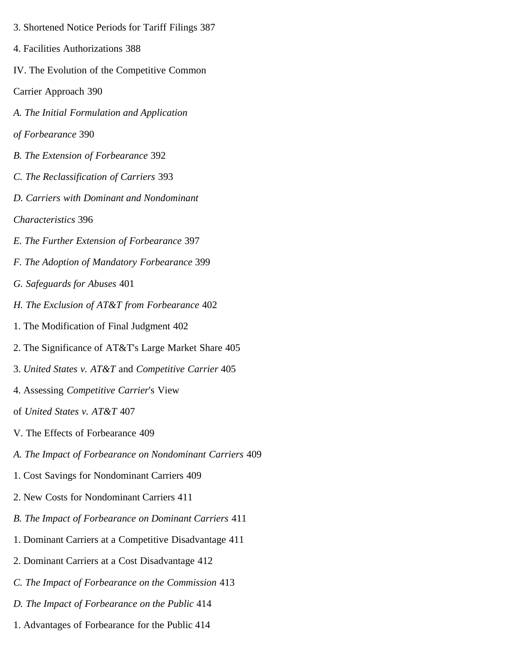- 3. Shortened Notice Periods for Tariff Filings 387
- 4. Facilities Authorizations 388
- IV. The Evolution of the Competitive Common
- Carrier Approach 390
- *A. The Initial Formulation and Application*
- *of Forbearance* 390
- *B. The Extension of Forbearance* 392
- *C. The Reclassification of Carriers* 393
- *D. Carriers with Dominant and Nondominant*
- *Characteristics* 396
- *E. The Further Extension of Forbearance* 397
- *F. The Adoption of Mandatory Forbearance* 399
- *G. Safeguards for Abuses* 401
- *H. The Exclusion of AT&T from Forbearance* 402
- 1. The Modification of Final Judgment 402
- 2. The Significance of AT&T's Large Market Share 405
- 3. *United States v. AT&T* and *Competitive Carrier* 405
- 4. Assessing *Competitive Carrier*'s View
- of *United States v. AT&T* 407
- V. The Effects of Forbearance 409
- *A. The Impact of Forbearance on Nondominant Carriers* 409
- 1. Cost Savings for Nondominant Carriers 409
- 2. New Costs for Nondominant Carriers 411
- *B. The Impact of Forbearance on Dominant Carriers* 411
- 1. Dominant Carriers at a Competitive Disadvantage 411
- 2. Dominant Carriers at a Cost Disadvantage 412
- *C. The Impact of Forbearance on the Commission* 413
- *D. The Impact of Forbearance on the Public* 414
- 1. Advantages of Forbearance for the Public 414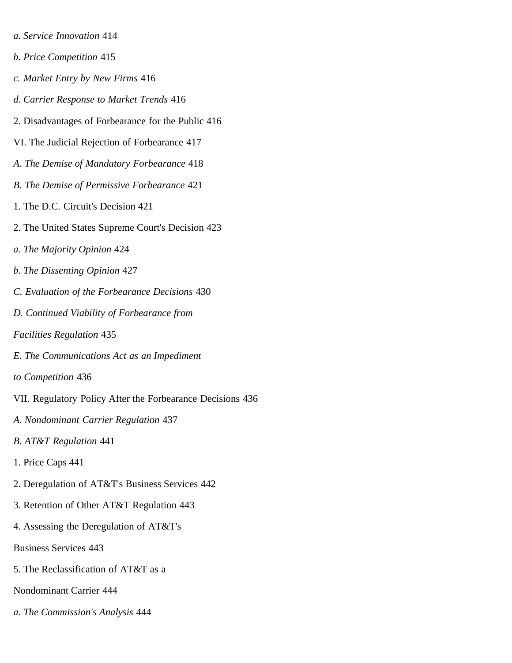- *a. Service Innovation* 414
- *b. Price Competition* 415
- *c. Market Entry by New Firms* 416
- *d. Carrier Response to Market Trends* 416
- 2. Disadvantages of Forbearance for the Public 416
- VI. The Judicial Rejection of Forbearance 417
- *A. The Demise of Mandatory Forbearance* 418
- *B. The Demise of Permissive Forbearance* 421
- 1. The D.C. Circuit's Decision 421
- 2. The United States Supreme Court's Decision 423
- *a. The Majority Opinion* 424
- *b. The Dissenting Opinion* 427
- *C. Evaluation of the Forbearance Decisions* 430
- *D. Continued Viability of Forbearance from*
- *Facilities Regulation* 435
- *E. The Communications Act as an Impediment*
- *to Competition* 436
- VII. Regulatory Policy After the Forbearance Decisions 436
- *A. Nondominant Carrier Regulation* 437
- *B. AT&T Regulation* 441
- 1. Price Caps 441
- 2. Deregulation of AT&T's Business Services 442
- 3. Retention of Other AT&T Regulation 443
- 4. Assessing the Deregulation of AT&T's
- Business Services 443
- 5. The Reclassification of AT&T as a
- Nondominant Carrier 444
- *a. The Commission's Analysis* 444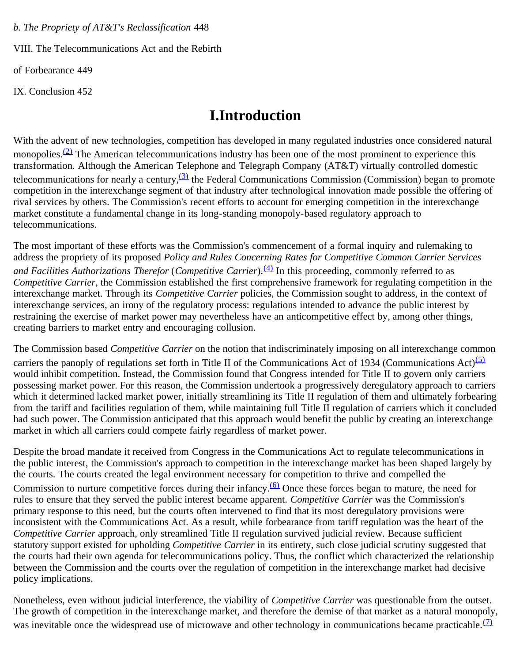*b. The Propriety of AT&T's Reclassification* 448

VIII. The Telecommunications Act and the Rebirth

of Forbearance 449

IX. Conclusion 452

# **I.Introduction**

With the advent of new technologies, competition has developed in many regulated industries once considered natural monopolies. $(2)$  The American telecommunications industry has been one of the most prominent to experience this transformation. Although the American Telephone and Telegraph Company (AT&T) virtually controlled domestic telecommunications for nearly a century,  $\frac{(3)}{2}$  $\frac{(3)}{2}$  $\frac{(3)}{2}$  the Federal Communications Commission (Commission) began to promote competition in the interexchange segment of that industry after technological innovation made possible the offering of rival services by others. The Commission's recent efforts to account for emerging competition in the interexchange market constitute a fundamental change in its long-standing monopoly-based regulatory approach to telecommunications.

The most important of these efforts was the Commission's commencement of a formal inquiry and rulemaking to address the propriety of its proposed *Policy and Rules Concerning Rates for Competitive Common Carrier Services and Facilities Authorizations Therefor* (*Competitive Carrier*).<sup>[\(4\)](#page-36-3)</sup> In this proceeding, commonly referred to as *Competitive Carrier*, the Commission established the first comprehensive framework for regulating competition in the interexchange market. Through its *Competitive Carrier* policies, the Commission sought to address, in the context of interexchange services, an irony of the regulatory process: regulations intended to advance the public interest by restraining the exercise of market power may nevertheless have an anticompetitive effect by, among other things, creating barriers to market entry and encouraging collusion.

The Commission based *Competitive Carrier* on the notion that indiscriminately imposing on all interexchange common carriers the panoply of regulations set forth in Title II of the Communications Act of 1934 (Communications Act) $(5)$ would inhibit competition. Instead, the Commission found that Congress intended for Title II to govern only carriers possessing market power. For this reason, the Commission undertook a progressively deregulatory approach to carriers which it determined lacked market power, initially streamlining its Title II regulation of them and ultimately forbearing from the tariff and facilities regulation of them, while maintaining full Title II regulation of carriers which it concluded had such power. The Commission anticipated that this approach would benefit the public by creating an interexchange market in which all carriers could compete fairly regardless of market power.

Despite the broad mandate it received from Congress in the Communications Act to regulate telecommunications in the public interest, the Commission's approach to competition in the interexchange market has been shaped largely by the courts. The courts created the legal environment necessary for competition to thrive and compelled the Commission to nurture competitive forces during their infancy.  $(6)$  Once these forces began to mature, the need for rules to ensure that they served the public interest became apparent. *Competitive Carrier* was the Commission's primary response to this need, but the courts often intervened to find that its most deregulatory provisions were inconsistent with the Communications Act. As a result, while forbearance from tariff regulation was the heart of the *Competitive Carrier* approach, only streamlined Title II regulation survived judicial review. Because sufficient statutory support existed for upholding *Competitive Carrier* in its entirety, such close judicial scrutiny suggested that the courts had their own agenda for telecommunications policy. Thus, the conflict which characterized the relationship between the Commission and the courts over the regulation of competition in the interexchange market had decisive policy implications.

Nonetheless, even without judicial interference, the viability of *Competitive Carrier* was questionable from the outset. The growth of competition in the interexchange market, and therefore the demise of that market as a natural monopoly, was inevitable once the widespread use of microwave and other technology in communications became practicable.  $(7)$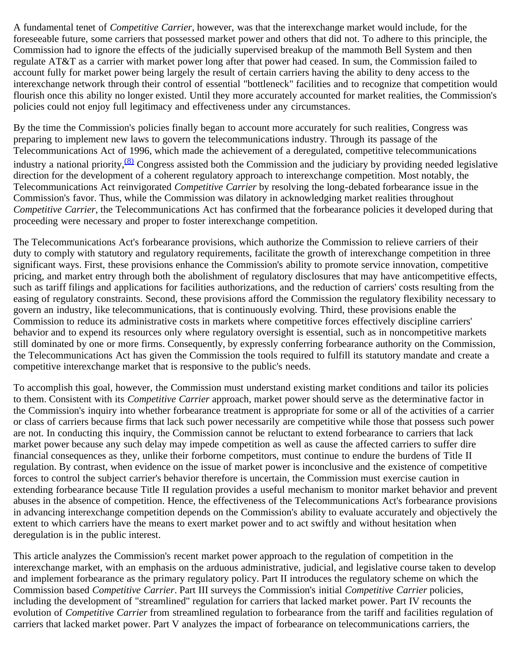A fundamental tenet of *Competitive Carrier*, however, was that the interexchange market would include, for the foreseeable future, some carriers that possessed market power and others that did not. To adhere to this principle, the Commission had to ignore the effects of the judicially supervised breakup of the mammoth Bell System and then regulate AT&T as a carrier with market power long after that power had ceased. In sum, the Commission failed to account fully for market power being largely the result of certain carriers having the ability to deny access to the interexchange network through their control of essential "bottleneck" facilities and to recognize that competition would flourish once this ability no longer existed. Until they more accurately accounted for market realities, the Commission's policies could not enjoy full legitimacy and effectiveness under any circumstances.

By the time the Commission's policies finally began to account more accurately for such realities, Congress was preparing to implement new laws to govern the telecommunications industry. Through its passage of the Telecommunications Act of 1996, which made the achievement of a deregulated, competitive telecommunications industry a national priority,  $\frac{(8)}{8}$  Congress assisted both the Commission and the judiciary by providing needed legislative direction for the development of a coherent regulatory approach to interexchange competition. Most notably, the Telecommunications Act reinvigorated *Competitive Carrier* by resolving the long-debated forbearance issue in the Commission's favor. Thus, while the Commission was dilatory in acknowledging market realities throughout *Competitive Carrier*, the Telecommunications Act has confirmed that the forbearance policies it developed during that proceeding were necessary and proper to foster interexchange competition.

The Telecommunications Act's forbearance provisions, which authorize the Commission to relieve carriers of their duty to comply with statutory and regulatory requirements, facilitate the growth of interexchange competition in three significant ways. First, these provisions enhance the Commission's ability to promote service innovation, competitive pricing, and market entry through both the abolishment of regulatory disclosures that may have anticompetitive effects, such as tariff filings and applications for facilities authorizations, and the reduction of carriers' costs resulting from the easing of regulatory constraints. Second, these provisions afford the Commission the regulatory flexibility necessary to govern an industry, like telecommunications, that is continuously evolving. Third, these provisions enable the Commission to reduce its administrative costs in markets where competitive forces effectively discipline carriers' behavior and to expend its resources only where regulatory oversight is essential, such as in noncompetitive markets still dominated by one or more firms. Consequently, by expressly conferring forbearance authority on the Commission, the Telecommunications Act has given the Commission the tools required to fulfill its statutory mandate and create a competitive interexchange market that is responsive to the public's needs.

To accomplish this goal, however, the Commission must understand existing market conditions and tailor its policies to them. Consistent with its *Competitive Carrier* approach, market power should serve as the determinative factor in the Commission's inquiry into whether forbearance treatment is appropriate for some or all of the activities of a carrier or class of carriers because firms that lack such power necessarily are competitive while those that possess such power are not. In conducting this inquiry, the Commission cannot be reluctant to extend forbearance to carriers that lack market power because any such delay may impede competition as well as cause the affected carriers to suffer dire financial consequences as they, unlike their forborne competitors, must continue to endure the burdens of Title II regulation. By contrast, when evidence on the issue of market power is inconclusive and the existence of competitive forces to control the subject carrier's behavior therefore is uncertain, the Commission must exercise caution in extending forbearance because Title II regulation provides a useful mechanism to monitor market behavior and prevent abuses in the absence of competition. Hence, the effectiveness of the Telecommunications Act's forbearance provisions in advancing interexchange competition depends on the Commission's ability to evaluate accurately and objectively the extent to which carriers have the means to exert market power and to act swiftly and without hesitation when deregulation is in the public interest.

This article analyzes the Commission's recent market power approach to the regulation of competition in the interexchange market, with an emphasis on the arduous administrative, judicial, and legislative course taken to develop and implement forbearance as the primary regulatory policy. Part II introduces the regulatory scheme on which the Commission based *Competitive Carrier*. Part III surveys the Commission's initial *Competitive Carrier* policies, including the development of "streamlined" regulation for carriers that lacked market power. Part IV recounts the evolution of *Competitive Carrier* from streamlined regulation to forbearance from the tariff and facilities regulation of carriers that lacked market power. Part V analyzes the impact of forbearance on telecommunications carriers, the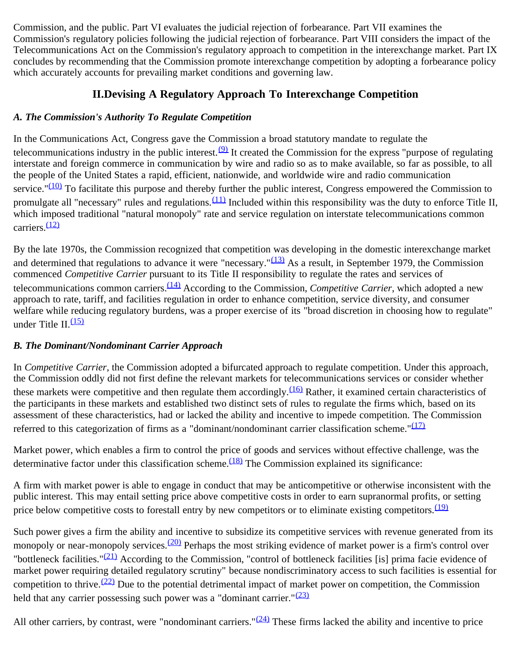Commission, and the public. Part VI evaluates the judicial rejection of forbearance. Part VII examines the Commission's regulatory policies following the judicial rejection of forbearance. Part VIII considers the impact of the Telecommunications Act on the Commission's regulatory approach to competition in the interexchange market. Part IX concludes by recommending that the Commission promote interexchange competition by adopting a forbearance policy which accurately accounts for prevailing market conditions and governing law.

# **II.Devising A Regulatory Approach To Interexchange Competition**

# *A. The Commission's Authority To Regulate Competition*

In the Communications Act, Congress gave the Commission a broad statutory mandate to regulate the telecommunications industry in the public interest.  $\mathcal{Q}$  It created the Commission for the express "purpose of regulating interstate and foreign commerce in communication by wire and radio so as to make available, so far as possible, to all the people of the United States a rapid, efficient, nationwide, and worldwide wire and radio communication service." $(10)$  To facilitate this purpose and thereby further the public interest, Congress empowered the Commission to promulgate all "necessary" rules and regulations. $(11)$  Included within this responsibility was the duty to enforce Title II, which imposed traditional "natural monopoly" rate and service regulation on interstate telecommunications common carriers<sup>[\(12\)](#page-37-5)</sup>

By the late 1970s, the Commission recognized that competition was developing in the domestic interexchange market and determined that regulations to advance it were "necessary." $(13)$  As a result, in September 1979, the Commission commenced *Competitive Carrier* pursuant to its Title II responsibility to regulate the rates and services of telecommunications common carriers.[\(14\)](#page-37-7) According to the Commission, *Competitive Carrier*, which adopted a new approach to rate, tariff, and facilities regulation in order to enhance competition, service diversity, and consumer welfare while reducing regulatory burdens, was a proper exercise of its "broad discretion in choosing how to regulate" under Title II.<sup>[\(15\)](#page-37-8)</sup>

# *B. The Dominant/Nondominant Carrier Approach*

In *Competitive Carrier*, the Commission adopted a bifurcated approach to regulate competition. Under this approach, the Commission oddly did not first define the relevant markets for telecommunications services or consider whether these markets were competitive and then regulate them accordingly. $(16)$  Rather, it examined certain characteristics of the participants in these markets and established two distinct sets of rules to regulate the firms which, based on its assessment of these characteristics, had or lacked the ability and incentive to impede competition. The Commission referred to this categorization of firms as a "dominant/nondominant carrier classification scheme."<sup>[\(17\)](#page-37-10)</sup>

Market power, which enables a firm to control the price of goods and services without effective challenge, was the determinative factor under this classification scheme. $\frac{(18)}{18}$  The Commission explained its significance:

A firm with market power is able to engage in conduct that may be anticompetitive or otherwise inconsistent with the public interest. This may entail setting price above competitive costs in order to earn supranormal profits, or setting price below competitive costs to forestall entry by new competitors or to eliminate existing competitors.<sup>[\(19\)](#page-37-12)</sup>

Such power gives a firm the ability and incentive to subsidize its competitive services with revenue generated from its monopoly or near-monopoly services.<sup>(20)</sup> Perhaps the most striking evidence of market power is a firm's control over "bottleneck facilities."<sup>(21)</sup> According to the Commission, "control of bottleneck facilities [is] prima facie evidence of market power requiring detailed regulatory scrutiny" because nondiscriminatory access to such facilities is essential for competition to thrive.<sup> $(22)$ </sup> Due to the potential detrimental impact of market power on competition, the Commission held that any carrier possessing such power was a "dominant carrier." $(23)$ 

All other carriers, by contrast, were "nondominant carriers." $(24)$  These firms lacked the ability and incentive to price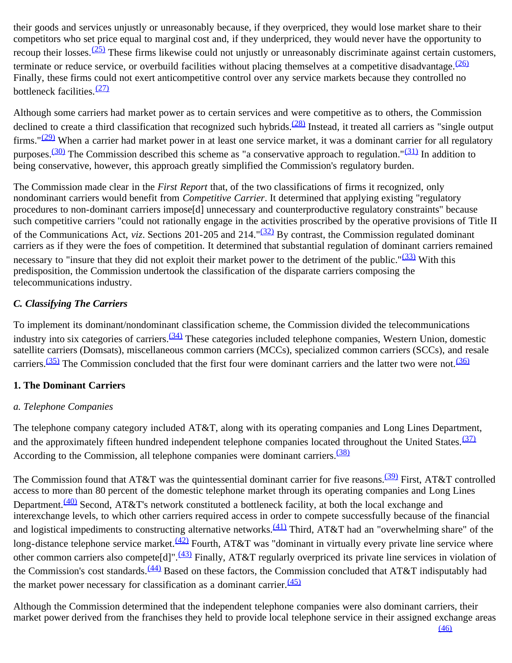their goods and services unjustly or unreasonably because, if they overpriced, they would lose market share to their competitors who set price equal to marginal cost and, if they underpriced, they would never have the opportunity to recoup their losses.  $(25)$  These firms likewise could not unjustly or unreasonably discriminate against certain customers, terminate or reduce service, or overbuild facilities without placing themselves at a competitive disadvantage.  $(26)$ Finally, these firms could not exert anticompetitive control over any service markets because they controlled no bottleneck facilities.<sup>[\(27\)](#page-38-7)</sup>

Although some carriers had market power as to certain services and were competitive as to others, the Commission declined to create a third classification that recognized such hybrids.<sup>(28)</sup> Instead, it treated all carriers as "single output firms." $(29)$  When a carrier had market power in at least one service market, it was a dominant carrier for all regulatory purposes.<sup>(30)</sup> The Commission described this scheme as "a conservative approach to regulation."<sup>(31)</sup> In addition to being conservative, however, this approach greatly simplified the Commission's regulatory burden.

The Commission made clear in the *First Report* that, of the two classifications of firms it recognized, only nondominant carriers would benefit from *Competitive Carrier*. It determined that applying existing "regulatory procedures to non-dominant carriers impose[d] unnecessary and counterproductive regulatory constraints" because such competitive carriers "could not rationally engage in the activities proscribed by the operative provisions of Title II of the Communications Act, *viz*. Sections 201-205 and 214."[\(32\)](#page-38-12) By contrast, the Commission regulated dominant carriers as if they were the foes of competition. It determined that substantial regulation of dominant carriers remained necessary to "insure that they did not exploit their market power to the detriment of the public." $(33)$  With this predisposition, the Commission undertook the classification of the disparate carriers composing the telecommunications industry.

# *C. Classifying The Carriers*

To implement its dominant/nondominant classification scheme, the Commission divided the telecommunications industry into six categories of carriers.<sup>(34)</sup> These categories included telephone companies, Western Union, domestic satellite carriers (Domsats), miscellaneous common carriers (MCCs), specialized common carriers (SCCs), and resale carriers.<sup>(35)</sup> The Commission concluded that the first four were dominant carriers and the latter two were not.<sup>[\(36\)](#page-38-16)</sup>

# **1. The Dominant Carriers**

# *a. Telephone Companies*

The telephone company category included AT&T, along with its operating companies and Long Lines Department, and the approximately fifteen hundred independent telephone companies located throughout the United States.<sup>[\(37\)](#page-38-17)</sup> According to the Commission, all telephone companies were dominant carriers.<sup>[\(38\)](#page-38-18)</sup>

The Commission found that AT&T was the quintessential dominant carrier for five reasons.<sup>(39)</sup> First, AT&T controlled access to more than 80 percent of the domestic telephone market through its operating companies and Long Lines Department.<sup>(40)</sup> Second, AT&T's network constituted a bottleneck facility, at both the local exchange and interexchange levels, to which other carriers required access in order to compete successfully because of the financial and logistical impediments to constructing alternative networks.<sup>(41)</sup> Third, AT&T had an "overwhelming share" of the long-distance telephone service market.<sup>(42)</sup> Fourth, AT&T was "dominant in virtually every private line service where other common carriers also compete<sup>[d]".</sub><sup>(43)</sup> Finally, AT&T regularly overpriced its private line services in violation of</sup> the Commission's cost standards.<sup>(44)</sup> Based on these factors, the Commission concluded that AT&T indisputably had the market power necessary for classification as a dominant carrier. $\frac{(45)}{2}$  $\frac{(45)}{2}$  $\frac{(45)}{2}$ 

Although the Commission determined that the independent telephone companies were also dominant carriers, their market power derived from the franchises they held to provide local telephone service in their assigned exchange areas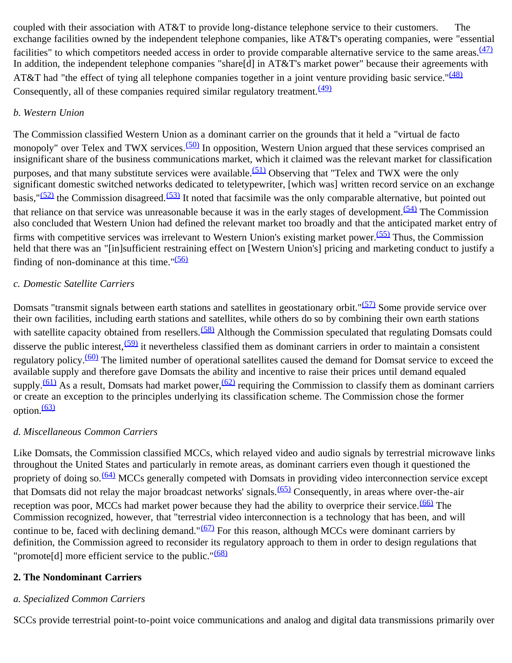coupled with their association with AT&T to provide long-distance telephone service to their customers. The exchange facilities owned by the independent telephone companies, like AT&T's operating companies, were "essential facilities" to which competitors needed access in order to provide comparable alternative service to the same areas.<sup>[\(47\)](#page-39-4)</sup> In addition, the independent telephone companies "share[d] in AT&T's market power" because their agreements with AT&T had "the effect of tying all telephone companies together in a joint venture providing basic service."<sup>[\(48\)](#page-39-5)</sup> Consequently, all of these companies required similar regulatory treatment.  $(49)$ 

#### *b. Western Union*

The Commission classified Western Union as a dominant carrier on the grounds that it held a "virtual de facto monopoly" over Telex and TWX services.<sup>(50)</sup> In opposition, Western Union argued that these services comprised an insignificant share of the business communications market, which it claimed was the relevant market for classification purposes, and that many substitute services were available.<sup> $(51)$ </sup> Observing that "Telex and TWX were the only significant domestic switched networks dedicated to teletypewriter, [which was] written record service on an exchange basis," $(52)$  the Commission disagreed.<sup>(53)</sup> It noted that facsimile was the only comparable alternative, but pointed out that reliance on that service was unreasonable because it was in the early stages of development.  $(54)$  The Commission also concluded that Western Union had defined the relevant market too broadly and that the anticipated market entry of firms with competitive services was irrelevant to Western Union's existing market power.<sup>(55)</sup> Thus, the Commission held that there was an "[in]sufficient restraining effect on [Western Union's] pricing and marketing conduct to justify a finding of non-dominance at this time." $(56)$ 

#### *c. Domestic Satellite Carriers*

Domsats "transmit signals between earth stations and satellites in geostationary orbit."<sup>(57)</sup> Some provide service over their own facilities, including earth stations and satellites, while others do so by combining their own earth stations with satellite capacity obtained from resellers.<sup>(58)</sup> Although the Commission speculated that regulating Domsats could disserve the public interest,  $(59)$  it nevertheless classified them as dominant carriers in order to maintain a consistent regulatory policy.[\(60\)](#page-39-17) The limited number of operational satellites caused the demand for Domsat service to exceed the available supply and therefore gave Domsats the ability and incentive to raise their prices until demand equaled supply.<sup>(61)</sup> As a result, Domsats had market power,<sup>(62)</sup> requiring the Commission to classify them as dominant carriers or create an exception to the principles underlying its classification scheme. The Commission chose the former option. $\frac{(63)}{2}$  $\frac{(63)}{2}$  $\frac{(63)}{2}$ 

#### *d. Miscellaneous Common Carriers*

Like Domsats, the Commission classified MCCs, which relayed video and audio signals by terrestrial microwave links throughout the United States and particularly in remote areas, as dominant carriers even though it questioned the propriety of doing so.<sup>(64)</sup> MCCs generally competed with Domsats in providing video interconnection service except that Domsats did not relay the major broadcast networks' signals.<sup>(65)</sup> Consequently, in areas where over-the-air reception was poor, MCCs had market power because they had the ability to overprice their service.<sup>(66)</sup> The Commission recognized, however, that "terrestrial video interconnection is a technology that has been, and will continue to be, faced with declining demand." $(67)$  For this reason, although MCCs were dominant carriers by definition, the Commission agreed to reconsider its regulatory approach to them in order to design regulations that "promote[d] more efficient service to the public." $(68)$ 

#### **2. The Nondominant Carriers**

#### *a. Specialized Common Carriers*

SCCs provide terrestrial point-to-point voice communications and analog and digital data transmissions primarily over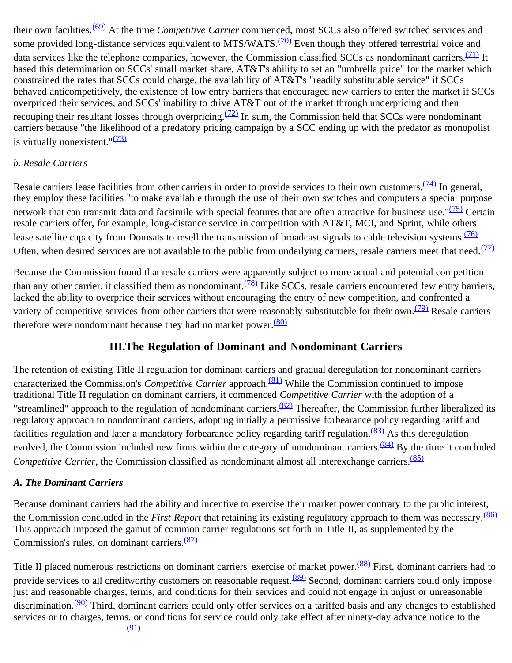their own facilities.[\(69\)](#page-40-3) At the time *Competitive Carrier* commenced, most SCCs also offered switched services and some provided long-distance services equivalent to MTS/WATS.<sup>(70)</sup> Even though they offered terrestrial voice and data services like the telephone companies, however, the Commission classified SCCs as nondominant carriers.<sup>(71)</sup> It based this determination on SCCs' small market share, AT&T's ability to set an "umbrella price" for the market which constrained the rates that SCCs could charge, the availability of AT&T's "readily substitutable service" if SCCs behaved anticompetitively, the existence of low entry barriers that encouraged new carriers to enter the market if SCCs overpriced their services, and SCCs' inability to drive AT&T out of the market through underpricing and then recouping their resultant losses through overpricing.<sup> $(72)$ </sup> In sum, the Commission held that SCCs were nondominant carriers because "the likelihood of a predatory pricing campaign by a SCC ending up with the predator as monopolist is virtually nonexistent." $\frac{(73)}{2}$  $\frac{(73)}{2}$  $\frac{(73)}{2}$ 

#### *b. Resale Carriers*

Resale carriers lease facilities from other carriers in order to provide services to their own customers.<sup> $(74)$ </sup> In general, they employ these facilities "to make available through the use of their own switches and computers a special purpose network that can transmit data and facsimile with special features that are often attractive for business use." $(75)$  Certain resale carriers offer, for example, long-distance service in competition with AT&T, MCI, and Sprint, while others lease satellite capacity from Domsats to resell the transmission of broadcast signals to cable television systems.<sup>[\(76\)](#page-40-10)</sup> Often, when desired services are not available to the public from underlying carriers, resale carriers meet that need. $\frac{(77)}{2}$  $\frac{(77)}{2}$  $\frac{(77)}{2}$ 

Because the Commission found that resale carriers were apparently subject to more actual and potential competition than any other carrier, it classified them as nondominant.  $(78)$  Like SCCs, resale carriers encountered few entry barriers, lacked the ability to overprice their services without encouraging the entry of new competition, and confronted a variety of competitive services from other carriers that were reasonably substitutable for their own.<sup>(79)</sup> Resale carriers therefore were nondominant because they had no market power. $(80)$ 

# **III.The Regulation of Dominant and Nondominant Carriers**

The retention of existing Title II regulation for dominant carriers and gradual deregulation for nondominant carriers characterized the Commission's *Competitive Carrier* approach.<sup>(81)</sup> While the Commission continued to impose traditional Title II regulation on dominant carriers, it commenced *Competitive Carrier* with the adoption of a "streamlined" approach to the regulation of nondominant carriers. $(82)$  Thereafter, the Commission further liberalized its regulatory approach to nondominant carriers, adopting initially a permissive forbearance policy regarding tariff and facilities regulation and later a mandatory forbearance policy regarding tariff regulation.<sup>(83)</sup> As this deregulation evolved, the Commission included new firms within the category of nondominant carriers.<sup>(84)</sup> By the time it concluded *Competitive Carrier*, the Commission classified as nondominant almost all interexchange carriers.<sup>[\(85\)](#page-40-19)</sup>

#### *A. The Dominant Carriers*

Because dominant carriers had the ability and incentive to exercise their market power contrary to the public interest, the Commission concluded in the *First Report* that retaining its existing regulatory approach to them was necessary.<sup>[\(86\)](#page-40-20)</sup> This approach imposed the gamut of common carrier regulations set forth in Title II, as supplemented by the Commission's rules, on dominant carriers.<sup>[\(87\)](#page-41-0)</sup>

Title II placed numerous restrictions on dominant carriers' exercise of market power.<sup>(88)</sup> First, dominant carriers had to provide services to all creditworthy customers on reasonable request.<sup>(89)</sup> Second, dominant carriers could only impose just and reasonable charges, terms, and conditions for their services and could not engage in unjust or unreasonable discrimination.<sup>(90)</sup> Third, dominant carriers could only offer services on a tariffed basis and any changes to established services or to charges, terms, or conditions for service could only take effect after ninety-day advance notice to the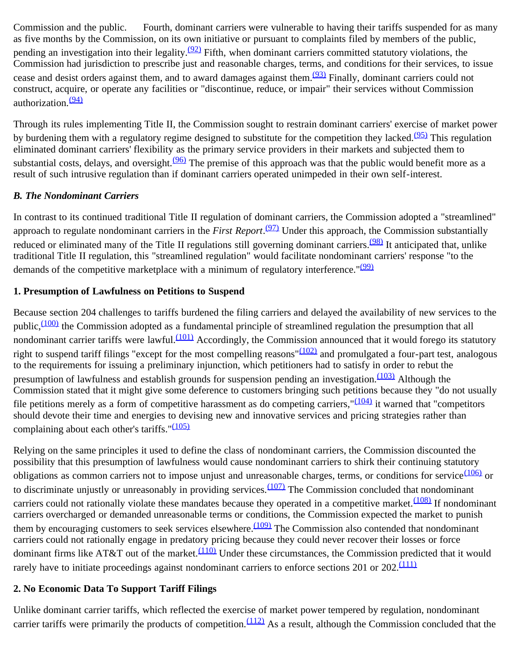Commission and the public. Fourth, dominant carriers were vulnerable to having their tariffs suspended for as many as five months by the Commission, on its own initiative or pursuant to complaints filed by members of the public, pending an investigation into their legality. $(92)$  Fifth, when dominant carriers committed statutory violations, the Commission had jurisdiction to prescribe just and reasonable charges, terms, and conditions for their services, to issue cease and desist orders against them, and to award damages against them.<sup>(93)</sup> Finally, dominant carriers could not construct, acquire, or operate any facilities or "discontinue, reduce, or impair" their services without Commission authorization.<sup>[\(94\)](#page-41-7)</sup>

Through its rules implementing Title II, the Commission sought to restrain dominant carriers' exercise of market power by burdening them with a regulatory regime designed to substitute for the competition they lacked.<sup>(95)</sup> This regulation eliminated dominant carriers' flexibility as the primary service providers in their markets and subjected them to substantial costs, delays, and oversight.<sup>(96)</sup> The premise of this approach was that the public would benefit more as a result of such intrusive regulation than if dominant carriers operated unimpeded in their own self-interest.

#### *B. The Nondominant Carriers*

In contrast to its continued traditional Title II regulation of dominant carriers, the Commission adopted a "streamlined" approach to regulate nondominant carriers in the *First Report*.<sup>(97)</sup> Under this approach, the Commission substantially reduced or eliminated many of the Title II regulations still governing dominant carriers.<sup>(98)</sup> It anticipated that, unlike traditional Title II regulation, this "streamlined regulation" would facilitate nondominant carriers' response "to the demands of the competitive marketplace with a minimum of regulatory interference." $(99)$ 

## **1. Presumption of Lawfulness on Petitions to Suspend**

Because section 204 challenges to tariffs burdened the filing carriers and delayed the availability of new services to the public,<sup>(100)</sup> the Commission adopted as a fundamental principle of streamlined regulation the presumption that all nondominant carrier tariffs were lawful.<sup>[\(101\)](#page-41-14)</sup> Accordingly, the Commission announced that it would forego its statutory right to suspend tariff filings "except for the most compelling reasons" $(102)$  and promulgated a four-part test, analogous to the requirements for issuing a preliminary injunction, which petitioners had to satisfy in order to rebut the presumption of lawfulness and establish grounds for suspension pending an investigation.  $(103)$  Although the Commission stated that it might give some deference to customers bringing such petitions because they "do not usually file petitions merely as a form of competitive harassment as do competing carriers," $(104)$  it warned that "competitors" should devote their time and energies to devising new and innovative services and pricing strategies rather than complaining about each other's tariffs.  $\frac{(105)}{2}$  $\frac{(105)}{2}$  $\frac{(105)}{2}$ 

Relying on the same principles it used to define the class of nondominant carriers, the Commission discounted the possibility that this presumption of lawfulness would cause nondominant carriers to shirk their continuing statutory obligations as common carriers not to impose unjust and unreasonable charges, terms, or conditions for service  $(106)$  or to discriminate unjustly or unreasonably in providing services.<sup>(107)</sup> The Commission concluded that nondominant carriers could not rationally violate these mandates because they operated in a competitive market.<sup>(108)</sup> If nondominant carriers overcharged or demanded unreasonable terms or conditions, the Commission expected the market to punish them by encouraging customers to seek services elsewhere. $(109)$  The Commission also contended that nondominant carriers could not rationally engage in predatory pricing because they could never recover their losses or force dominant firms like AT&T out of the market.<sup>[\(110\)](#page-42-6)</sup> Under these circumstances, the Commission predicted that it would rarely have to initiate proceedings against nondominant carriers to enforce sections 201 or 202.<sup>[\(111\)](#page-42-7)</sup>

# **2. No Economic Data To Support Tariff Filings**

Unlike dominant carrier tariffs, which reflected the exercise of market power tempered by regulation, nondominant carrier tariffs were primarily the products of competition. $(112)$  As a result, although the Commission concluded that the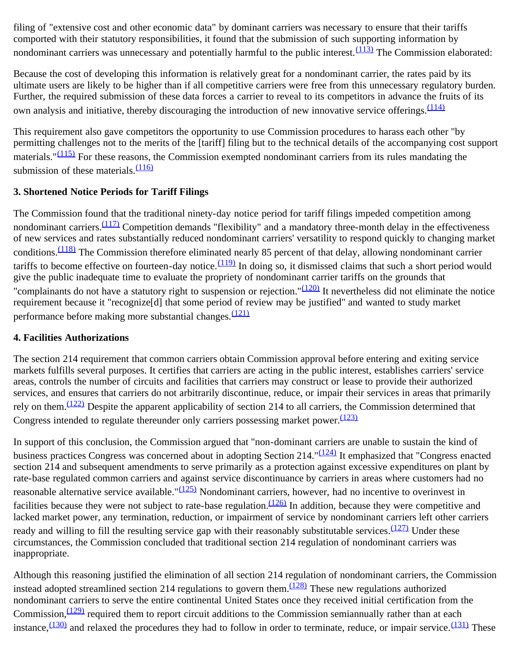filing of "extensive cost and other economic data" by dominant carriers was necessary to ensure that their tariffs comported with their statutory responsibilities, it found that the submission of such supporting information by nondominant carriers was unnecessary and potentially harmful to the public interest.  $(113)$  The Commission elaborated:

Because the cost of developing this information is relatively great for a nondominant carrier, the rates paid by its ultimate users are likely to be higher than if all competitive carriers were free from this unnecessary regulatory burden. Further, the required submission of these data forces a carrier to reveal to its competitors in advance the fruits of its own analysis and initiative, thereby discouraging the introduction of new innovative service offerings.  $\frac{(114)}{2}$  $\frac{(114)}{2}$  $\frac{(114)}{2}$ 

This requirement also gave competitors the opportunity to use Commission procedures to harass each other "by permitting challenges not to the merits of the [tariff] filing but to the technical details of the accompanying cost support materials." $(115)$  For these reasons, the Commission exempted nondominant carriers from its rules mandating the submission of these materials. $\frac{(116)}{1}$  $\frac{(116)}{1}$  $\frac{(116)}{1}$ 

#### **3. Shortened Notice Periods for Tariff Filings**

The Commission found that the traditional ninety-day notice period for tariff filings impeded competition among nondominant carriers.<sup>(117)</sup> Competition demands "flexibility" and a mandatory three-month delay in the effectiveness of new services and rates substantially reduced nondominant carriers' versatility to respond quickly to changing market conditions.<sup>[\(118\)](#page-42-14)</sup> The Commission therefore eliminated nearly 85 percent of that delay, allowing nondominant carrier tariffs to become effective on fourteen-day notice.  $(119)$  In doing so, it dismissed claims that such a short period would give the public inadequate time to evaluate the propriety of nondominant carrier tariffs on the grounds that "complainants do not have a statutory right to suspension or rejection." $(120)$  It nevertheless did not eliminate the notice requirement because it "recognize[d] that some period of review may be justified" and wanted to study market performance before making more substantial changes.  $\frac{(121)}{2}$  $\frac{(121)}{2}$  $\frac{(121)}{2}$ 

#### **4. Facilities Authorizations**

The section 214 requirement that common carriers obtain Commission approval before entering and exiting service markets fulfills several purposes. It certifies that carriers are acting in the public interest, establishes carriers' service areas, controls the number of circuits and facilities that carriers may construct or lease to provide their authorized services, and ensures that carriers do not arbitrarily discontinue, reduce, or impair their services in areas that primarily rely on them.<sup>(122)</sup> Despite the apparent applicability of section 214 to all carriers, the Commission determined that Congress intended to regulate thereunder only carriers possessing market power.  $(123)$ 

In support of this conclusion, the Commission argued that "non-dominant carriers are unable to sustain the kind of business practices Congress was concerned about in adopting Section 214."<sup>[\(124\)](#page-42-20)</sup> It emphasized that "Congress enacted section 214 and subsequent amendments to serve primarily as a protection against excessive expenditures on plant by rate-base regulated common carriers and against service discontinuance by carriers in areas where customers had no reasonable alternative service available."<sup>(125)</sup> Nondominant carriers, however, had no incentive to overinvest in facilities because they were not subject to rate-base regulation. $(126)$  In addition, because they were competitive and lacked market power, any termination, reduction, or impairment of service by nondominant carriers left other carriers ready and willing to fill the resulting service gap with their reasonably substitutable services.  $(127)$  Under these circumstances, the Commission concluded that traditional section 214 regulation of nondominant carriers was inappropriate.

Although this reasoning justified the elimination of all section 214 regulation of nondominant carriers, the Commission instead adopted streamlined section 214 regulations to govern them. $\frac{(128)}{128}$  These new regulations authorized nondominant carriers to serve the entire continental United States once they received initial certification from the Commission, $\frac{(129)}{2}$  required them to report circuit additions to the Commission semiannually rather than at each instance,  $\frac{(130)}{131}$  and relaxed the procedures they had to follow in order to terminate, reduce, or impair service.  $\frac{(131)}{131}$  These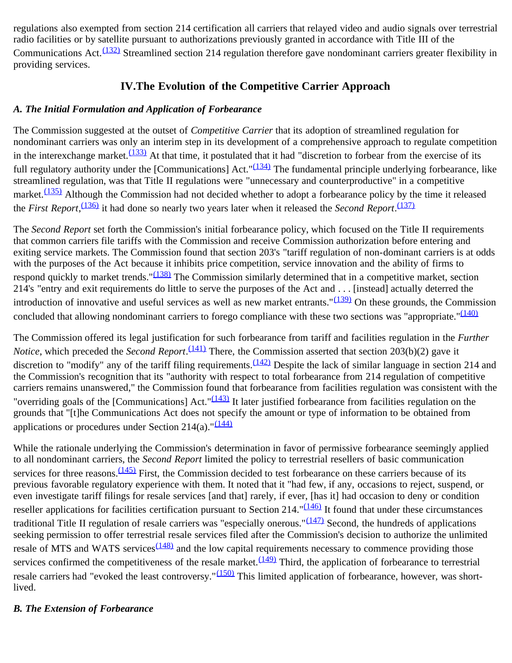regulations also exempted from section 214 certification all carriers that relayed video and audio signals over terrestrial radio facilities or by satellite pursuant to authorizations previously granted in accordance with Title III of the Communications Act.<sup>(132)</sup> Streamlined section 214 regulation therefore gave nondominant carriers greater flexibility in providing services.

# **IV.The Evolution of the Competitive Carrier Approach**

### *A. The Initial Formulation and Application of Forbearance*

The Commission suggested at the outset of *Competitive Carrier* that its adoption of streamlined regulation for nondominant carriers was only an interim step in its development of a comprehensive approach to regulate competition in the interexchange market. $(133)$  At that time, it postulated that it had "discretion to forbear from the exercise of its full regulatory authority under the [Communications] Act.<sup>"(134)</sup> The fundamental principle underlying forbearance, like streamlined regulation, was that Title II regulations were "unnecessary and counterproductive" in a competitive market. $\frac{(135)}{2}$  Although the Commission had not decided whether to adopt a forbearance policy by the time it released the *First Report*, [\(136\)](#page-43-9) it had done so nearly two years later when it released the *Second Report*. [\(137\)](#page-43-10)

The *Second Report* set forth the Commission's initial forbearance policy, which focused on the Title II requirements that common carriers file tariffs with the Commission and receive Commission authorization before entering and exiting service markets. The Commission found that section 203's "tariff regulation of non-dominant carriers is at odds with the purposes of the Act because it inhibits price competition, service innovation and the ability of firms to respond quickly to market trends."<sup>[\(138\)](#page-43-11)</sup> The Commission similarly determined that in a competitive market, section 214's "entry and exit requirements do little to serve the purposes of the Act and . . . [instead] actually deterred the introduction of innovative and useful services as well as new market entrants." $(139)$  On these grounds, the Commission concluded that allowing nondominant carriers to forego compliance with these two sections was "appropriate." $(140)$ 

The Commission offered its legal justification for such forbearance from tariff and facilities regulation in the *Further Notice*, which preceded the *Second Report*.<sup>[\(141\)](#page-44-1)</sup> There, the Commission asserted that section 203(b)(2) gave it discretion to "modify" any of the tariff filing requirements.  $(142)$  Despite the lack of similar language in section 214 and the Commission's recognition that its "authority with respect to total forbearance from 214 regulation of competitive carriers remains unanswered," the Commission found that forbearance from facilities regulation was consistent with the "overriding goals of the [Communications] Act." $(143)$  It later justified forbearance from facilities regulation on the grounds that "[t]he Communications Act does not specify the amount or type of information to be obtained from applications or procedures under Section 214(a)." $\frac{(144)}{2}$  $\frac{(144)}{2}$  $\frac{(144)}{2}$ 

While the rationale underlying the Commission's determination in favor of permissive forbearance seemingly applied to all nondominant carriers, the *Second Report* limited the policy to terrestrial resellers of basic communication services for three reasons.  $(145)$  First, the Commission decided to test forbearance on these carriers because of its previous favorable regulatory experience with them. It noted that it "had few, if any, occasions to reject, suspend, or even investigate tariff filings for resale services [and that] rarely, if ever, [has it] had occasion to deny or condition reseller applications for facilities certification pursuant to Section 214." $(146)$  It found that under these circumstances traditional Title II regulation of resale carriers was "especially onerous." $(147)$  Second, the hundreds of applications seeking permission to offer terrestrial resale services filed after the Commission's decision to authorize the unlimited resale of MTS and WATS services<sup>[\(148\)](#page-44-8)</sup> and the low capital requirements necessary to commence providing those services confirmed the competitiveness of the resale market.  $(149)$  Third, the application of forbearance to terrestrial resale carriers had "evoked the least controversy."<sup>(150)</sup> This limited application of forbearance, however, was shortlived.

#### *B. The Extension of Forbearance*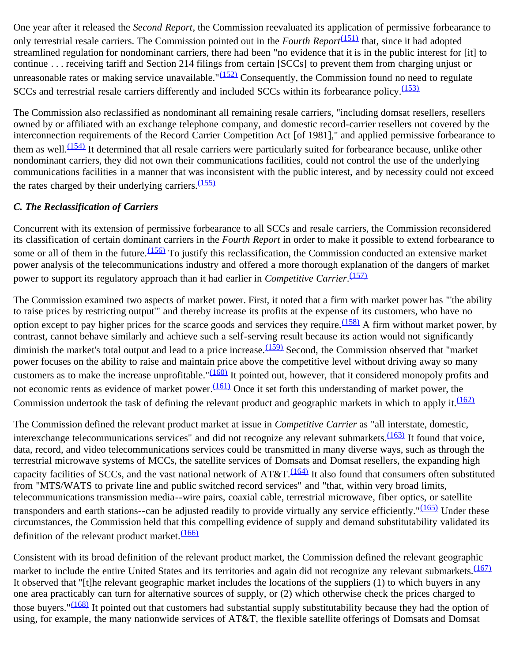One year after it released the *Second Report*, the Commission reevaluated its application of permissive forbearance to only terrestrial resale carriers. The Commission pointed out in the *Fourth Report*[\(151\)](#page-44-11) that, since it had adopted streamlined regulation for nondominant carriers, there had been "no evidence that it is in the public interest for [it] to continue . . . receiving tariff and Section 214 filings from certain [SCCs] to prevent them from charging unjust or unreasonable rates or making service unavailable." $(152)$  Consequently, the Commission found no need to regulate SCCs and terrestrial resale carriers differently and included SCCs within its forbearance policy.<sup>[\(153\)](#page-44-13)</sup>

The Commission also reclassified as nondominant all remaining resale carriers, "including domsat resellers, resellers owned by or affiliated with an exchange telephone company, and domestic record-carrier resellers not covered by the interconnection requirements of the Record Carrier Competition Act [of 1981]," and applied permissive forbearance to them as well.<sup>(154)</sup> It determined that all resale carriers were particularly suited for forbearance because, unlike other nondominant carriers, they did not own their communications facilities, could not control the use of the underlying communications facilities in a manner that was inconsistent with the public interest, and by necessity could not exceed the rates charged by their underlying carriers.  $(155)$ 

## *C. The Reclassification of Carriers*

Concurrent with its extension of permissive forbearance to all SCCs and resale carriers, the Commission reconsidered its classification of certain dominant carriers in the *Fourth Report* in order to make it possible to extend forbearance to some or all of them in the future.  $(156)$  To justify this reclassification, the Commission conducted an extensive market power analysis of the telecommunications industry and offered a more thorough explanation of the dangers of market power to support its regulatory approach than it had earlier in *Competitive Carrier*. [\(157\)](#page-45-2)

The Commission examined two aspects of market power. First, it noted that a firm with market power has "'the ability to raise prices by restricting output'" and thereby increase its profits at the expense of its customers, who have no option except to pay higher prices for the scarce goods and services they require.<sup>(158)</sup> A firm without market power, by contrast, cannot behave similarly and achieve such a self-serving result because its action would not significantly diminish the market's total output and lead to a price increase.  $(159)$  Second, the Commission observed that "market" power focuses on the ability to raise and maintain price above the competitive level without driving away so many customers as to make the increase unprofitable." $(160)$  It pointed out, however, that it considered monopoly profits and not economic rents as evidence of market power.<sup>(161)</sup> Once it set forth this understanding of market power, the Commission undertook the task of defining the relevant product and geographic markets in which to apply it.  $(162)$ 

The Commission defined the relevant product market at issue in *Competitive Carrier* as "all interstate, domestic, interexchange telecommunications services" and did not recognize any relevant submarkets. $(163)$  It found that voice, data, record, and video telecommunications services could be transmitted in many diverse ways, such as through the terrestrial microwave systems of MCCs, the satellite services of Domsats and Domsat resellers, the expanding high capacity facilities of SCCs, and the vast national network of  $AT&T.\frac{(164)}{1}$  It also found that consumers often substituted from "MTS/WATS to private line and public switched record services" and "that, within very broad limits, telecommunications transmission media--wire pairs, coaxial cable, terrestrial microwave, fiber optics, or satellite transponders and earth stations--can be adjusted readily to provide virtually any service efficiently." $(165)$  Under these circumstances, the Commission held that this compelling evidence of supply and demand substitutability validated its definition of the relevant product market.  $\frac{(166)}{2}$  $\frac{(166)}{2}$  $\frac{(166)}{2}$ 

Consistent with its broad definition of the relevant product market, the Commission defined the relevant geographic market to include the entire United States and its territories and again did not recognize any relevant submarkets.<sup>[\(167\)](#page-45-12)</sup> It observed that "[t]he relevant geographic market includes the locations of the suppliers (1) to which buyers in any one area practicably can turn for alternative sources of supply, or (2) which otherwise check the prices charged to those buyers." $(168)$  It pointed out that customers had substantial supply substitutability because they had the option of using, for example, the many nationwide services of AT&T, the flexible satellite offerings of Domsats and Domsat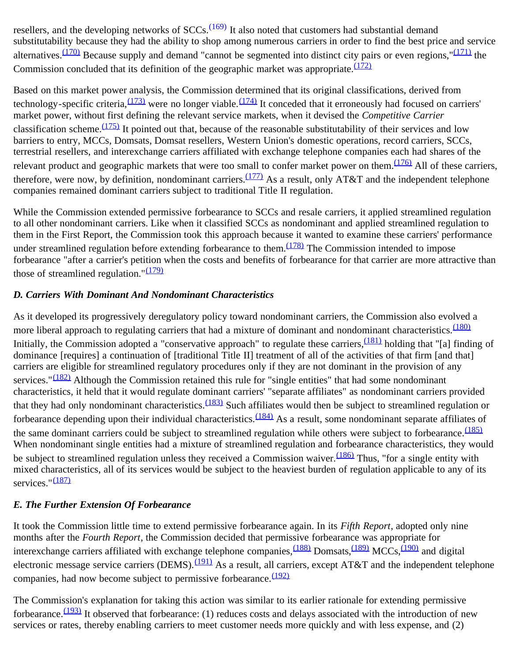resellers, and the developing networks of SCCs.<sup>(169)</sup> It also noted that customers had substantial demand substitutability because they had the ability to shop among numerous carriers in order to find the best price and service alternatives.  $(170)$  Because supply and demand "cannot be segmented into distinct city pairs or even regions," $(171)$  the Commission concluded that its definition of the geographic market was appropriate. $\frac{(172)}{2}$  $\frac{(172)}{2}$  $\frac{(172)}{2}$ 

Based on this market power analysis, the Commission determined that its original classifications, derived from technology-specific criteria,  $(173)$  were no longer viable.  $(174)$  It conceded that it erroneously had focused on carriers' market power, without first defining the relevant service markets, when it devised the *Competitive Carrier* classification scheme. $\frac{(175)}{175}$  It pointed out that, because of the reasonable substitutability of their services and low barriers to entry, MCCs, Domsats, Domsat resellers, Western Union's domestic operations, record carriers, SCCs, terrestrial resellers, and interexchange carriers affiliated with exchange telephone companies each had shares of the relevant product and geographic markets that were too small to confer market power on them.<sup>[\(176\)](#page-45-21)</sup> All of these carriers, therefore, were now, by definition, nondominant carriers. $(177)$  As a result, only AT&T and the independent telephone companies remained dominant carriers subject to traditional Title II regulation.

While the Commission extended permissive forbearance to SCCs and resale carriers, it applied streamlined regulation to all other nondominant carriers. Like when it classified SCCs as nondominant and applied streamlined regulation to them in the First Report, the Commission took this approach because it wanted to examine these carriers' performance under streamlined regulation before extending forbearance to them. $\frac{(178)}{178}$  $\frac{(178)}{178}$  $\frac{(178)}{178}$  The Commission intended to impose forbearance "after a carrier's petition when the costs and benefits of forbearance for that carrier are more attractive than those of streamlined regulation." $(179)$ 

#### *D. Carriers With Dominant And Nondominant Characteristics*

As it developed its progressively deregulatory policy toward nondominant carriers, the Commission also evolved a more liberal approach to regulating carriers that had a mixture of dominant and nondominant characteristics.<sup>[\(180\)](#page-46-3)</sup> Initially, the Commission adopted a "conservative approach" to regulate these carriers,  $\frac{(181)}{181}$  $\frac{(181)}{181}$  $\frac{(181)}{181}$  holding that "[a] finding of dominance [requires] a continuation of [traditional Title II] treatment of all of the activities of that firm [and that] carriers are eligible for streamlined regulatory procedures only if they are not dominant in the provision of any services." $(182)$  Although the Commission retained this rule for "single entities" that had some nondominant characteristics, it held that it would regulate dominant carriers' "separate affiliates" as nondominant carriers provided that they had only nondominant characteristics.  $(183)$  Such affiliates would then be subject to streamlined regulation or forbearance depending upon their individual characteristics.<sup>(184)</sup> As a result, some nondominant separate affiliates of the same dominant carriers could be subject to streamlined regulation while others were subject to forbearance.  $(185)$ When nondominant single entities had a mixture of streamlined regulation and forbearance characteristics, they would be subject to streamlined regulation unless they received a Commission waiver.<sup>[\(186\)](#page-46-9)</sup> Thus, "for a single entity with mixed characteristics, all of its services would be subject to the heaviest burden of regulation applicable to any of its services."<sup>[\(187\)](#page-46-10)</sup>

#### *E. The Further Extension Of Forbearance*

It took the Commission little time to extend permissive forbearance again. In its *Fifth Report*, adopted only nine months after the *Fourth Report*, the Commission decided that permissive forbearance was appropriate for interexchange carriers affiliated with exchange telephone companies, <sup>(188)</sup> Domsats, <sup>(189)</sup> MCCs, <sup>(190)</sup> and digital electronic message service carriers (DEMS). $\frac{(191)}{4}$  As a result, all carriers, except AT&T and the independent telephone companies, had now become subject to permissive forbearance. [\(192\)](#page-47-2)

The Commission's explanation for taking this action was similar to its earlier rationale for extending permissive forbearance.<sup>(193)</sup> It observed that forbearance: (1) reduces costs and delays associated with the introduction of new services or rates, thereby enabling carriers to meet customer needs more quickly and with less expense, and (2)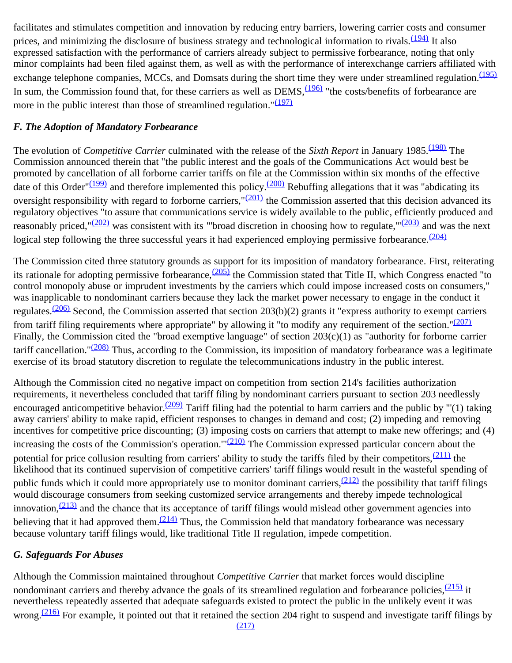facilitates and stimulates competition and innovation by reducing entry barriers, lowering carrier costs and consumer prices, and minimizing the disclosure of business strategy and technological information to rivals.<sup>(194)</sup> It also expressed satisfaction with the performance of carriers already subject to permissive forbearance, noting that only minor complaints had been filed against them, as well as with the performance of interexchange carriers affiliated with exchange telephone companies, MCCs, and Domsats during the short time they were under streamlined regulation.<sup>[\(195\)](#page-47-5)</sup> In sum, the Commission found that, for these carriers as well as  $DEMS$ ,  $\frac{(196)}{196}$  "the costs/benefits of forbearance are more in the public interest than those of streamlined regulation." $(197)$ 

#### *F. The Adoption of Mandatory Forbearance*

The evolution of *Competitive Carrier* culminated with the release of the *Sixth Report* in January 1985.<sup>(198)</sup> The Commission announced therein that "the public interest and the goals of the Communications Act would best be promoted by cancellation of all forborne carrier tariffs on file at the Commission within six months of the effective date of this Order" $(199)$  and therefore implemented this policy.<sup>(200)</sup> Rebuffing allegations that it was "abdicating its oversight responsibility with regard to forborne carriers," $(201)$  the Commission asserted that this decision advanced its regulatory objectives "to assure that communications service is widely available to the public, efficiently produced and reasonably priced," $(202)$  was consistent with its "broad discretion in choosing how to regulate," $(203)$  and was the next logical step following the three successful years it had experienced employing permissive forbearance.<sup>[\(204\)](#page-48-3)</sup>

The Commission cited three statutory grounds as support for its imposition of mandatory forbearance. First, reiterating its rationale for adopting permissive forbearance,  $(205)$  the Commission stated that Title II, which Congress enacted "to control monopoly abuse or imprudent investments by the carriers which could impose increased costs on consumers," was inapplicable to nondominant carriers because they lack the market power necessary to engage in the conduct it regulates.<sup>(206)</sup> Second, the Commission asserted that section 203(b)(2) grants it "express authority to exempt carriers from tariff filing requirements where appropriate" by allowing it "to modify any requirement of the section." $(207)$ Finally, the Commission cited the "broad exemptive language" of section 203(c)(1) as "authority for forborne carrier tariff cancellation." $(208)$  Thus, according to the Commission, its imposition of mandatory forbearance was a legitimate exercise of its broad statutory discretion to regulate the telecommunications industry in the public interest.

Although the Commission cited no negative impact on competition from section 214's facilities authorization requirements, it nevertheless concluded that tariff filing by nondominant carriers pursuant to section 203 needlessly encouraged anticompetitive behavior.<sup>(209)</sup> Tariff filing had the potential to harm carriers and the public by "'(1) taking away carriers' ability to make rapid, efficient responses to changes in demand and cost; (2) impeding and removing incentives for competitive price discounting; (3) imposing costs on carriers that attempt to make new offerings; and (4) increasing the costs of the Commission's operation." $(210)$  The Commission expressed particular concern about the potential for price collusion resulting from carriers' ability to study the tariffs filed by their competitors,  $(211)$  the likelihood that its continued supervision of competitive carriers' tariff filings would result in the wasteful spending of public funds which it could more appropriately use to monitor dominant carriers,  $(212)$  the possibility that tariff filings would discourage consumers from seeking customized service arrangements and thereby impede technological innovation,  $\frac{(213)}{213}$  and the chance that its acceptance of tariff filings would mislead other government agencies into believing that it had approved them.  $(214)$  Thus, the Commission held that mandatory forbearance was necessary because voluntary tariff filings would, like traditional Title II regulation, impede competition.

#### *G. Safeguards For Abuses*

Although the Commission maintained throughout *Competitive Carrier* that market forces would discipline nondominant carriers and thereby advance the goals of its streamlined regulation and forbearance policies, <sup>(215)</sup> it nevertheless repeatedly asserted that adequate safeguards existed to protect the public in the unlikely event it was wrong. $(216)$  For example, it pointed out that it retained the section 204 right to suspend and investigate tariff filings by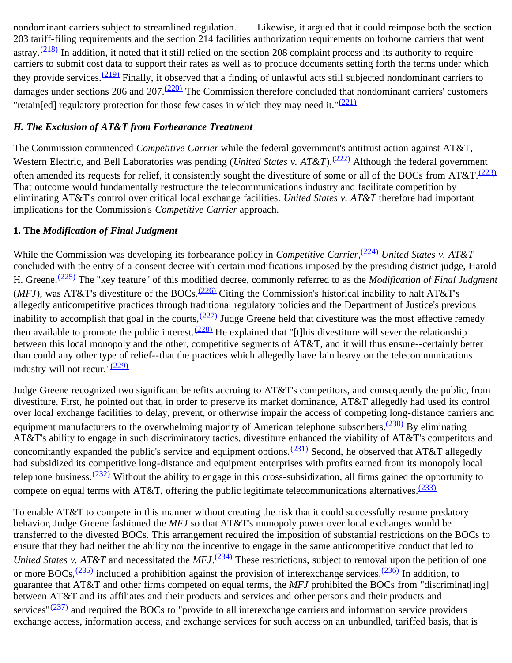nondominant carriers subject to streamlined regulation. Likewise, it argued that it could reimpose both the section 203 tariff-filing requirements and the section 214 facilities authorization requirements on forborne carriers that went astray. $\frac{(218)}{218}$  $\frac{(218)}{218}$  $\frac{(218)}{218}$  In addition, it noted that it still relied on the section 208 complaint process and its authority to require carriers to submit cost data to support their rates as well as to produce documents setting forth the terms under which they provide services.<sup>(219)</sup> Finally, it observed that a finding of unlawful acts still subjected nondominant carriers to damages under sections 206 and 207.<sup>(220)</sup> The Commission therefore concluded that nondominant carriers' customers "retain[ed] regulatory protection for those few cases in which they may need it." $(221)$ 

### *H. The Exclusion of AT&T from Forbearance Treatment*

The Commission commenced *Competitive Carrier* while the federal government's antitrust action against AT&T, Western Electric, and Bell Laboratories was pending (*United States v. AT&T*).<sup>(222)</sup> Although the federal government often amended its requests for relief, it consistently sought the divestiture of some or all of the BOCs from AT&T.<sup>[\(223\)](#page-49-5)</sup> That outcome would fundamentally restructure the telecommunications industry and facilitate competition by eliminating AT&T's control over critical local exchange facilities. *United States v. AT&T* therefore had important implications for the Commission's *Competitive Carrier* approach.

## **1. The** *Modification of Final Judgment*

While the Commission was developing its forbearance policy in *Competitive Carrier*,<sup>[\(224\)](#page-49-6)</sup> United States v. AT&T concluded with the entry of a consent decree with certain modifications imposed by the presiding district judge, Harold H. Greene.[\(225\)](#page-49-7) The "key feature" of this modified decree, commonly referred to as the *Modification of Final Judgment* (*MFJ*), was AT&T's divestiture of the BOCs.<sup>[\(226\)](#page-49-8)</sup> Citing the Commission's historical inability to halt AT&T's allegedly anticompetitive practices through traditional regulatory policies and the Department of Justice's previous inability to accomplish that goal in the courts,  $(227)$  Judge Greene held that divestiture was the most effective remedy then available to promote the public interest.  $(228)$  He explained that "[t]his divestiture will sever the relationship between this local monopoly and the other, competitive segments of AT&T, and it will thus ensure--certainly better than could any other type of relief--that the practices which allegedly have lain heavy on the telecommunications industry will not recur." $(229)$ 

Judge Greene recognized two significant benefits accruing to AT&T's competitors, and consequently the public, from divestiture. First, he pointed out that, in order to preserve its market dominance, AT&T allegedly had used its control over local exchange facilities to delay, prevent, or otherwise impair the access of competing long-distance carriers and equipment manufacturers to the overwhelming majority of American telephone subscribers.<sup>(230)</sup> By eliminating AT&T's ability to engage in such discriminatory tactics, divestiture enhanced the viability of AT&T's competitors and concomitantly expanded the public's service and equipment options.<sup>(231)</sup> Second, he observed that AT&T allegedly had subsidized its competitive long-distance and equipment enterprises with profits earned from its monopoly local telephone business.<sup>(232)</sup> Without the ability to engage in this cross-subsidization, all firms gained the opportunity to compete on equal terms with AT&T, offering the public legitimate telecommunications alternatives.<sup>[\(233\)](#page-49-15)</sup>

To enable AT&T to compete in this manner without creating the risk that it could successfully resume predatory behavior, Judge Greene fashioned the *MFJ* so that AT&T's monopoly power over local exchanges would be transferred to the divested BOCs. This arrangement required the imposition of substantial restrictions on the BOCs to ensure that they had neither the ability nor the incentive to engage in the same anticompetitive conduct that led to *United States v. AT&T* and necessitated the *MFJ*.<sup>(234)</sup> These restrictions, subject to removal upon the petition of one or more BOCs,  $(235)$  included a prohibition against the provision of interexchange services.  $(236)$  In addition, to guarantee that AT&T and other firms competed on equal terms, the *MFJ* prohibited the BOCs from "discriminat[ing] between AT&T and its affiliates and their products and services and other persons and their products and services" $(237)$  and required the BOCs to "provide to all interexchange carriers and information service providers exchange access, information access, and exchange services for such access on an unbundled, tariffed basis, that is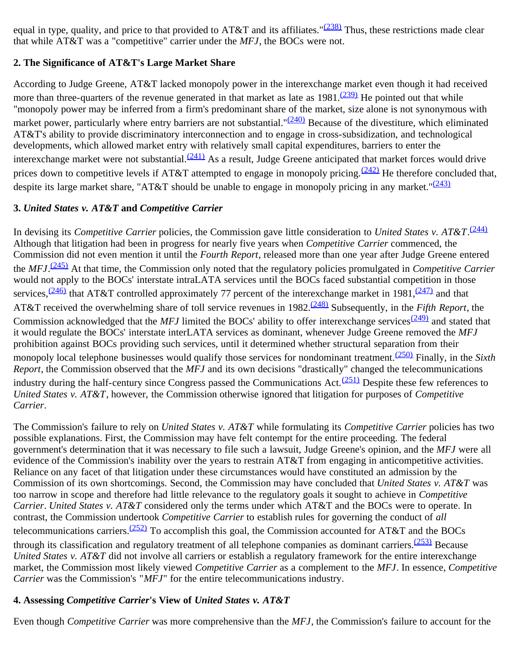equal in type, quality, and price to that provided to AT&T and its affiliates." $(238)$  Thus, these restrictions made clear that while AT&T was a "competitive" carrier under the *MFJ*, the BOCs were not.

# **2. The Significance of AT&T's Large Market Share**

According to Judge Greene, AT&T lacked monopoly power in the interexchange market even though it had received more than three-quarters of the revenue generated in that market as late as  $1981 \frac{(239)}{239}$  He pointed out that while "monopoly power may be inferred from a firm's predominant share of the market, size alone is not synonymous with market power, particularly where entry barriers are not substantial."<sup>(240)</sup> Because of the divestiture, which eliminated AT&T's ability to provide discriminatory interconnection and to engage in cross-subsidization, and technological developments, which allowed market entry with relatively small capital expenditures, barriers to enter the interexchange market were not substantial. $(241)$  As a result, Judge Greene anticipated that market forces would drive prices down to competitive levels if AT&T attempted to engage in monopoly pricing.<sup>[\(242\)](#page-50-5)</sup> He therefore concluded that, despite its large market share, "AT&T should be unable to engage in monopoly pricing in any market." $(243)$ 

## **3.** *United States v. AT&T* **and** *Competitive Carrier*

In devising its *Competitive Carrier* policies, the Commission gave little consideration to *United States v. AT&T*. [\(244\)](#page-50-7) Although that litigation had been in progress for nearly five years when *Competitive Carrier* commenced, the Commission did not even mention it until the *Fourth Report*, released more than one year after Judge Greene entered the *MFJ*. [\(245\)](#page-50-8) At that time, the Commission only noted that the regulatory policies promulgated in *Competitive Carrier* would not apply to the BOCs' interstate intraLATA services until the BOCs faced substantial competition in those services,  $\frac{(246)}{247}$  that AT&T controlled approximately 77 percent of the interexchange market in 1981,  $\frac{(247)}{247}$  and that AT&T received the overwhelming share of toll service revenues in 1982.[\(248\)](#page-50-11) Subsequently, in the *Fifth Report*, the Commission acknowledged that the *MFJ* limited the BOCs' ability to offer interexchange services<sup> $(249)$ </sup> and stated that it would regulate the BOCs' interstate interLATA services as dominant, whenever Judge Greene removed the *MFJ* prohibition against BOCs providing such services, until it determined whether structural separation from their monopoly local telephone businesses would qualify those services for nondominant treatment.[\(250\)](#page-50-13) Finally, in the *Sixth Report*, the Commission observed that the *MFJ* and its own decisions "drastically" changed the telecommunications industry during the half-century since Congress passed the Communications Act. $(251)$  Despite these few references to *United States v. AT&T*, however, the Commission otherwise ignored that litigation for purposes of *Competitive Carrier*.

The Commission's failure to rely on *United States v. AT&T* while formulating its *Competitive Carrier* policies has two possible explanations. First, the Commission may have felt contempt for the entire proceeding. The federal government's determination that it was necessary to file such a lawsuit, Judge Greene's opinion, and the *MFJ* were all evidence of the Commission's inability over the years to restrain AT&T from engaging in anticompetitive activities. Reliance on any facet of that litigation under these circumstances would have constituted an admission by the Commission of its own shortcomings. Second, the Commission may have concluded that *United States v. AT&T* was too narrow in scope and therefore had little relevance to the regulatory goals it sought to achieve in *Competitive Carrier*. *United States v. AT&T* considered only the terms under which AT&T and the BOCs were to operate. In contrast, the Commission undertook *Competitive Carrier* to establish rules for governing the conduct of *all* telecommunications carriers.<sup>(252)</sup> To accomplish this goal, the Commission accounted for AT&T and the BOCs through its classification and regulatory treatment of all telephone companies as dominant carriers.  $(253)$  Because *United States v. AT&T* did not involve all carriers or establish a regulatory framework for the entire interexchange market, the Commission most likely viewed *Competitive Carrier* as a complement to the *MFJ*. In essence, *Competitive Carrier* was the Commission's "*MFJ*" for the entire telecommunications industry.

# **4. Assessing** *Competitive Carrier***'s View of** *United States v. AT&T*

Even though *Competitive Carrier* was more comprehensive than the *MFJ*, the Commission's failure to account for the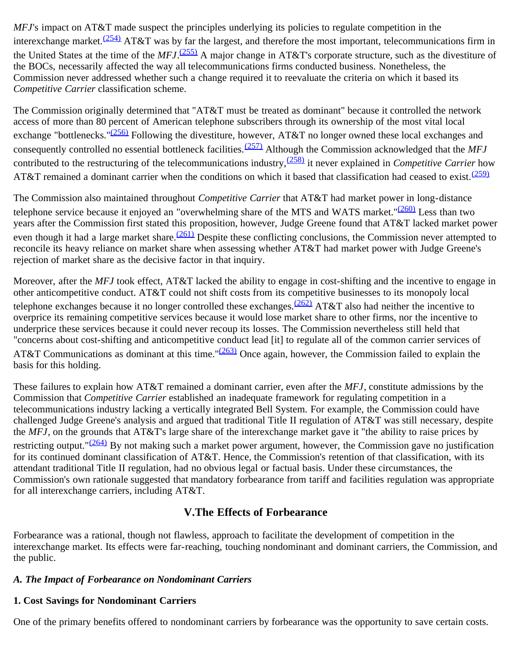*MFJ*'s impact on AT&T made suspect the principles underlying its policies to regulate competition in the interexchange market.<sup>[\(254\)](#page-50-17)</sup> AT&T was by far the largest, and therefore the most important, telecommunications firm in the United States at the time of the *MFJ*. [\(255\)](#page-51-0) A major change in AT&T's corporate structure, such as the divestiture of the BOCs, necessarily affected the way all telecommunications firms conducted business. Nonetheless, the Commission never addressed whether such a change required it to reevaluate the criteria on which it based its *Competitive Carrier* classification scheme.

The Commission originally determined that "AT&T must be treated as dominant" because it controlled the network access of more than 80 percent of American telephone subscribers through its ownership of the most vital local exchange "bottlenecks."<sup>[\(256\)](#page-51-1)</sup> Following the divestiture, however, AT&T no longer owned these local exchanges and consequently controlled no essential bottleneck facilities.<sup>(257)</sup> Although the Commission acknowledged that the *MFJ* contributed to the restructuring of the telecommunications industry,<sup>(258)</sup> it never explained in *Competitive Carrier* how AT&T remained a dominant carrier when the conditions on which it based that classification had ceased to exist.  $(259)$ 

The Commission also maintained throughout *Competitive Carrier* that AT&T had market power in long-distance telephone service because it enjoyed an "overwhelming share of the MTS and WATS market." $(260)$  Less than two years after the Commission first stated this proposition, however, Judge Greene found that AT&T lacked market power even though it had a large market share.<sup>(261)</sup> Despite these conflicting conclusions, the Commission never attempted to reconcile its heavy reliance on market share when assessing whether AT&T had market power with Judge Greene's rejection of market share as the decisive factor in that inquiry.

Moreover, after the *MFJ* took effect, AT&T lacked the ability to engage in cost-shifting and the incentive to engage in other anticompetitive conduct. AT&T could not shift costs from its competitive businesses to its monopoly local telephone exchanges because it no longer controlled these exchanges.<sup>(262)</sup> AT&T also had neither the incentive to overprice its remaining competitive services because it would lose market share to other firms, nor the incentive to underprice these services because it could never recoup its losses. The Commission nevertheless still held that "concerns about cost-shifting and anticompetitive conduct lead [it] to regulate all of the common carrier services of AT&T Communications as dominant at this time." $(263)$  Once again, however, the Commission failed to explain the basis for this holding.

These failures to explain how AT&T remained a dominant carrier, even after the *MFJ*, constitute admissions by the Commission that *Competitive Carrier* established an inadequate framework for regulating competition in a telecommunications industry lacking a vertically integrated Bell System. For example, the Commission could have challenged Judge Greene's analysis and argued that traditional Title II regulation of AT&T was still necessary, despite the *MFJ*, on the grounds that AT&T's large share of the interexchange market gave it "the ability to raise prices by restricting output." $(264)$  By not making such a market power argument, however, the Commission gave no justification for its continued dominant classification of AT&T. Hence, the Commission's retention of that classification, with its attendant traditional Title II regulation, had no obvious legal or factual basis. Under these circumstances, the Commission's own rationale suggested that mandatory forbearance from tariff and facilities regulation was appropriate for all interexchange carriers, including AT&T.

# **V.The Effects of Forbearance**

Forbearance was a rational, though not flawless, approach to facilitate the development of competition in the interexchange market. Its effects were far-reaching, touching nondominant and dominant carriers, the Commission, and the public.

#### *A. The Impact of Forbearance on Nondominant Carriers*

# **1. Cost Savings for Nondominant Carriers**

One of the primary benefits offered to nondominant carriers by forbearance was the opportunity to save certain costs.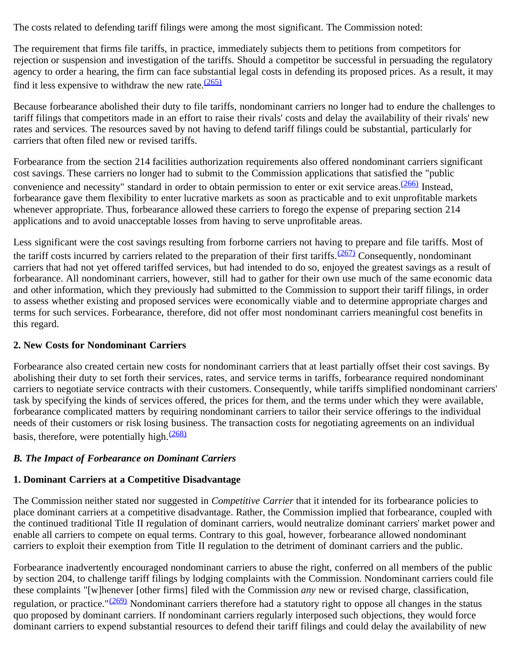The costs related to defending tariff filings were among the most significant. The Commission noted:

The requirement that firms file tariffs, in practice, immediately subjects them to petitions from competitors for rejection or suspension and investigation of the tariffs. Should a competitor be successful in persuading the regulatory agency to order a hearing, the firm can face substantial legal costs in defending its proposed prices. As a result, it may find it less expensive to withdraw the new rate. $\frac{(265)}{265}$  $\frac{(265)}{265}$  $\frac{(265)}{265}$ 

Because forbearance abolished their duty to file tariffs, nondominant carriers no longer had to endure the challenges to tariff filings that competitors made in an effort to raise their rivals' costs and delay the availability of their rivals' new rates and services. The resources saved by not having to defend tariff filings could be substantial, particularly for carriers that often filed new or revised tariffs.

Forbearance from the section 214 facilities authorization requirements also offered nondominant carriers significant cost savings. These carriers no longer had to submit to the Commission applications that satisfied the "public convenience and necessity" standard in order to obtain permission to enter or exit service areas.<sup>(266)</sup> Instead, forbearance gave them flexibility to enter lucrative markets as soon as practicable and to exit unprofitable markets whenever appropriate. Thus, forbearance allowed these carriers to forego the expense of preparing section 214 applications and to avoid unacceptable losses from having to serve unprofitable areas.

Less significant were the cost savings resulting from forborne carriers not having to prepare and file tariffs. Most of the tariff costs incurred by carriers related to the preparation of their first tariffs.  $(267)$  Consequently, nondominant carriers that had not yet offered tariffed services, but had intended to do so, enjoyed the greatest savings as a result of forbearance. All nondominant carriers, however, still had to gather for their own use much of the same economic data and other information, which they previously had submitted to the Commission to support their tariff filings, in order to assess whether existing and proposed services were economically viable and to determine appropriate charges and terms for such services. Forbearance, therefore, did not offer most nondominant carriers meaningful cost benefits in this regard.

# **2. New Costs for Nondominant Carriers**

Forbearance also created certain new costs for nondominant carriers that at least partially offset their cost savings. By abolishing their duty to set forth their services, rates, and service terms in tariffs, forbearance required nondominant carriers to negotiate service contracts with their customers. Consequently, while tariffs simplified nondominant carriers' task by specifying the kinds of services offered, the prices for them, and the terms under which they were available, forbearance complicated matters by requiring nondominant carriers to tailor their service offerings to the individual needs of their customers or risk losing business. The transaction costs for negotiating agreements on an individual basis, therefore, were potentially high. $(268)$ 

# *B. The Impact of Forbearance on Dominant Carriers*

# **1. Dominant Carriers at a Competitive Disadvantage**

The Commission neither stated nor suggested in *Competitive Carrier* that it intended for its forbearance policies to place dominant carriers at a competitive disadvantage. Rather, the Commission implied that forbearance, coupled with the continued traditional Title II regulation of dominant carriers, would neutralize dominant carriers' market power and enable all carriers to compete on equal terms. Contrary to this goal, however, forbearance allowed nondominant carriers to exploit their exemption from Title II regulation to the detriment of dominant carriers and the public.

Forbearance inadvertently encouraged nondominant carriers to abuse the right, conferred on all members of the public by section 204, to challenge tariff filings by lodging complaints with the Commission. Nondominant carriers could file these complaints "[w]henever [other firms] filed with the Commission *any* new or revised charge, classification, regulation, or practice." $(269)$  Nondominant carriers therefore had a statutory right to oppose all changes in the status quo proposed by dominant carriers. If nondominant carriers regularly interposed such objections, they would force dominant carriers to expend substantial resources to defend their tariff filings and could delay the availability of new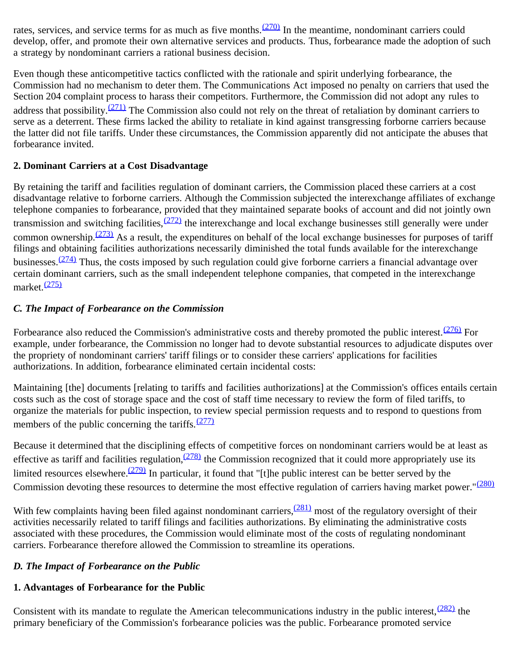rates, services, and service terms for as much as five months. $(270)$  In the meantime, nondominant carriers could develop, offer, and promote their own alternative services and products. Thus, forbearance made the adoption of such a strategy by nondominant carriers a rational business decision.

Even though these anticompetitive tactics conflicted with the rationale and spirit underlying forbearance, the Commission had no mechanism to deter them. The Communications Act imposed no penalty on carriers that used the Section 204 complaint process to harass their competitors. Furthermore, the Commission did not adopt any rules to address that possibility. $(271)$  The Commission also could not rely on the threat of retaliation by dominant carriers to serve as a deterrent. These firms lacked the ability to retaliate in kind against transgressing forborne carriers because the latter did not file tariffs. Under these circumstances, the Commission apparently did not anticipate the abuses that forbearance invited.

## **2. Dominant Carriers at a Cost Disadvantage**

By retaining the tariff and facilities regulation of dominant carriers, the Commission placed these carriers at a cost disadvantage relative to forborne carriers. Although the Commission subjected the interexchange affiliates of exchange telephone companies to forbearance, provided that they maintained separate books of account and did not jointly own transmission and switching facilities,  $(272)$  the interexchange and local exchange businesses still generally were under common ownership.<sup>[\(273\)](#page-52-4)</sup> As a result, the expenditures on behalf of the local exchange businesses for purposes of tariff filings and obtaining facilities authorizations necessarily diminished the total funds available for the interexchange businesses.  $(274)$  Thus, the costs imposed by such regulation could give forborne carriers a financial advantage over certain dominant carriers, such as the small independent telephone companies, that competed in the interexchange market. $(275)$ 

# *C. The Impact of Forbearance on the Commission*

Forbearance also reduced the Commission's administrative costs and thereby promoted the public interest.<sup>(276)</sup> For example, under forbearance, the Commission no longer had to devote substantial resources to adjudicate disputes over the propriety of nondominant carriers' tariff filings or to consider these carriers' applications for facilities authorizations. In addition, forbearance eliminated certain incidental costs:

Maintaining [the] documents [relating to tariffs and facilities authorizations] at the Commission's offices entails certain costs such as the cost of storage space and the cost of staff time necessary to review the form of filed tariffs, to organize the materials for public inspection, to review special permission requests and to respond to questions from members of the public concerning the tariffs. $(277)$ 

Because it determined that the disciplining effects of competitive forces on nondominant carriers would be at least as effective as tariff and facilities regulation,  $(278)$  the Commission recognized that it could more appropriately use its limited resources elsewhere.<sup>[\(279\)](#page-52-10)</sup> In particular, it found that "[t]he public interest can be better served by the Commission devoting these resources to determine the most effective regulation of carriers having market power."<sup>[\(280\)](#page-52-11)</sup>

With few complaints having been filed against nondominant carriers,  $(281)$  most of the regulatory oversight of their activities necessarily related to tariff filings and facilities authorizations. By eliminating the administrative costs associated with these procedures, the Commission would eliminate most of the costs of regulating nondominant carriers. Forbearance therefore allowed the Commission to streamline its operations.

# *D. The Impact of Forbearance on the Public*

# **1. Advantages of Forbearance for the Public**

Consistent with its mandate to regulate the American telecommunications industry in the public interest,  $\frac{(282)}{282}$  the primary beneficiary of the Commission's forbearance policies was the public. Forbearance promoted service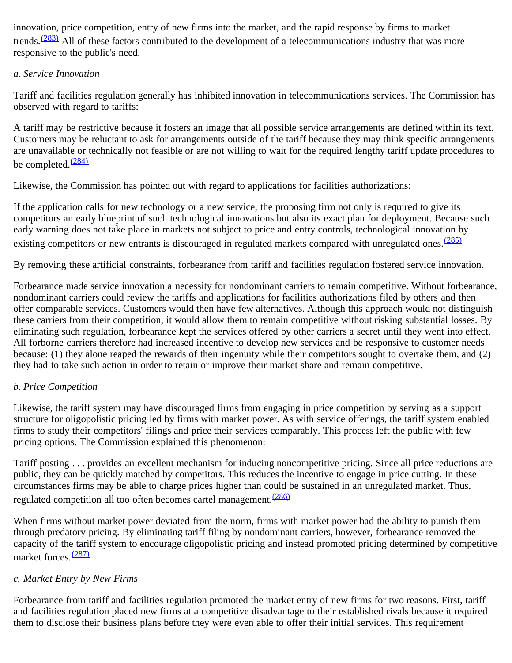innovation, price competition, entry of new firms into the market, and the rapid response by firms to market trends.<sup> $(283)$ </sup> All of these factors contributed to the development of a telecommunications industry that was more responsive to the public's need.

## *a. Service Innovation*

Tariff and facilities regulation generally has inhibited innovation in telecommunications services. The Commission has observed with regard to tariffs:

A tariff may be restrictive because it fosters an image that all possible service arrangements are defined within its text. Customers may be reluctant to ask for arrangements outside of the tariff because they may think specific arrangements are unavailable or technically not feasible or are not willing to wait for the required lengthy tariff update procedures to be completed. $\frac{(284)}{284}$  $\frac{(284)}{284}$  $\frac{(284)}{284}$ 

Likewise, the Commission has pointed out with regard to applications for facilities authorizations:

If the application calls for new technology or a new service, the proposing firm not only is required to give its competitors an early blueprint of such technological innovations but also its exact plan for deployment. Because such early warning does not take place in markets not subject to price and entry controls, technological innovation by existing competitors or new entrants is discouraged in regulated markets compared with unregulated ones.<sup>[\(285\)](#page-52-16)</sup>

By removing these artificial constraints, forbearance from tariff and facilities regulation fostered service innovation.

Forbearance made service innovation a necessity for nondominant carriers to remain competitive. Without forbearance, nondominant carriers could review the tariffs and applications for facilities authorizations filed by others and then offer comparable services. Customers would then have few alternatives. Although this approach would not distinguish these carriers from their competition, it would allow them to remain competitive without risking substantial losses. By eliminating such regulation, forbearance kept the services offered by other carriers a secret until they went into effect. All forborne carriers therefore had increased incentive to develop new services and be responsive to customer needs because: (1) they alone reaped the rewards of their ingenuity while their competitors sought to overtake them, and (2) they had to take such action in order to retain or improve their market share and remain competitive.

# *b. Price Competition*

Likewise, the tariff system may have discouraged firms from engaging in price competition by serving as a support structure for oligopolistic pricing led by firms with market power. As with service offerings, the tariff system enabled firms to study their competitors' filings and price their services comparably. This process left the public with few pricing options. The Commission explained this phenomenon:

Tariff posting . . . provides an excellent mechanism for inducing noncompetitive pricing. Since all price reductions are public, they can be quickly matched by competitors. This reduces the incentive to engage in price cutting. In these circumstances firms may be able to charge prices higher than could be sustained in an unregulated market. Thus, regulated competition all too often becomes cartel management.<sup>[\(286\)](#page-53-0)</sup>

When firms without market power deviated from the norm, firms with market power had the ability to punish them through predatory pricing. By eliminating tariff filing by nondominant carriers, however, forbearance removed the capacity of the tariff system to encourage oligopolistic pricing and instead promoted pricing determined by competitive market forces.<sup>[\(287\)](#page-53-1)</sup>

#### *c. Market Entry by New Firms*

Forbearance from tariff and facilities regulation promoted the market entry of new firms for two reasons. First, tariff and facilities regulation placed new firms at a competitive disadvantage to their established rivals because it required them to disclose their business plans before they were even able to offer their initial services. This requirement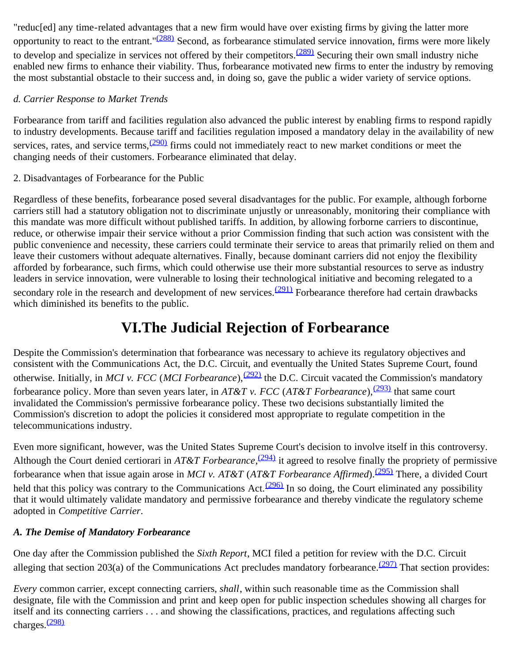"reduc[ed] any time-related advantages that a new firm would have over existing firms by giving the latter more opportunity to react to the entrant." $(288)$  Second, as forbearance stimulated service innovation, firms were more likely to develop and specialize in services not offered by their competitors. $(289)$  Securing their own small industry niche enabled new firms to enhance their viability. Thus, forbearance motivated new firms to enter the industry by removing the most substantial obstacle to their success and, in doing so, gave the public a wider variety of service options.

## *d. Carrier Response to Market Trends*

Forbearance from tariff and facilities regulation also advanced the public interest by enabling firms to respond rapidly to industry developments. Because tariff and facilities regulation imposed a mandatory delay in the availability of new services, rates, and service terms,  $\frac{(290)}{25}$  firms could not immediately react to new market conditions or meet the changing needs of their customers. Forbearance eliminated that delay.

## 2. Disadvantages of Forbearance for the Public

Regardless of these benefits, forbearance posed several disadvantages for the public. For example, although forborne carriers still had a statutory obligation not to discriminate unjustly or unreasonably, monitoring their compliance with this mandate was more difficult without published tariffs. In addition, by allowing forborne carriers to discontinue, reduce, or otherwise impair their service without a prior Commission finding that such action was consistent with the public convenience and necessity, these carriers could terminate their service to areas that primarily relied on them and leave their customers without adequate alternatives. Finally, because dominant carriers did not enjoy the flexibility afforded by forbearance, such firms, which could otherwise use their more substantial resources to serve as industry leaders in service innovation, were vulnerable to losing their technological initiative and becoming relegated to a secondary role in the research and development of new services.<sup>(291)</sup> Forbearance therefore had certain drawbacks which diminished its benefits to the public.

# **VI.The Judicial Rejection of Forbearance**

Despite the Commission's determination that forbearance was necessary to achieve its regulatory objectives and consistent with the Communications Act, the D.C. Circuit, and eventually the United States Supreme Court, found otherwise. Initially, in *MCI v. FCC* (*MCI Forbearance*),<sup>[\(292\)](#page-53-6)</sup> the D.C. Circuit vacated the Commission's mandatory forbearance policy. More than seven years later, in *AT&T v. FCC* (*AT&T Forbearance*),<sup>(293)</sup> that same court invalidated the Commission's permissive forbearance policy. These two decisions substantially limited the Commission's discretion to adopt the policies it considered most appropriate to regulate competition in the telecommunications industry.

Even more significant, however, was the United States Supreme Court's decision to involve itself in this controversy. Although the Court denied certiorari in *AT&T Forbearance*,<sup>(294)</sup> it agreed to resolve finally the propriety of permissive forbearance when that issue again arose in *MCI v. AT&T* (*AT&T Forbearance Affirmed*).[\(295\)](#page-53-9) There, a divided Court held that this policy was contrary to the Communications Act. $(296)$  In so doing, the Court eliminated any possibility that it would ultimately validate mandatory and permissive forbearance and thereby vindicate the regulatory scheme adopted in *Competitive Carrier*.

# *A. The Demise of Mandatory Forbearance*

One day after the Commission published the *Sixth Report*, MCI filed a petition for review with the D.C. Circuit alleging that section 203(a) of the Communications Act precludes mandatory forbearance.  $(297)$  That section provides:

*Every* common carrier, except connecting carriers, *shall*, within such reasonable time as the Commission shall designate, file with the Commission and print and keep open for public inspection schedules showing all charges for itself and its connecting carriers . . . and showing the classifications, practices, and regulations affecting such charges.[\(298\)](#page-53-12)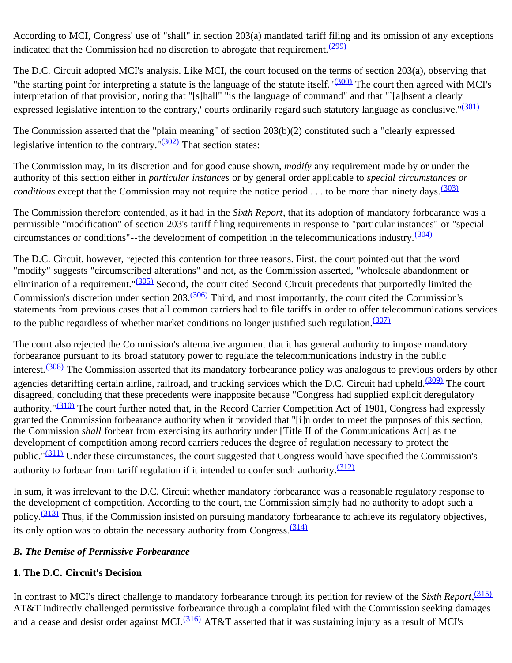According to MCI, Congress' use of "shall" in section 203(a) mandated tariff filing and its omission of any exceptions indicated that the Commission had no discretion to abrogate that requirement. $(299)$ 

The D.C. Circuit adopted MCI's analysis. Like MCI, the court focused on the terms of section 203(a), observing that "the starting point for interpreting a statute is the language of the statute itself."<sup>(300)</sup> The court then agreed with MCI's interpretation of that provision, noting that "[s]hall" "is the language of command" and that "`[a]bsent a clearly expressed legislative intention to the contrary,' courts ordinarily regard such statutory language as conclusive."<sup>[\(301\)](#page-53-15)</sup>

The Commission asserted that the "plain meaning" of section 203(b)(2) constituted such a "clearly expressed legislative intention to the contrary." $\frac{(302)}{2}$  That section states:

The Commission may, in its discretion and for good cause shown, *modify* any requirement made by or under the authority of this section either in *particular instances* or by general order applicable to *special circumstances or conditions* except that the Commission may not require the notice period  $\ldots$  to be more than ninety days.<sup>[\(303\)](#page-54-1)</sup>

The Commission therefore contended, as it had in the *Sixth Report*, that its adoption of mandatory forbearance was a permissible "modification" of section 203's tariff filing requirements in response to "particular instances" or "special circumstances or conditions"--the development of competition in the telecommunications industry.[\(304\)](#page-54-2)

The D.C. Circuit, however, rejected this contention for three reasons. First, the court pointed out that the word "modify" suggests "circumscribed alterations" and not, as the Commission asserted, "wholesale abandonment or elimination of a requirement."<sup>[\(305\)](#page-54-3)</sup> Second, the court cited Second Circuit precedents that purportedly limited the Commission's discretion under section 203.[\(306\)](#page-54-4) Third, and most importantly, the court cited the Commission's statements from previous cases that all common carriers had to file tariffs in order to offer telecommunications services to the public regardless of whether market conditions no longer justified such regulation.  $\frac{(307)}{207}$  $\frac{(307)}{207}$  $\frac{(307)}{207}$ 

The court also rejected the Commission's alternative argument that it has general authority to impose mandatory forbearance pursuant to its broad statutory power to regulate the telecommunications industry in the public interest.  $(308)$  The Commission asserted that its mandatory forbearance policy was analogous to previous orders by other agencies detariffing certain airline, railroad, and trucking services which the D.C. Circuit had upheld.<sup>(309)</sup> The court disagreed, concluding that these precedents were inapposite because "Congress had supplied explicit deregulatory authority."<sup>(310)</sup> The court further noted that, in the Record Carrier Competition Act of 1981, Congress had expressly granted the Commission forbearance authority when it provided that "[i]n order to meet the purposes of this section, the Commission *shall* forbear from exercising its authority under [Title II of the Communications Act] as the development of competition among record carriers reduces the degree of regulation necessary to protect the public."<sup>[\(311\)](#page-54-9)</sup> Under these circumstances, the court suggested that Congress would have specified the Commission's authority to forbear from tariff regulation if it intended to confer such authority. $\frac{(312)}{2}$  $\frac{(312)}{2}$  $\frac{(312)}{2}$ 

In sum, it was irrelevant to the D.C. Circuit whether mandatory forbearance was a reasonable regulatory response to the development of competition. According to the court, the Commission simply had no authority to adopt such a policy.  $(313)$  Thus, if the Commission insisted on pursuing mandatory forbearance to achieve its regulatory objectives, its only option was to obtain the necessary authority from Congress. $\frac{(314)}{2}$  $\frac{(314)}{2}$  $\frac{(314)}{2}$ 

# *B. The Demise of Permissive Forbearance*

# **1. The D.C. Circuit's Decision**

In contrast to MCI's direct challenge to mandatory forbearance through its petition for review of the *Sixth Report*, [\(315\)](#page-54-13) AT&T indirectly challenged permissive forbearance through a complaint filed with the Commission seeking damages and a cease and desist order against MCI.<sup>[\(316\)](#page-54-14)</sup> AT&T asserted that it was sustaining injury as a result of MCI's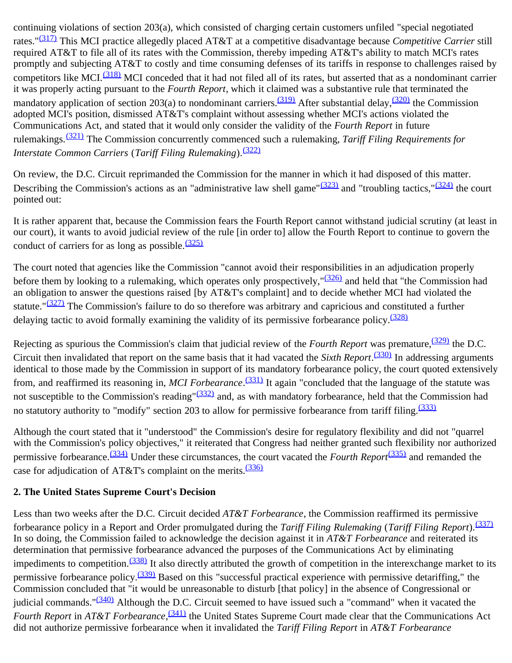continuing violations of section 203(a), which consisted of charging certain customers unfiled "special negotiated rates."[\(317\)](#page-55-0) This MCI practice allegedly placed AT&T at a competitive disadvantage because *Competitive Carrier* still required AT&T to file all of its rates with the Commission, thereby impeding AT&T's ability to match MCI's rates promptly and subjecting AT&T to costly and time consuming defenses of its tariffs in response to challenges raised by competitors like MCI.<sup>[\(318\)](#page-55-1)</sup> MCI conceded that it had not filed all of its rates, but asserted that as a nondominant carrier it was properly acting pursuant to the *Fourth Report*, which it claimed was a substantive rule that terminated the mandatory application of section 203(a) to nondominant carriers.<sup>(319)</sup> After substantial delay,<sup>(320)</sup> the Commission adopted MCI's position, dismissed AT&T's complaint without assessing whether MCI's actions violated the Communications Act, and stated that it would only consider the validity of the *Fourth Report* in future rulemakings.[\(321\)](#page-55-4) The Commission concurrently commenced such a rulemaking, *Tariff Filing Requirements for Interstate Common Carriers* (*Tariff Filing Rulemaking*).<sup>[\(322\)](#page-55-5)</sup>

On review, the D.C. Circuit reprimanded the Commission for the manner in which it had disposed of this matter. Describing the Commission's actions as an "administrative law shell game" $(323)$  and "troubling tactics," $(324)$  the court pointed out:

It is rather apparent that, because the Commission fears the Fourth Report cannot withstand judicial scrutiny (at least in our court), it wants to avoid judicial review of the rule [in order to] allow the Fourth Report to continue to govern the conduct of carriers for as long as possible. $\frac{(325)}{2}$  $\frac{(325)}{2}$  $\frac{(325)}{2}$ 

The court noted that agencies like the Commission "cannot avoid their responsibilities in an adjudication properly before them by looking to a rulemaking, which operates only prospectively,"<sup>(326)</sup> and held that "the Commission had an obligation to answer the questions raised [by AT&T's complaint] and to decide whether MCI had violated the statute." $(327)$  The Commission's failure to do so therefore was arbitrary and capricious and constituted a further delaying tactic to avoid formally examining the validity of its permissive forbearance policy.<sup>[\(328\)](#page-55-11)</sup>

Rejecting as spurious the Commission's claim that judicial review of the *Fourth Report* was premature,<sup>[\(329\)](#page-55-12)</sup> the D.C. Circuit then invalidated that report on the same basis that it had vacated the *Sixth Report*. [\(330\)](#page-55-13) In addressing arguments identical to those made by the Commission in support of its mandatory forbearance policy, the court quoted extensively from, and reaffirmed its reasoning in, MCI Forbearance.<sup>(331)</sup> It again "concluded that the language of the statute was not susceptible to the Commission's reading" $(332)$  and, as with mandatory forbearance, held that the Commission had no statutory authority to "modify" section 203 to allow for permissive forbearance from tariff filing.<sup>[\(333\)](#page-55-16)</sup>

Although the court stated that it "understood" the Commission's desire for regulatory flexibility and did not "quarrel with the Commission's policy objectives," it reiterated that Congress had neither granted such flexibility nor authorized permissive forbearance.[\(334\)](#page-55-17) Under these circumstances, the court vacated the *Fourth Report*[\(335\)](#page-55-18) and remanded the case for adjudication of AT&T's complaint on the merits.<sup>[\(336\)](#page-55-19)</sup>

# **2. The United States Supreme Court's Decision**

Less than two weeks after the D.C. Circuit decided *AT&T Forbearance*, the Commission reaffirmed its permissive forbearance policy in a Report and Order promulgated during the *Tariff Filing Rulemaking* (*Tariff Filing Report*).[\(337\)](#page-56-0) In so doing, the Commission failed to acknowledge the decision against it in *AT&T Forbearance* and reiterated its determination that permissive forbearance advanced the purposes of the Communications Act by eliminating impediments to competition.<sup>(338)</sup> It also directly attributed the growth of competition in the interexchange market to its permissive forbearance policy.<sup>(339)</sup> Based on this "successful practical experience with permissive detariffing," the Commission concluded that "it would be unreasonable to disturb [that policy] in the absence of Congressional or judicial commands."<sup>(340)</sup> Although the D.C. Circuit seemed to have issued such a "command" when it vacated the *Fourth Report* in *AT&T Forbearance*, <sup>[\(341\)](#page-56-4)</sup> the United States Supreme Court made clear that the Communications Act did not authorize permissive forbearance when it invalidated the *Tariff Filing Report* in *AT&T Forbearance*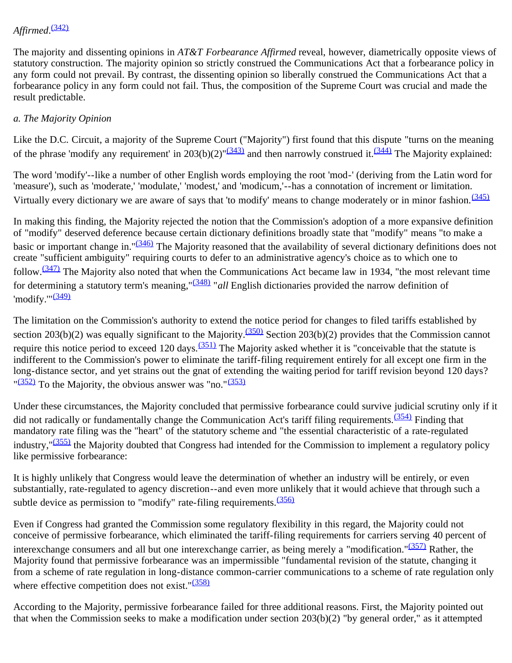# *Affirmed*. [\(342\)](#page-56-5)

The majority and dissenting opinions in *AT&T Forbearance Affirmed* reveal, however, diametrically opposite views of statutory construction. The majority opinion so strictly construed the Communications Act that a forbearance policy in any form could not prevail. By contrast, the dissenting opinion so liberally construed the Communications Act that a forbearance policy in any form could not fail. Thus, the composition of the Supreme Court was crucial and made the result predictable.

### *a. The Majority Opinion*

Like the D.C. Circuit, a majority of the Supreme Court ("Majority") first found that this dispute "turns on the meaning of the phrase 'modify any requirement' in 203(b)(2)" $\frac{(343)}{4}$  and then narrowly construed it.<sup>(344)</sup> The Majority explained:

The word 'modify'--like a number of other English words employing the root 'mod-' (deriving from the Latin word for 'measure'), such as 'moderate,' 'modulate,' 'modest,' and 'modicum,'--has a connotation of increment or limitation. Virtually every dictionary we are aware of says that 'to modify' means to change moderately or in minor fashion.  $(345)$ 

In making this finding, the Majority rejected the notion that the Commission's adoption of a more expansive definition of "modify" deserved deference because certain dictionary definitions broadly state that "modify" means "to make a basic or important change in."<sup>[\(346\)](#page-56-9)</sup> The Majority reasoned that the availability of several dictionary definitions does not create "sufficient ambiguity" requiring courts to defer to an administrative agency's choice as to which one to follow.<sup>(347)</sup> The Majority also noted that when the Communications Act became law in 1934, "the most relevant time for determining a statutory term's meaning,"[\(348\)](#page-57-0) "*all* English dictionaries provided the narrow definition of 'modify." $\frac{(349)}{2}$  $\frac{(349)}{2}$  $\frac{(349)}{2}$ 

The limitation on the Commission's authority to extend the notice period for changes to filed tariffs established by section 203(b)(2) was equally significant to the Majority.<sup>(350)</sup> Section 203(b)(2) provides that the Commission cannot require this notice period to exceed 120 days.<sup>( $351$ )</sup> The Majority asked whether it is "conceivable that the statute is indifferent to the Commission's power to eliminate the tariff-filing requirement entirely for all except one firm in the long-distance sector, and yet strains out the gnat of extending the waiting period for tariff revision beyond 120 days?  $\frac{(352)}{2}$  $\frac{(352)}{2}$  $\frac{(352)}{2}$  To the Majority, the obvious answer was "no." $\frac{(353)}{2}$  $\frac{(353)}{2}$  $\frac{(353)}{2}$ 

Under these circumstances, the Majority concluded that permissive forbearance could survive judicial scrutiny only if it did not radically or fundamentally change the Communication Act's tariff filing requirements.<sup>[\(354\)](#page-57-6)</sup> Finding that mandatory rate filing was the "heart" of the statutory scheme and "the essential characteristic of a rate-regulated industry," $(355)$  the Majority doubted that Congress had intended for the Commission to implement a regulatory policy like permissive forbearance:

It is highly unlikely that Congress would leave the determination of whether an industry will be entirely, or even substantially, rate-regulated to agency discretion--and even more unlikely that it would achieve that through such a subtle device as permission to "modify" rate-filing requirements. $\frac{(356)}{256}$  $\frac{(356)}{256}$  $\frac{(356)}{256}$ 

Even if Congress had granted the Commission some regulatory flexibility in this regard, the Majority could not conceive of permissive forbearance, which eliminated the tariff-filing requirements for carriers serving 40 percent of interexchange consumers and all but one interexchange carrier, as being merely a "modification."<sup>(357)</sup> Rather, the Majority found that permissive forbearance was an impermissible "fundamental revision of the statute, changing it from a scheme of rate regulation in long-distance common-carrier communications to a scheme of rate regulation only where effective competition does not exist." $(358)$ 

According to the Majority, permissive forbearance failed for three additional reasons. First, the Majority pointed out that when the Commission seeks to make a modification under section 203(b)(2) "by general order," as it attempted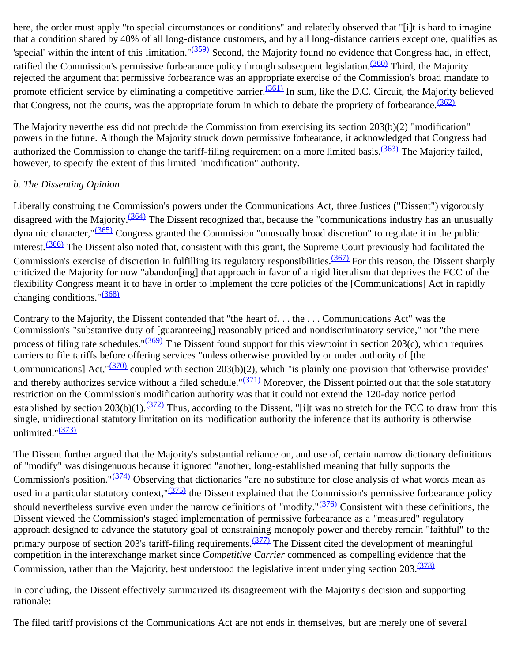here, the order must apply "to special circumstances or conditions" and relatedly observed that "[i]t is hard to imagine that a condition shared by 40% of all long-distance customers, and by all long-distance carriers except one, qualifies as 'special' within the intent of this limitation." $(359)$  Second, the Majority found no evidence that Congress had, in effect, ratified the Commission's permissive forbearance policy through subsequent legislation.<sup>(360)</sup> Third, the Majority rejected the argument that permissive forbearance was an appropriate exercise of the Commission's broad mandate to promote efficient service by eliminating a competitive barrier.<sup>(361)</sup> In sum, like the D.C. Circuit, the Majority believed that Congress, not the courts, was the appropriate forum in which to debate the propriety of forbearance.  $(362)$ 

The Majority nevertheless did not preclude the Commission from exercising its section 203(b)(2) "modification" powers in the future. Although the Majority struck down permissive forbearance, it acknowledged that Congress had authorized the Commission to change the tariff-filing requirement on a more limited basis.<sup>(363)</sup> The Majority failed, however, to specify the extent of this limited "modification" authority.

#### *b. The Dissenting Opinion*

Liberally construing the Commission's powers under the Communications Act, three Justices ("Dissent") vigorously disagreed with the Majority.<sup>[\(364\)](#page-57-16)</sup> The Dissent recognized that, because the "communications industry has an unusually dynamic character,"[\(365\)](#page-57-17) Congress granted the Commission "unusually broad discretion" to regulate it in the public interest.[\(366\)](#page-57-18) The Dissent also noted that, consistent with this grant, the Supreme Court previously had facilitated the Commission's exercise of discretion in fulfilling its regulatory responsibilities.  $(367)$  For this reason, the Dissent sharply criticized the Majority for now "abandon[ing] that approach in favor of a rigid literalism that deprives the FCC of the flexibility Congress meant it to have in order to implement the core policies of the [Communications] Act in rapidly changing conditions." $\frac{(368)}{2}$  $\frac{(368)}{2}$  $\frac{(368)}{2}$ 

Contrary to the Majority, the Dissent contended that "the heart of. . . the . . . Communications Act" was the Commission's "substantive duty of [guaranteeing] reasonably priced and nondiscriminatory service," not "the mere process of filing rate schedules." $(369)$  The Dissent found support for this viewpoint in section 203(c), which requires carriers to file tariffs before offering services "unless otherwise provided by or under authority of [the Communications] Act,  $\frac{(370)}{20}$  coupled with section 203(b)(2), which "is plainly one provision that 'otherwise provides' and thereby authorizes service without a filed schedule." $(371)$  Moreover, the Dissent pointed out that the sole statutory restriction on the Commission's modification authority was that it could not extend the 120-day notice period established by section 203(b)(1).<sup>(372)</sup> Thus, according to the Dissent, "[i]t was no stretch for the FCC to draw from this single, unidirectional statutory limitation on its modification authority the inference that its authority is otherwise unlimited." $\frac{(373)}{2}$  $\frac{(373)}{2}$  $\frac{(373)}{2}$ 

The Dissent further argued that the Majority's substantial reliance on, and use of, certain narrow dictionary definitions of "modify" was disingenuous because it ignored "another, long-established meaning that fully supports the Commission's position." $(374)$  Observing that dictionaries "are no substitute for close analysis of what words mean as used in a particular statutory context," $\frac{(375)}{2}$  $\frac{(375)}{2}$  $\frac{(375)}{2}$  the Dissent explained that the Commission's permissive forbearance policy should nevertheless survive even under the narrow definitions of "modify." $\frac{(376)}{276}$  Consistent with these definitions, the Dissent viewed the Commission's staged implementation of permissive forbearance as a "measured" regulatory approach designed to advance the statutory goal of constraining monopoly power and thereby remain "faithful" to the primary purpose of section 203's tariff-filing requirements.  $(377)$  The Dissent cited the development of meaningful competition in the interexchange market since *Competitive Carrier* commenced as compelling evidence that the Commission, rather than the Majority, best understood the legislative intent underlying section 203.<sup>[\(378\)](#page-58-11)</sup>

In concluding, the Dissent effectively summarized its disagreement with the Majority's decision and supporting rationale:

The filed tariff provisions of the Communications Act are not ends in themselves, but are merely one of several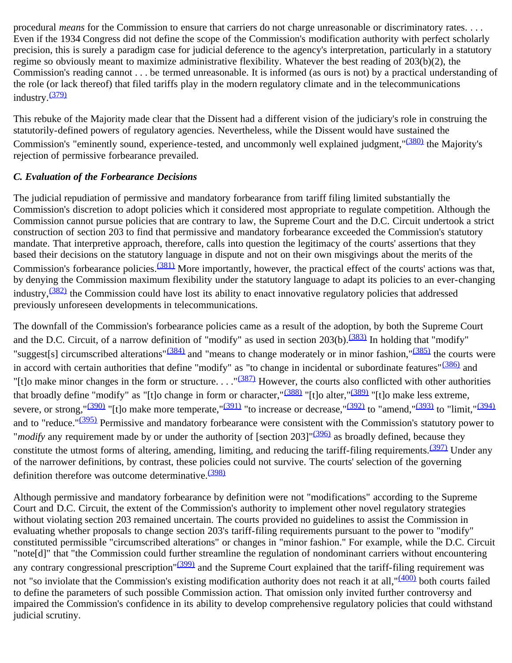procedural *means* for the Commission to ensure that carriers do not charge unreasonable or discriminatory rates. . . . Even if the 1934 Congress did not define the scope of the Commission's modification authority with perfect scholarly precision, this is surely a paradigm case for judicial deference to the agency's interpretation, particularly in a statutory regime so obviously meant to maximize administrative flexibility. Whatever the best reading of 203(b)(2), the Commission's reading cannot . . . be termed unreasonable. It is informed (as ours is not) by a practical understanding of the role (or lack thereof) that filed tariffs play in the modern regulatory climate and in the telecommunications industry. $\frac{(379)}{2}$  $\frac{(379)}{2}$  $\frac{(379)}{2}$ 

This rebuke of the Majority made clear that the Dissent had a different vision of the judiciary's role in construing the statutorily-defined powers of regulatory agencies. Nevertheless, while the Dissent would have sustained the Commission's "eminently sound, experience-tested, and uncommonly well explained judgment,"<sup>(380)</sup> the Majority's rejection of permissive forbearance prevailed.

#### *C. Evaluation of the Forbearance Decisions*

The judicial repudiation of permissive and mandatory forbearance from tariff filing limited substantially the Commission's discretion to adopt policies which it considered most appropriate to regulate competition. Although the Commission cannot pursue policies that are contrary to law, the Supreme Court and the D.C. Circuit undertook a strict construction of section 203 to find that permissive and mandatory forbearance exceeded the Commission's statutory mandate. That interpretive approach, therefore, calls into question the legitimacy of the courts' assertions that they based their decisions on the statutory language in dispute and not on their own misgivings about the merits of the Commission's forbearance policies.<sup>(381)</sup> More importantly, however, the practical effect of the courts' actions was that, by denying the Commission maximum flexibility under the statutory language to adapt its policies to an ever-changing industry,<sup>(382)</sup> the Commission could have lost its ability to enact innovative regulatory policies that addressed previously unforeseen developments in telecommunications.

The downfall of the Commission's forbearance policies came as a result of the adoption, by both the Supreme Court and the D.C. Circuit, of a narrow definition of "modify" as used in section  $203(b)$ .  $\frac{(383)}{10}$  $\frac{(383)}{10}$  $\frac{(383)}{10}$  In holding that "modify" "suggest[s] circumscribed alterations"<sup>(384)</sup> and "means to change moderately or in minor fashion,"<sup>(385)</sup> the courts were in accord with certain authorities that define "modify" as "to change in incidental or subordinate features"<sup>(386)</sup> and "[t]o make minor changes in the form or structure..." $(387)$  However, the courts also conflicted with other authorities that broadly define "modify" as "[t]o change in form or character," $\frac{(388)}{2}$ "[t]o alter," $\frac{(389)}{2}$ "[t]o make less extreme, severe, or strong," $\frac{(390)}{1}$ "[t]o make more temperate," $\frac{(391)}{1}$  $\frac{(391)}{1}$  $\frac{(391)}{1}$ " to increase or decrease," $\frac{(392)}{1}$  to "amend," $\frac{(393)}{1}$  to "limit," $\frac{(394)}{1}$  $\frac{(394)}{1}$  $\frac{(394)}{1}$ and to "reduce."<sup>(395)</sup> Permissive and mandatory forbearance were consistent with the Commission's statutory power to *"modify* any requirement made by or under the authority of [section 203]"<sup>(396)</sup> as broadly defined, because they constitute the utmost forms of altering, amending, limiting, and reducing the tariff-filing requirements.  $(397)$  Under any of the narrower definitions, by contrast, these policies could not survive. The courts' selection of the governing definition therefore was outcome determinative.<sup>[\(398\)](#page-59-13)</sup>

Although permissive and mandatory forbearance by definition were not "modifications" according to the Supreme Court and D.C. Circuit, the extent of the Commission's authority to implement other novel regulatory strategies without violating section 203 remained uncertain. The courts provided no guidelines to assist the Commission in evaluating whether proposals to change section 203's tariff-filing requirements pursuant to the power to "modify" constituted permissible "circumscribed alterations" or changes in "minor fashion." For example, while the D.C. Circuit "note[d]" that "the Commission could further streamline the regulation of nondominant carriers without encountering any contrary congressional prescription"<sup>(399)</sup> and the Supreme Court explained that the tariff-filing requirement was not "so inviolate that the Commission's existing modification authority does not reach it at all,"<sup>(400)</sup> both courts failed to define the parameters of such possible Commission action. That omission only invited further controversy and impaired the Commission's confidence in its ability to develop comprehensive regulatory policies that could withstand judicial scrutiny.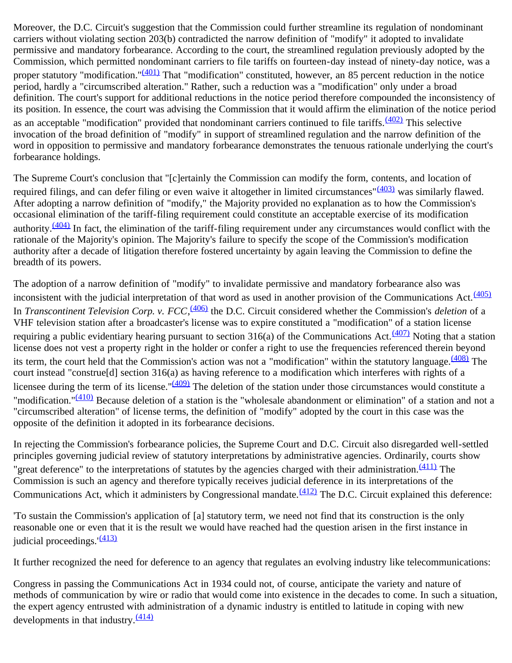Moreover, the D.C. Circuit's suggestion that the Commission could further streamline its regulation of nondominant carriers without violating section 203(b) contradicted the narrow definition of "modify" it adopted to invalidate permissive and mandatory forbearance. According to the court, the streamlined regulation previously adopted by the Commission, which permitted nondominant carriers to file tariffs on fourteen-day instead of ninety-day notice, was a proper statutory "modification."<sup>(401)</sup> That "modification" constituted, however, an 85 percent reduction in the notice period, hardly a "circumscribed alteration." Rather, such a reduction was a "modification" only under a broad definition. The court's support for additional reductions in the notice period therefore compounded the inconsistency of its position. In essence, the court was advising the Commission that it would affirm the elimination of the notice period as an acceptable "modification" provided that nondominant carriers continued to file tariffs.<sup>(402)</sup> This selective invocation of the broad definition of "modify" in support of streamlined regulation and the narrow definition of the word in opposition to permissive and mandatory forbearance demonstrates the tenuous rationale underlying the court's forbearance holdings.

The Supreme Court's conclusion that "[c]ertainly the Commission can modify the form, contents, and location of required filings, and can defer filing or even waive it altogether in limited circumstances" $(403)$  was similarly flawed. After adopting a narrow definition of "modify," the Majority provided no explanation as to how the Commission's occasional elimination of the tariff-filing requirement could constitute an acceptable exercise of its modification authority.  $(404)$  In fact, the elimination of the tariff-filing requirement under any circumstances would conflict with the rationale of the Majority's opinion. The Majority's failure to specify the scope of the Commission's modification authority after a decade of litigation therefore fostered uncertainty by again leaving the Commission to define the breadth of its powers.

The adoption of a narrow definition of "modify" to invalidate permissive and mandatory forbearance also was inconsistent with the judicial interpretation of that word as used in another provision of the Communications Act. $\frac{(405)}{2}$  $\frac{(405)}{2}$  $\frac{(405)}{2}$ In *Transcontinent Television Corp. v. FCC*, <sup>(406)</sup> the D.C. Circuit considered whether the Commission's *deletion* of a VHF television station after a broadcaster's license was to expire constituted a "modification" of a station license requiring a public evidentiary hearing pursuant to section  $316(a)$  of the Communications Act.<sup>(407)</sup> Noting that a station license does not vest a property right in the holder or confer a right to use the frequencies referenced therein beyond its term, the court held that the Commission's action was not a "modification" within the statutory language. $\frac{(408)}{100}$  The court instead "construe[d] section 316(a) as having reference to a modification which interferes with rights of a licensee during the term of its license." $(409)$  The deletion of the station under those circumstances would constitute a "modification."<sup>[\(410\)](#page-60-8)</sup> Because deletion of a station is the "wholesale abandonment or elimination" of a station and not a "circumscribed alteration" of license terms, the definition of "modify" adopted by the court in this case was the opposite of the definition it adopted in its forbearance decisions.

In rejecting the Commission's forbearance policies, the Supreme Court and D.C. Circuit also disregarded well-settled principles governing judicial review of statutory interpretations by administrative agencies. Ordinarily, courts show "great deference" to the interpretations of statutes by the agencies charged with their administration. $\frac{(411)}{2}$  $\frac{(411)}{2}$  $\frac{(411)}{2}$  The Commission is such an agency and therefore typically receives judicial deference in its interpretations of the Communications Act, which it administers by Congressional mandate. $\frac{(412)}{2}$  The D.C. Circuit explained this deference:

'To sustain the Commission's application of [a] statutory term, we need not find that its construction is the only reasonable one or even that it is the result we would have reached had the question arisen in the first instance in iudicial proceedings. $(413)$ 

It further recognized the need for deference to an agency that regulates an evolving industry like telecommunications:

Congress in passing the Communications Act in 1934 could not, of course, anticipate the variety and nature of methods of communication by wire or radio that would come into existence in the decades to come. In such a situation, the expert agency entrusted with administration of a dynamic industry is entitled to latitude in coping with new developments in that industry.  $\frac{(414)}{4}$  $\frac{(414)}{4}$  $\frac{(414)}{4}$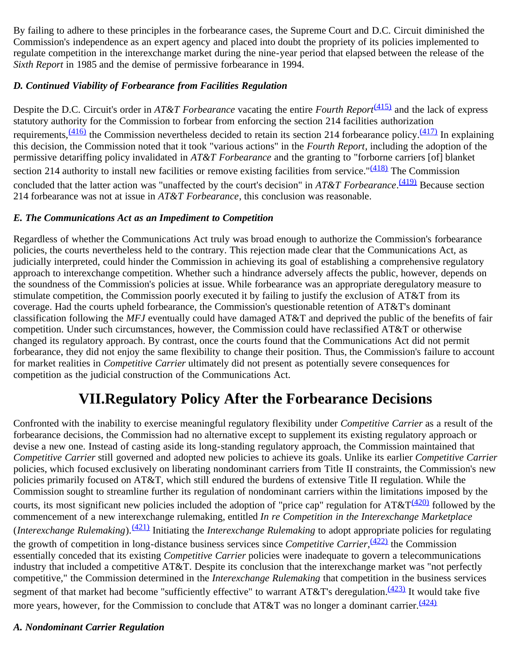By failing to adhere to these principles in the forbearance cases, the Supreme Court and D.C. Circuit diminished the Commission's independence as an expert agency and placed into doubt the propriety of its policies implemented to regulate competition in the interexchange market during the nine-year period that elapsed between the release of the *Sixth Report* in 1985 and the demise of permissive forbearance in 1994.

# *D. Continued Viability of Forbearance from Facilities Regulation*

Despite the D.C. Circuit's order in *AT&T Forbearance* vacating the entire *Fourth Report*<sup>[\(415\)](#page-60-13)</sup> and the lack of express statutory authority for the Commission to forbear from enforcing the section 214 facilities authorization requirements,  $\frac{(416)}{10}$  the Commission nevertheless decided to retain its section 214 forbearance policy.  $\frac{(417)}{10}$  In explaining this decision, the Commission noted that it took "various actions" in the *Fourth Report*, including the adoption of the permissive detariffing policy invalidated in *AT&T Forbearance* and the granting to "forborne carriers [of] blanket section 214 authority to install new facilities or remove existing facilities from service."<sup>(418)</sup> The Commission concluded that the latter action was "unaffected by the court's decision" in *AT&T Forbearance*. [\(419\)](#page-61-3) Because section 214 forbearance was not at issue in *AT&T Forbearance*, this conclusion was reasonable.

## *E. The Communications Act as an Impediment to Competition*

Regardless of whether the Communications Act truly was broad enough to authorize the Commission's forbearance policies, the courts nevertheless held to the contrary. This rejection made clear that the Communications Act, as judicially interpreted, could hinder the Commission in achieving its goal of establishing a comprehensive regulatory approach to interexchange competition. Whether such a hindrance adversely affects the public, however, depends on the soundness of the Commission's policies at issue. While forbearance was an appropriate deregulatory measure to stimulate competition, the Commission poorly executed it by failing to justify the exclusion of AT&T from its coverage. Had the courts upheld forbearance, the Commission's questionable retention of AT&T's dominant classification following the *MFJ* eventually could have damaged AT&T and deprived the public of the benefits of fair competition. Under such circumstances, however, the Commission could have reclassified AT&T or otherwise changed its regulatory approach. By contrast, once the courts found that the Communications Act did not permit forbearance, they did not enjoy the same flexibility to change their position. Thus, the Commission's failure to account for market realities in *Competitive Carrier* ultimately did not present as potentially severe consequences for competition as the judicial construction of the Communications Act.

# **VII.Regulatory Policy After the Forbearance Decisions**

Confronted with the inability to exercise meaningful regulatory flexibility under *Competitive Carrier* as a result of the forbearance decisions, the Commission had no alternative except to supplement its existing regulatory approach or devise a new one. Instead of casting aside its long-standing regulatory approach, the Commission maintained that *Competitive Carrier* still governed and adopted new policies to achieve its goals. Unlike its earlier *Competitive Carrier* policies, which focused exclusively on liberating nondominant carriers from Title II constraints, the Commission's new policies primarily focused on AT&T, which still endured the burdens of extensive Title II regulation. While the Commission sought to streamline further its regulation of nondominant carriers within the limitations imposed by the courts, its most significant new policies included the adoption of "price cap" regulation for  $AT&T\frac{(420)}{420}$  $AT&T\frac{(420)}{420}$  $AT&T\frac{(420)}{420}$  followed by the commencement of a new interexchange rulemaking, entitled *In re Competition in the Interexchange Marketplace* (*Interexchange Rulemaking*).[\(421\)](#page-61-5) Initiating the *Interexchange Rulemaking* to adopt appropriate policies for regulating the growth of competition in long-distance business services since *Competitive Carrier*, [\(422\)](#page-61-6) the Commission essentially conceded that its existing *Competitive Carrier* policies were inadequate to govern a telecommunications industry that included a competitive AT&T. Despite its conclusion that the interexchange market was "not perfectly competitive," the Commission determined in the *Interexchange Rulemaking* that competition in the business services segment of that market had become "sufficiently effective" to warrant AT&T's deregulation.<sup>(423)</sup> It would take five more years, however, for the Commission to conclude that AT&T was no longer a dominant carrier.<sup>[\(424\)](#page-61-8)</sup>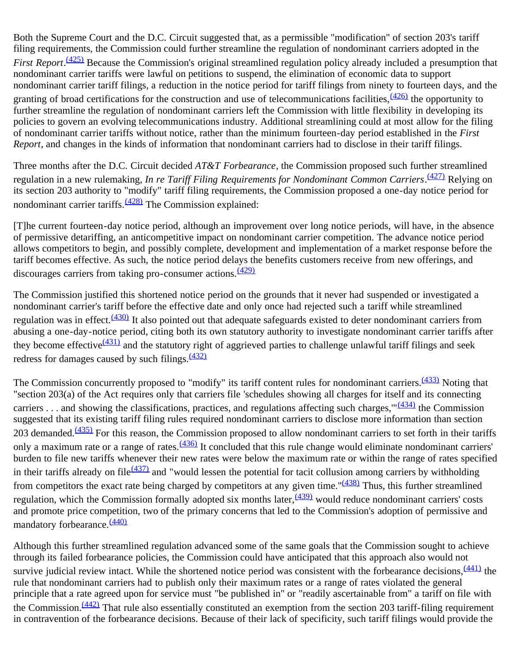Both the Supreme Court and the D.C. Circuit suggested that, as a permissible "modification" of section 203's tariff filing requirements, the Commission could further streamline the regulation of nondominant carriers adopted in the *First Report*.<sup>(425)</sup> Because the Commission's original streamlined regulation policy already included a presumption that nondominant carrier tariffs were lawful on petitions to suspend, the elimination of economic data to support nondominant carrier tariff filings, a reduction in the notice period for tariff filings from ninety to fourteen days, and the granting of broad certifications for the construction and use of telecommunications facilities,  $\frac{(426)}{100}$  the opportunity to further streamline the regulation of nondominant carriers left the Commission with little flexibility in developing its policies to govern an evolving telecommunications industry. Additional streamlining could at most allow for the filing of nondominant carrier tariffs without notice, rather than the minimum fourteen-day period established in the *First Report*, and changes in the kinds of information that nondominant carriers had to disclose in their tariff filings.

Three months after the D.C. Circuit decided *AT&T Forbearance*, the Commission proposed such further streamlined regulation in a new rulemaking, *In re Tariff Filing Requirements for Nondominant Common Carriers*. [\(427\)](#page-61-11) Relying on its section 203 authority to "modify" tariff filing requirements, the Commission proposed a one-day notice period for nondominant carrier tariffs. $\frac{(428)}{2}$  The Commission explained:

[T]he current fourteen-day notice period, although an improvement over long notice periods, will have, in the absence of permissive detariffing, an anticompetitive impact on nondominant carrier competition. The advance notice period allows competitors to begin, and possibly complete, development and implementation of a market response before the tariff becomes effective. As such, the notice period delays the benefits customers receive from new offerings, and discourages carriers from taking pro-consumer actions.  $\frac{(429)}{6}$  $\frac{(429)}{6}$  $\frac{(429)}{6}$ 

The Commission justified this shortened notice period on the grounds that it never had suspended or investigated a nondominant carrier's tariff before the effective date and only once had rejected such a tariff while streamlined regulation was in effect.<sup>(430)</sup> It also pointed out that adequate safeguards existed to deter nondominant carriers from abusing a one-day-notice period, citing both its own statutory authority to investigate nondominant carrier tariffs after they become effective $\frac{(431)}{2}$  and the statutory right of aggrieved parties to challenge unlawful tariff filings and seek redress for damages caused by such filings. $\frac{(432)}{2}$  $\frac{(432)}{2}$  $\frac{(432)}{2}$ 

The Commission concurrently proposed to "modify" its tariff content rules for nondominant carriers.<sup>[\(433\)](#page-61-17)</sup> Noting that "section 203(a) of the Act requires only that carriers file 'schedules showing all charges for itself and its connecting carriers . . . and showing the classifications, practices, and regulations affecting such charges," $\frac{(434)}{4}$  the Commission suggested that its existing tariff filing rules required nondominant carriers to disclose more information than section 203 demanded.<sup>(435)</sup> For this reason, the Commission proposed to allow nondominant carriers to set forth in their tariffs only a maximum rate or a range of rates. $\frac{(436)}{1}$  It concluded that this rule change would eliminate nondominant carriers' burden to file new tariffs whenever their new rates were below the maximum rate or within the range of rates specified in their tariffs already on file $\frac{(437)}{2}$  and "would lessen the potential for tacit collusion among carriers by withholding from competitors the exact rate being charged by competitors at any given time." $(438)$  Thus, this further streamlined regulation, which the Commission formally adopted six months later, $\frac{(439)}{2}$  would reduce nondominant carriers' costs and promote price competition, two of the primary concerns that led to the Commission's adoption of permissive and mandatory forbearance.<sup>[\(440\)](#page-62-0)</sup>

Although this further streamlined regulation advanced some of the same goals that the Commission sought to achieve through its failed forbearance policies, the Commission could have anticipated that this approach also would not survive judicial review intact. While the shortened notice period was consistent with the forbearance decisions,  $(441)$  the rule that nondominant carriers had to publish only their maximum rates or a range of rates violated the general principle that a rate agreed upon for service must "be published in" or "readily ascertainable from" a tariff on file with the Commission.<sup>(442)</sup> That rule also essentially constituted an exemption from the section 203 tariff-filing requirement in contravention of the forbearance decisions. Because of their lack of specificity, such tariff filings would provide the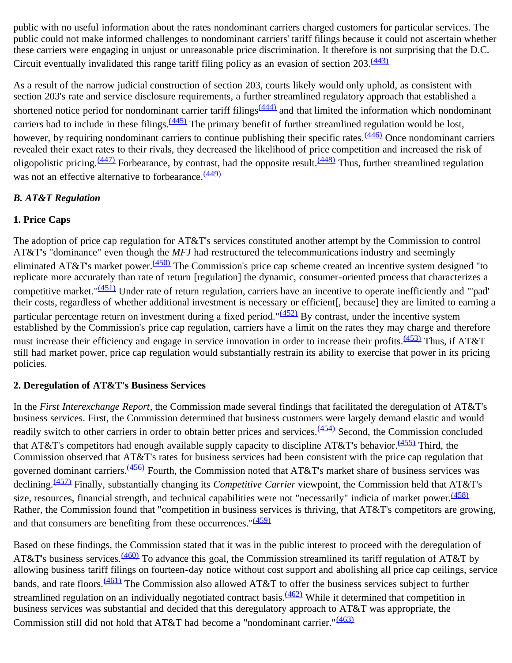public with no useful information about the rates nondominant carriers charged customers for particular services. The public could not make informed challenges to nondominant carriers' tariff filings because it could not ascertain whether these carriers were engaging in unjust or unreasonable price discrimination. It therefore is not surprising that the D.C. Circuit eventually invalidated this range tariff filing policy as an evasion of section  $203 \frac{(443)}{3}$  $203 \frac{(443)}{3}$  $203 \frac{(443)}{3}$ 

As a result of the narrow judicial construction of section 203, courts likely would only uphold, as consistent with section 203's rate and service disclosure requirements, a further streamlined regulatory approach that established a shortened notice period for nondominant carrier tariff filings $(444)$  and that limited the information which nondominant carriers had to include in these filings. $\frac{(445)}{2}$  The primary benefit of further streamlined regulation would be lost, however, by requiring nondominant carriers to continue publishing their specific rates.<sup>(446)</sup> Once nondominant carriers revealed their exact rates to their rivals, they decreased the likelihood of price competition and increased the risk of oligopolistic pricing.  $\frac{(447)}{2}$  Forbearance, by contrast, had the opposite result.  $\frac{(448)}{2}$  Thus, further streamlined regulation was not an effective alternative to forbearance. [\(449\)](#page-62-9)

#### *B. AT&T Regulation*

## **1. Price Caps**

The adoption of price cap regulation for AT&T's services constituted another attempt by the Commission to control AT&T's "dominance" even though the *MFJ* had restructured the telecommunications industry and seemingly eliminated AT&T's market power.<sup>(450)</sup> The Commission's price cap scheme created an incentive system designed "to replicate more accurately than rate of return [regulation] the dynamic, consumer-oriented process that characterizes a competitive market." $(451)$  Under rate of return regulation, carriers have an incentive to operate inefficiently and "'pad' their costs, regardless of whether additional investment is necessary or efficient[, because] they are limited to earning a particular percentage return on investment during a fixed period." $(452)$  By contrast, under the incentive system established by the Commission's price cap regulation, carriers have a limit on the rates they may charge and therefore must increase their efficiency and engage in service innovation in order to increase their profits.<sup>(453)</sup> Thus, if AT&T still had market power, price cap regulation would substantially restrain its ability to exercise that power in its pricing policies.

#### **2. Deregulation of AT&T's Business Services**

In the *First Interexchange Report*, the Commission made several findings that facilitated the deregulation of AT&T's business services. First, the Commission determined that business customers were largely demand elastic and would readily switch to other carriers in order to obtain better prices and services.<sup>(454)</sup> Second, the Commission concluded that AT&T's competitors had enough available supply capacity to discipline AT&T's behavior.<sup>(455)</sup> Third, the Commission observed that AT&T's rates for business services had been consistent with the price cap regulation that governed dominant carriers.<sup>(456)</sup> Fourth, the Commission noted that AT&T's market share of business services was declining.<sup>(457)</sup> Finally, substantially changing its *Competitive Carrier* viewpoint, the Commission held that AT&T's size, resources, financial strength, and technical capabilities were not "necessarily" indicia of market power.<sup>[\(458\)](#page-63-7)</sup> Rather, the Commission found that "competition in business services is thriving, that AT&T's competitors are growing, and that consumers are benefiting from these occurrences.  $\frac{1459}{1459}$ 

Based on these findings, the Commission stated that it was in the public interest to proceed with the deregulation of AT&T's business services.<sup>(460)</sup> To advance this goal, the Commission streamlined its tariff regulation of AT&T by allowing business tariff filings on fourteen-day notice without cost support and abolishing all price cap ceilings, service bands, and rate floors.<sup>(461)</sup> The Commission also allowed AT&T to offer the business services subject to further streamlined regulation on an individually negotiated contract basis.<sup>(462)</sup> While it determined that competition in business services was substantial and decided that this deregulatory approach to AT&T was appropriate, the Commission still did not hold that AT&T had become a "nondominant carrier."<sup>[\(463\)](#page-63-12)</sup>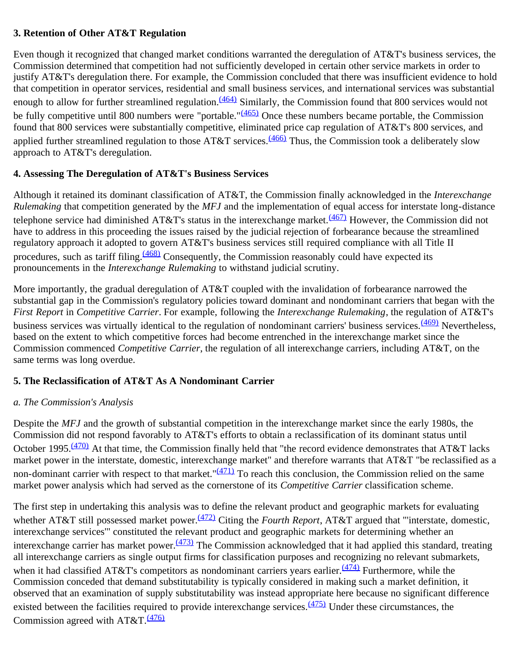#### **3. Retention of Other AT&T Regulation**

Even though it recognized that changed market conditions warranted the deregulation of AT&T's business services, the Commission determined that competition had not sufficiently developed in certain other service markets in order to justify AT&T's deregulation there. For example, the Commission concluded that there was insufficient evidence to hold that competition in operator services, residential and small business services, and international services was substantial enough to allow for further streamlined regulation.  $(464)$  Similarly, the Commission found that 800 services would not be fully competitive until 800 numbers were "portable."<sup>[\(465\)](#page-63-14)</sup> Once these numbers became portable, the Commission found that 800 services were substantially competitive, eliminated price cap regulation of AT&T's 800 services, and applied further streamlined regulation to those  $AT&T$  services.<sup>[\(466\)](#page-64-0)</sup> Thus, the Commission took a deliberately slow approach to AT&T's deregulation.

## **4. Assessing The Deregulation of AT&T's Business Services**

Although it retained its dominant classification of AT&T, the Commission finally acknowledged in the *Interexchange Rulemaking* that competition generated by the *MFJ* and the implementation of equal access for interstate long-distance telephone service had diminished AT&T's status in the interexchange market.<sup>[\(467\)](#page-64-1)</sup> However, the Commission did not have to address in this proceeding the issues raised by the judicial rejection of forbearance because the streamlined regulatory approach it adopted to govern AT&T's business services still required compliance with all Title II procedures, such as tariff filing.<sup>(468)</sup> Consequently, the Commission reasonably could have expected its pronouncements in the *Interexchange Rulemaking* to withstand judicial scrutiny.

More importantly, the gradual deregulation of AT&T coupled with the invalidation of forbearance narrowed the substantial gap in the Commission's regulatory policies toward dominant and nondominant carriers that began with the *First Report* in *Competitive Carrier*. For example, following the *Interexchange Rulemaking*, the regulation of AT&T's business services was virtually identical to the regulation of nondominant carriers' business services. [\(469\)](#page-64-3) Nevertheless, based on the extent to which competitive forces had become entrenched in the interexchange market since the Commission commenced *Competitive Carrier*, the regulation of all interexchange carriers, including AT&T, on the same terms was long overdue.

#### **5. The Reclassification of AT&T As A Nondominant Carrier**

#### *a. The Commission's Analysis*

Despite the *MFJ* and the growth of substantial competition in the interexchange market since the early 1980s, the Commission did not respond favorably to AT&T's efforts to obtain a reclassification of its dominant status until October 1995.<sup>(470)</sup> At that time, the Commission finally held that "the record evidence demonstrates that AT&T lacks market power in the interstate, domestic, interexchange market" and therefore warrants that AT&T "be reclassified as a non-dominant carrier with respect to that market." $(471)$  To reach this conclusion, the Commission relied on the same market power analysis which had served as the cornerstone of its *Competitive Carrier* classification scheme.

The first step in undertaking this analysis was to define the relevant product and geographic markets for evaluating whether AT&T still possessed market power.<sup>(472)</sup> Citing the *Fourth Report*, AT&T argued that "'interstate, domestic, interexchange services'" constituted the relevant product and geographic markets for determining whether an interexchange carrier has market power.<sup>[\(473\)](#page-64-7)</sup> The Commission acknowledged that it had applied this standard, treating all interexchange carriers as single output firms for classification purposes and recognizing no relevant submarkets, when it had classified AT&T's competitors as nondominant carriers years earlier. $\frac{(474)}{124}$  Furthermore, while the Commission conceded that demand substitutability is typically considered in making such a market definition, it observed that an examination of supply substitutability was instead appropriate here because no significant difference existed between the facilities required to provide interexchange services.  $(475)$  Under these circumstances, the Commission agreed with  $AT&T.\frac{(476)}{476}$  $AT&T.\frac{(476)}{476}$  $AT&T.\frac{(476)}{476}$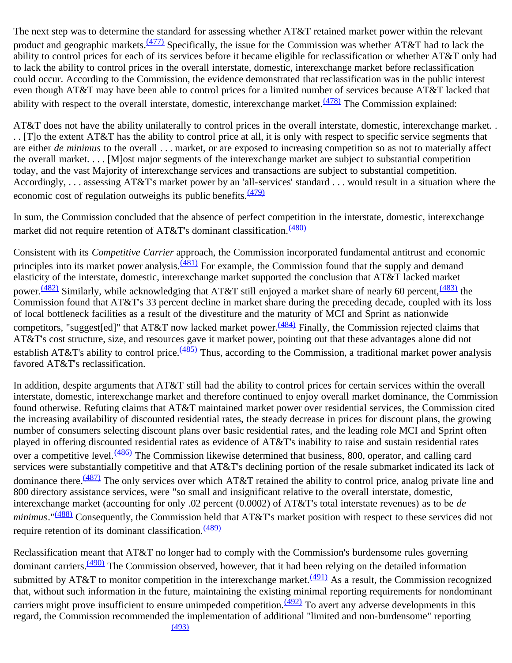The next step was to determine the standard for assessing whether AT&T retained market power within the relevant product and geographic markets.<sup>(477)</sup> Specifically, the issue for the Commission was whether AT&T had to lack the ability to control prices for each of its services before it became eligible for reclassification or whether AT&T only had to lack the ability to control prices in the overall interstate, domestic, interexchange market before reclassification could occur. According to the Commission, the evidence demonstrated that reclassification was in the public interest even though AT&T may have been able to control prices for a limited number of services because AT&T lacked that ability with respect to the overall interstate, domestic, interexchange market. $\frac{(478)}{100}$  The Commission explained:

AT&T does not have the ability unilaterally to control prices in the overall interstate, domestic, interexchange market. . . . [T]o the extent AT&T has the ability to control price at all, it is only with respect to specific service segments that are either *de minimus* to the overall . . . market, or are exposed to increasing competition so as not to materially affect the overall market. . . . [M]ost major segments of the interexchange market are subject to substantial competition today, and the vast Majority of interexchange services and transactions are subject to substantial competition. Accordingly, . . . assessing AT&T's market power by an 'all-services' standard . . . would result in a situation where the economic cost of regulation outweighs its public benefits.  $\frac{(479)}{2}$  $\frac{(479)}{2}$  $\frac{(479)}{2}$ 

In sum, the Commission concluded that the absence of perfect competition in the interstate, domestic, interexchange market did not require retention of AT&T's dominant classification.<sup>[\(480\)](#page-64-14)</sup>

Consistent with its *Competitive Carrier* approach, the Commission incorporated fundamental antitrust and economic principles into its market power analysis.<sup>(481)</sup> For example, the Commission found that the supply and demand elasticity of the interstate, domestic, interexchange market supported the conclusion that AT&T lacked market power.<sup>(482)</sup> Similarly, while acknowledging that AT&T still enjoyed a market share of nearly 60 percent,  $\frac{(483)}{100}$  the Commission found that AT&T's 33 percent decline in market share during the preceding decade, coupled with its loss of local bottleneck facilities as a result of the divestiture and the maturity of MCI and Sprint as nationwide competitors, "suggest[ed]" that AT&T now lacked market power.<sup>(484)</sup> Finally, the Commission rejected claims that AT&T's cost structure, size, and resources gave it market power, pointing out that these advantages alone did not establish AT&T's ability to control price.<sup>(485)</sup> Thus, according to the Commission, a traditional market power analysis favored AT&T's reclassification.

In addition, despite arguments that AT&T still had the ability to control prices for certain services within the overall interstate, domestic, interexchange market and therefore continued to enjoy overall market dominance, the Commission found otherwise. Refuting claims that AT&T maintained market power over residential services, the Commission cited the increasing availability of discounted residential rates, the steady decrease in prices for discount plans, the growing number of consumers selecting discount plans over basic residential rates, and the leading role MCI and Sprint often played in offering discounted residential rates as evidence of AT&T's inability to raise and sustain residential rates over a competitive level.<sup>(486)</sup> The Commission likewise determined that business, 800, operator, and calling card services were substantially competitive and that AT&T's declining portion of the resale submarket indicated its lack of dominance there.<sup>[\(487\)](#page-65-4)</sup> The only services over which AT&T retained the ability to control price, analog private line and 800 directory assistance services, were "so small and insignificant relative to the overall interstate, domestic, interexchange market (accounting for only .02 percent (0.0002) of AT&T's total interstate revenues) as to be *de minimus*."<sup>(488)</sup> Consequently, the Commission held that AT&T's market position with respect to these services did not require retention of its dominant classification.<sup>[\(489\)](#page-65-6)</sup>

Reclassification meant that AT&T no longer had to comply with the Commission's burdensome rules governing dominant carriers.<sup>(490)</sup> The Commission observed, however, that it had been relying on the detailed information submitted by AT&T to monitor competition in the interexchange market. $(491)$  As a result, the Commission recognized that, without such information in the future, maintaining the existing minimal reporting requirements for nondominant carriers might prove insufficient to ensure unimpeded competition.  $(492)$  To avert any adverse developments in this regard, the Commission recommended the implementation of additional "limited and non-burdensome" reporting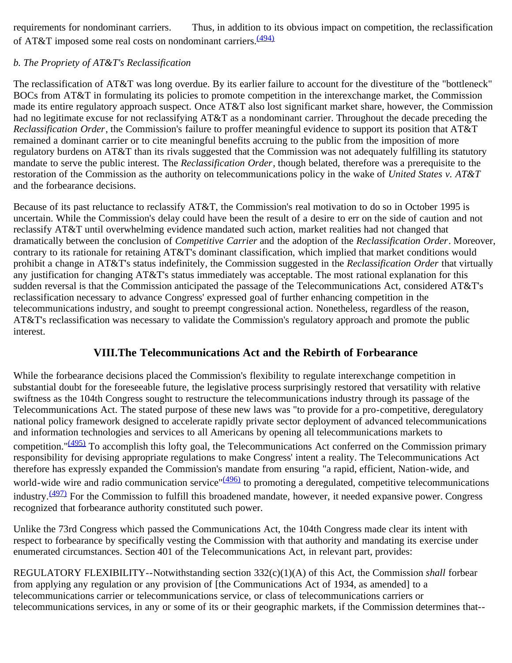requirements for nondominant carriers. Thus, in addition to its obvious impact on competition, the reclassification of AT&T imposed some real costs on nondominant carriers.<sup>[\(494\)](#page-65-11)</sup>

## *b. The Propriety of AT&T's Reclassification*

The reclassification of AT&T was long overdue. By its earlier failure to account for the divestiture of the "bottleneck" BOCs from AT&T in formulating its policies to promote competition in the interexchange market, the Commission made its entire regulatory approach suspect. Once AT&T also lost significant market share, however, the Commission had no legitimate excuse for not reclassifying AT&T as a nondominant carrier. Throughout the decade preceding the *Reclassification Order*, the Commission's failure to proffer meaningful evidence to support its position that AT&T remained a dominant carrier or to cite meaningful benefits accruing to the public from the imposition of more regulatory burdens on AT&T than its rivals suggested that the Commission was not adequately fulfilling its statutory mandate to serve the public interest. The *Reclassification Order*, though belated, therefore was a prerequisite to the restoration of the Commission as the authority on telecommunications policy in the wake of *United States v. AT&T* and the forbearance decisions.

Because of its past reluctance to reclassify AT&T, the Commission's real motivation to do so in October 1995 is uncertain. While the Commission's delay could have been the result of a desire to err on the side of caution and not reclassify AT&T until overwhelming evidence mandated such action, market realities had not changed that dramatically between the conclusion of *Competitive Carrier* and the adoption of the *Reclassification Order*. Moreover, contrary to its rationale for retaining AT&T's dominant classification, which implied that market conditions would prohibit a change in AT&T's status indefinitely, the Commission suggested in the *Reclassification Order* that virtually any justification for changing AT&T's status immediately was acceptable. The most rational explanation for this sudden reversal is that the Commission anticipated the passage of the Telecommunications Act, considered AT&T's reclassification necessary to advance Congress' expressed goal of further enhancing competition in the telecommunications industry, and sought to preempt congressional action. Nonetheless, regardless of the reason, AT&T's reclassification was necessary to validate the Commission's regulatory approach and promote the public interest.

# **VIII.The Telecommunications Act and the Rebirth of Forbearance**

While the forbearance decisions placed the Commission's flexibility to regulate interexchange competition in substantial doubt for the foreseeable future, the legislative process surprisingly restored that versatility with relative swiftness as the 104th Congress sought to restructure the telecommunications industry through its passage of the Telecommunications Act. The stated purpose of these new laws was "to provide for a pro-competitive, deregulatory national policy framework designed to accelerate rapidly private sector deployment of advanced telecommunications and information technologies and services to all Americans by opening all telecommunications markets to competition."<sup>[\(495\)](#page-65-12)</sup> To accomplish this lofty goal, the Telecommunications Act conferred on the Commission primary responsibility for devising appropriate regulations to make Congress' intent a reality. The Telecommunications Act therefore has expressly expanded the Commission's mandate from ensuring "a rapid, efficient, Nation-wide, and world-wide wire and radio communication service"<sup>(496)</sup> to promoting a deregulated, competitive telecommunications industry.<sup>(497)</sup> For the Commission to fulfill this broadened mandate, however, it needed expansive power. Congress recognized that forbearance authority constituted such power.

Unlike the 73rd Congress which passed the Communications Act, the 104th Congress made clear its intent with respect to forbearance by specifically vesting the Commission with that authority and mandating its exercise under enumerated circumstances. Section 401 of the Telecommunications Act, in relevant part, provides:

REGULATORY FLEXIBILITY--Notwithstanding section 332(c)(1)(A) of this Act, the Commission *shall* forbear from applying any regulation or any provision of [the Communications Act of 1934, as amended] to a telecommunications carrier or telecommunications service, or class of telecommunications carriers or telecommunications services, in any or some of its or their geographic markets, if the Commission determines that--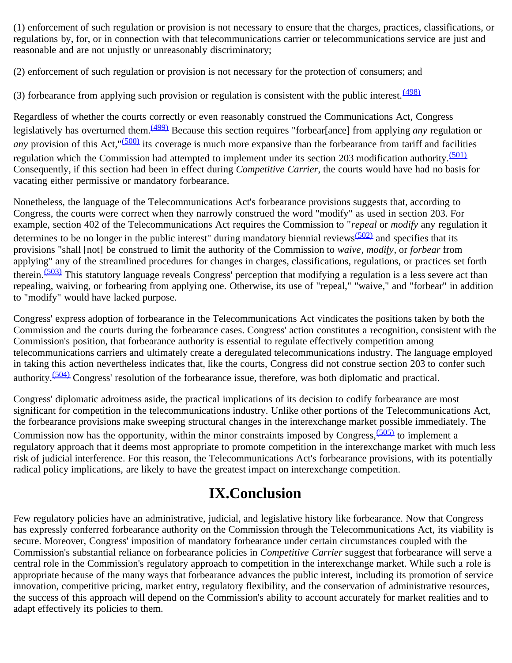(1) enforcement of such regulation or provision is not necessary to ensure that the charges, practices, classifications, or regulations by, for, or in connection with that telecommunications carrier or telecommunications service are just and reasonable and are not unjustly or unreasonably discriminatory;

(2) enforcement of such regulation or provision is not necessary for the protection of consumers; and

(3) forbearance from applying such provision or regulation is consistent with the public interest.  $\frac{(498)}{2}$  $\frac{(498)}{2}$  $\frac{(498)}{2}$ 

Regardless of whether the courts correctly or even reasonably construed the Communications Act, Congress legislatively has overturned them.[\(499\)](#page-66-3) Because this section requires "forbear[ance] from applying *any* regulation or *any* provision of this Act,"<sup>(500)</sup> its coverage is much more expansive than the forbearance from tariff and facilities regulation which the Commission had attempted to implement under its section 203 modification authority.<sup>[\(501\)](#page-66-5)</sup> Consequently, if this section had been in effect during *Competitive Carrier*, the courts would have had no basis for vacating either permissive or mandatory forbearance.

Nonetheless, the language of the Telecommunications Act's forbearance provisions suggests that, according to Congress, the courts were correct when they narrowly construed the word "modify" as used in section 203. For example, section 402 of the Telecommunications Act requires the Commission to "*repeal* or *modify* any regulation it determines to be no longer in the public interest" during mandatory biennial reviews $\frac{(502)}{2}$  and specifies that its provisions "shall [not] be construed to limit the authority of the Commission to *waive*, *modify*, or *forbear* from applying" any of the streamlined procedures for changes in charges, classifications, regulations, or practices set forth therein.<sup>(503)</sup> This statutory language reveals Congress' perception that modifying a regulation is a less severe act than repealing, waiving, or forbearing from applying one. Otherwise, its use of "repeal," "waive," and "forbear" in addition to "modify" would have lacked purpose.

Congress' express adoption of forbearance in the Telecommunications Act vindicates the positions taken by both the Commission and the courts during the forbearance cases. Congress' action constitutes a recognition, consistent with the Commission's position, that forbearance authority is essential to regulate effectively competition among telecommunications carriers and ultimately create a deregulated telecommunications industry. The language employed in taking this action nevertheless indicates that, like the courts, Congress did not construe section 203 to confer such authority.<sup>(504)</sup> Congress' resolution of the forbearance issue, therefore, was both diplomatic and practical.

Congress' diplomatic adroitness aside, the practical implications of its decision to codify forbearance are most significant for competition in the telecommunications industry. Unlike other portions of the Telecommunications Act, the forbearance provisions make sweeping structural changes in the interexchange market possible immediately. The Commission now has the opportunity, within the minor constraints imposed by Congress,  $(505)$  to implement a regulatory approach that it deems most appropriate to promote competition in the interexchange market with much less risk of judicial interference. For this reason, the Telecommunications Act's forbearance provisions, with its potentially radical policy implications, are likely to have the greatest impact on interexchange competition.

# **IX.Conclusion**

Few regulatory policies have an administrative, judicial, and legislative history like forbearance. Now that Congress has expressly conferred forbearance authority on the Commission through the Telecommunications Act, its viability is secure. Moreover, Congress' imposition of mandatory forbearance under certain circumstances coupled with the Commission's substantial reliance on forbearance policies in *Competitive Carrier* suggest that forbearance will serve a central role in the Commission's regulatory approach to competition in the interexchange market. While such a role is appropriate because of the many ways that forbearance advances the public interest, including its promotion of service innovation, competitive pricing, market entry, regulatory flexibility, and the conservation of administrative resources, the success of this approach will depend on the Commission's ability to account accurately for market realities and to adapt effectively its policies to them.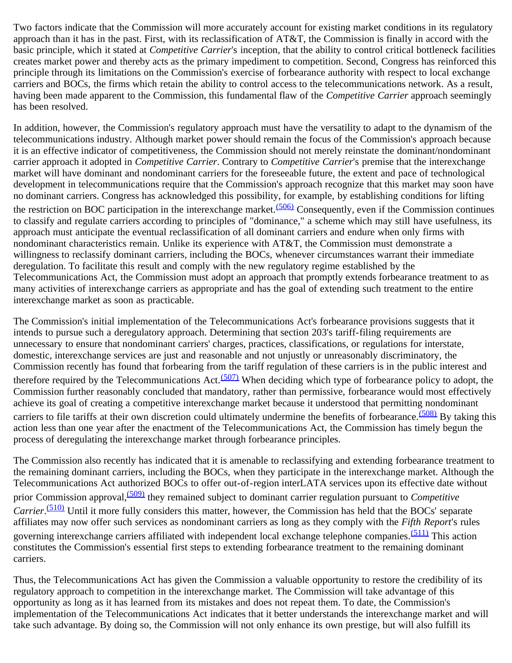Two factors indicate that the Commission will more accurately account for existing market conditions in its regulatory approach than it has in the past. First, with its reclassification of  $AT&T$ , the Commission is finally in accord with the basic principle, which it stated at *Competitive Carrier*'s inception, that the ability to control critical bottleneck facilities creates market power and thereby acts as the primary impediment to competition. Second, Congress has reinforced this principle through its limitations on the Commission's exercise of forbearance authority with respect to local exchange carriers and BOCs, the firms which retain the ability to control access to the telecommunications network. As a result, having been made apparent to the Commission, this fundamental flaw of the *Competitive Carrier* approach seemingly has been resolved.

In addition, however, the Commission's regulatory approach must have the versatility to adapt to the dynamism of the telecommunications industry. Although market power should remain the focus of the Commission's approach because it is an effective indicator of competitiveness, the Commission should not merely reinstate the dominant/nondominant carrier approach it adopted in *Competitive Carrier*. Contrary to *Competitive Carrier*'s premise that the interexchange market will have dominant and nondominant carriers for the foreseeable future, the extent and pace of technological development in telecommunications require that the Commission's approach recognize that this market may soon have no dominant carriers. Congress has acknowledged this possibility, for example, by establishing conditions for lifting the restriction on BOC participation in the interexchange market. $(506)$  Consequently, even if the Commission continues to classify and regulate carriers according to principles of "dominance," a scheme which may still have usefulness, its approach must anticipate the eventual reclassification of all dominant carriers and endure when only firms with nondominant characteristics remain. Unlike its experience with AT&T, the Commission must demonstrate a willingness to reclassify dominant carriers, including the BOCs, whenever circumstances warrant their immediate deregulation. To facilitate this result and comply with the new regulatory regime established by the Telecommunications Act, the Commission must adopt an approach that promptly extends forbearance treatment to as many activities of interexchange carriers as appropriate and has the goal of extending such treatment to the entire interexchange market as soon as practicable.

The Commission's initial implementation of the Telecommunications Act's forbearance provisions suggests that it intends to pursue such a deregulatory approach. Determining that section 203's tariff-filing requirements are unnecessary to ensure that nondominant carriers' charges, practices, classifications, or regulations for interstate, domestic, interexchange services are just and reasonable and not unjustly or unreasonably discriminatory, the Commission recently has found that forbearing from the tariff regulation of these carriers is in the public interest and therefore required by the Telecommunications Act.<sup> $(507)$ </sup> When deciding which type of forbearance policy to adopt, the Commission further reasonably concluded that mandatory, rather than permissive, forbearance would most effectively achieve its goal of creating a competitive interexchange market because it understood that permitting nondominant carriers to file tariffs at their own discretion could ultimately undermine the benefits of forbearance.<sup>[\(508\)](#page-67-0)</sup> By taking this action less than one year after the enactment of the Telecommunications Act, the Commission has timely begun the process of deregulating the interexchange market through forbearance principles.

The Commission also recently has indicated that it is amenable to reclassifying and extending forbearance treatment to the remaining dominant carriers, including the BOCs, when they participate in the interexchange market. Although the Telecommunications Act authorized BOCs to offer out-of-region interLATA services upon its effective date without prior Commission approval,<sup>(509)</sup> they remained subject to dominant carrier regulation pursuant to *Competitive Carrier*. [\(510\)](#page-67-2) Until it more fully considers this matter, however, the Commission has held that the BOCs' separate affiliates may now offer such services as nondominant carriers as long as they comply with the *Fifth Report*'s rules governing interexchange carriers affiliated with independent local exchange telephone companies.[\(511\)](#page-67-3) This action constitutes the Commission's essential first steps to extending forbearance treatment to the remaining dominant carriers.

Thus, the Telecommunications Act has given the Commission a valuable opportunity to restore the credibility of its regulatory approach to competition in the interexchange market. The Commission will take advantage of this opportunity as long as it has learned from its mistakes and does not repeat them. To date, the Commission's implementation of the Telecommunications Act indicates that it better understands the interexchange market and will take such advantage. By doing so, the Commission will not only enhance its own prestige, but will also fulfill its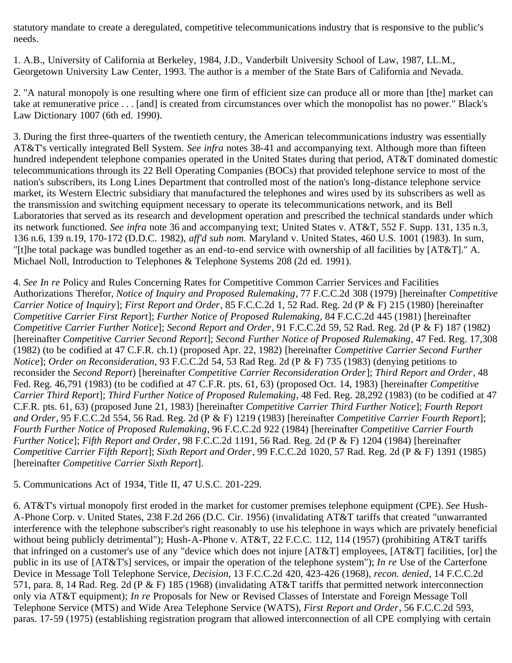statutory mandate to create a deregulated, competitive telecommunications industry that is responsive to the public's needs.

<span id="page-36-0"></span>1. A.B., University of California at Berkeley, 1984, J.D., Vanderbilt University School of Law, 1987, LL.M., Georgetown University Law Center, 1993. The author is a member of the State Bars of California and Nevada.

<span id="page-36-1"></span>2. "A natural monopoly is one resulting where one firm of efficient size can produce all or more than [the] market can take at remunerative price . . . [and] is created from circumstances over which the monopolist has no power." Black's Law Dictionary 1007 (6th ed. 1990).

<span id="page-36-2"></span>3. During the first three-quarters of the twentieth century, the American telecommunications industry was essentially AT&T's vertically integrated Bell System. *See infra* notes 38-41 and accompanying text. Although more than fifteen hundred independent telephone companies operated in the United States during that period, AT&T dominated domestic telecommunications through its 22 Bell Operating Companies (BOCs) that provided telephone service to most of the nation's subscribers, its Long Lines Department that controlled most of the nation's long-distance telephone service market, its Western Electric subsidiary that manufactured the telephones and wires used by its subscribers as well as the transmission and switching equipment necessary to operate its telecommunications network, and its Bell Laboratories that served as its research and development operation and prescribed the technical standards under which its network functioned. *See infra* note 36 and accompanying text; United States v. AT&T, 552 F. Supp. 131, 135 n.3, 136 n.6, 139 n.19, 170-172 (D.D.C. 1982), *aff'd sub nom.* Maryland v. United States, 460 U.S. 1001 (1983). In sum, "[t]he total package was bundled together as an end-to-end service with ownership of all facilities by [AT&T]." A. Michael Noll, Introduction to Telephones & Telephone Systems 208 (2d ed. 1991).

<span id="page-36-3"></span>4. *See In re* Policy and Rules Concerning Rates for Competitive Common Carrier Services and Facilities Authorizations Therefor, *Notice of Inquiry and Proposed Rulemaking*, 77 F.C.C.2d 308 (1979) [hereinafter *Competitive Carrier Notice of Inquiry*]; *First Report and Order*, 85 F.C.C.2d 1, 52 Rad. Reg. 2d (P & F) 215 (1980) [hereinafter *Competitive Carrier First Report*]; *Further Notice of Proposed Rulemaking*, 84 F.C.C.2d 445 (1981) [hereinafter *Competitive Carrier Further Notice*]; *Second Report and Order*, 91 F.C.C.2d 59, 52 Rad. Reg. 2d (P & F) 187 (1982) [hereinafter *Competitive Carrier Second Report*]; *Second Further Notice of Proposed Rulemaking*, 47 Fed. Reg. 17,308 (1982) (to be codified at 47 C.F.R. ch.1) (proposed Apr. 22, 1982) [hereinafter *Competitive Carrier Second Further Notice*]; *Order on Reconsideration*, 93 F.C.C.2d 54, 53 Rad Reg. 2d (P & F) 735 (1983) (denying petitions to reconsider the *Second Report*) [hereinafter *Competitive Carrier Reconsideration Order*]; *Third Report and Order*, 48 Fed. Reg. 46,791 (1983) (to be codified at 47 C.F.R. pts. 61, 63) (proposed Oct. 14, 1983) [hereinafter *Competitive Carrier Third Report*]; *Third Further Notice of Proposed Rulemaking*, 48 Fed. Reg. 28,292 (1983) (to be codified at 47 C.F.R. pts. 61, 63) (proposed June 21, 1983) [hereinafter *Competitive Carrier Third Further Notice*]; *Fourth Report and Order*, 95 F.C.C.2d 554, 56 Rad. Reg. 2d (P & F) 1219 (1983) [hereinafter *Competitive Carrier Fourth Report*]; *Fourth Further Notice of Proposed Rulemaking*, 96 F.C.C.2d 922 (1984) [hereinafter *Competitive Carrier Fourth Further Notice*]; *Fifth Report and Order*, 98 F.C.C.2d 1191, 56 Rad. Reg. 2d (P & F) 1204 (1984) [hereinafter *Competitive Carrier Fifth Report*]; *Sixth Report and Order*, 99 F.C.C.2d 1020, 57 Rad. Reg. 2d (P & F) 1391 (1985) [hereinafter *Competitive Carrier Sixth Report*].

<span id="page-36-4"></span>5. Communications Act of 1934, Title II, 47 U.S.C. 201-229.

<span id="page-36-5"></span>6. AT&T's virtual monopoly first eroded in the market for customer premises telephone equipment (CPE). *See* Hush-A-Phone Corp. v. United States, 238 F.2d 266 (D.C. Cir. 1956) (invalidating AT&T tariffs that created "unwarranted interference with the telephone subscriber's right reasonably to use his telephone in ways which are privately beneficial without being publicly detrimental"); Hush-A-Phone v. AT&T, 22 F.C.C. 112, 114 (1957) (prohibiting AT&T tariffs that infringed on a customer's use of any "device which does not injure  $[AT&T]$  employees,  $[AT&T]$  facilities,  $[or]$  the public in its use of [AT&T's] services, or impair the operation of the telephone system"); *In re* Use of the Carterfone Device in Message Toll Telephone Service, *Decision,* 13 F.C.C.2d 420, 423-426 (1968), *recon. denied*, 14 F.C.C.2d 571, para. 8, 14 Rad. Reg. 2d (P & F) 185 (1968) (invalidating AT&T tariffs that permitted network interconnection only via AT&T equipment); *In re* Proposals for New or Revised Classes of Interstate and Foreign Message Toll Telephone Service (MTS) and Wide Area Telephone Service (WATS), *First Report and Order*, 56 F.C.C.2d 593, paras. 17-59 (1975) (establishing registration program that allowed interconnection of all CPE complying with certain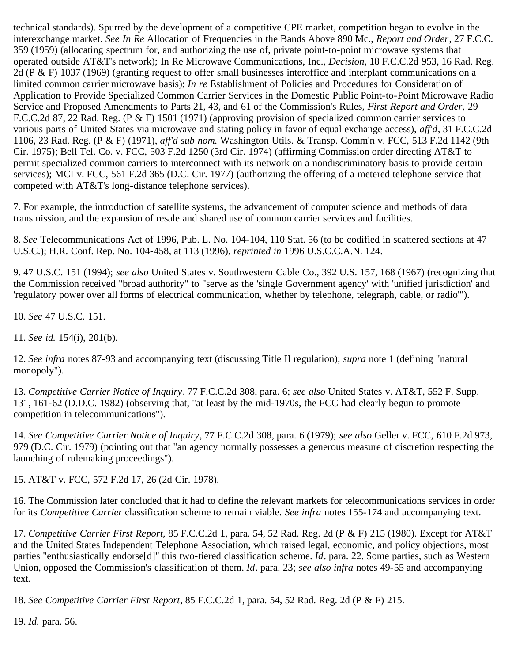technical standards). Spurred by the development of a competitive CPE market, competition began to evolve in the interexchange market. *See In Re* Allocation of Frequencies in the Bands Above 890 Mc., *Report and Order*, 27 F.C.C. 359 (1959) (allocating spectrum for, and authorizing the use of, private point-to-point microwave systems that operated outside AT&T's network); In Re Microwave Communications, Inc., *Decision*, 18 F.C.C.2d 953, 16 Rad. Reg. 2d (P & F) 1037 (1969) (granting request to offer small businesses interoffice and interplant communications on a limited common carrier microwave basis); *In re* Establishment of Policies and Procedures for Consideration of Application to Provide Specialized Common Carrier Services in the Domestic Public Point-to-Point Microwave Radio Service and Proposed Amendments to Parts 21, 43, and 61 of the Commission's Rules, *First Report and Order,* 29 F.C.C.2d 87, 22 Rad. Reg. (P & F) 1501 (1971) (approving provision of specialized common carrier services to various parts of United States via microwave and stating policy in favor of equal exchange access), *aff'd*, 31 F.C.C.2d 1106, 23 Rad. Reg. (P & F) (1971), *aff'd sub nom.* Washington Utils. & Transp. Comm'n v. FCC, 513 F.2d 1142 (9th Cir. 1975); Bell Tel. Co. v. FCC, 503 F.2d 1250 (3rd Cir. 1974) (affirming Commission order directing AT&T to permit specialized common carriers to interconnect with its network on a nondiscriminatory basis to provide certain services); MCI v. FCC, 561 F.2d 365 (D.C. Cir. 1977) (authorizing the offering of a metered telephone service that competed with AT&T's long-distance telephone services).

<span id="page-37-0"></span>7. For example, the introduction of satellite systems, the advancement of computer science and methods of data transmission, and the expansion of resale and shared use of common carrier services and facilities.

<span id="page-37-1"></span>8. *See* Telecommunications Act of 1996, Pub. L. No. 104-104, 110 Stat. 56 (to be codified in scattered sections at 47 U.S.C.); H.R. Conf. Rep. No. 104-458, at 113 (1996), *reprinted in* 1996 U.S.C.C.A.N. 124.

<span id="page-37-2"></span>9. 47 U.S.C. 151 (1994); *see also* United States v. Southwestern Cable Co., 392 U.S. 157, 168 (1967) (recognizing that the Commission received "broad authority" to "serve as the 'single Government agency' with 'unified jurisdiction' and 'regulatory power over all forms of electrical communication, whether by telephone, telegraph, cable, or radio'").

<span id="page-37-3"></span>10. *See* 47 U.S.C. 151.

<span id="page-37-4"></span>11. *See id.* 154(i), 201(b).

<span id="page-37-5"></span>12. *See infra* notes 87-93 and accompanying text (discussing Title II regulation); *supra* note 1 (defining "natural monopoly").

<span id="page-37-6"></span>13. *Competitive Carrier Notice of Inquiry*, 77 F.C.C.2d 308, para. 6; *see also* United States v. AT&T, 552 F. Supp. 131, 161-62 (D.D.C. 1982) (observing that, "at least by the mid-1970s, the FCC had clearly begun to promote competition in telecommunications").

<span id="page-37-7"></span>14. *See Competitive Carrier Notice of Inquiry*, 77 F.C.C.2d 308, para. 6 (1979); *see also* Geller v. FCC, 610 F.2d 973, 979 (D.C. Cir. 1979) (pointing out that "an agency normally possesses a generous measure of discretion respecting the launching of rulemaking proceedings").

<span id="page-37-8"></span>15. AT&T v. FCC, 572 F.2d 17, 26 (2d Cir. 1978).

<span id="page-37-9"></span>16. The Commission later concluded that it had to define the relevant markets for telecommunications services in order for its *Competitive Carrier* classification scheme to remain viable. *See infra* notes 155-174 and accompanying text.

<span id="page-37-10"></span>17. *Competitive Carrier First Report,* 85 F.C.C.2d 1, para. 54, 52 Rad. Reg. 2d (P & F) 215 (1980). Except for AT&T and the United States Independent Telephone Association, which raised legal, economic, and policy objections, most parties "enthusiastically endorse[d]" this two-tiered classification scheme. *Id*. para. 22. Some parties, such as Western Union, opposed the Commission's classification of them. *Id*. para. 23; *see also infra* notes 49-55 and accompanying text.

<span id="page-37-11"></span>18. *See Competitive Carrier First Report*, 85 F.C.C.2d 1, para. 54, 52 Rad. Reg. 2d (P & F) 215.

<span id="page-37-12"></span>19. *Id.* para. 56.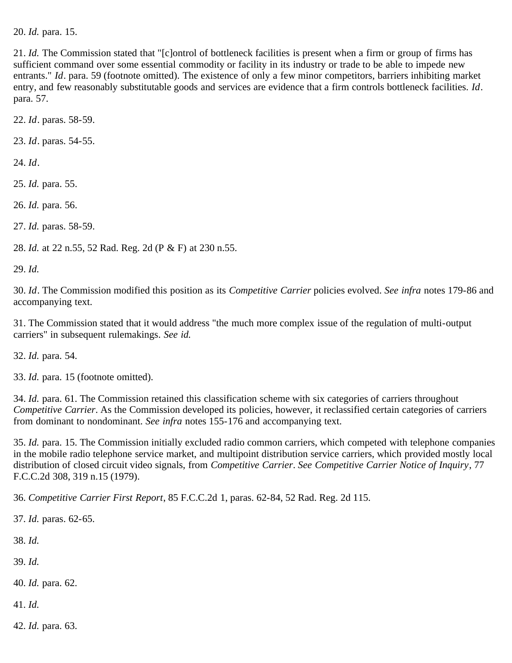<span id="page-38-0"></span>20. *Id.* para. 15.

<span id="page-38-1"></span>21. *Id.* The Commission stated that "[c]ontrol of bottleneck facilities is present when a firm or group of firms has sufficient command over some essential commodity or facility in its industry or trade to be able to impede new entrants." *Id*. para. 59 (footnote omitted). The existence of only a few minor competitors, barriers inhibiting market entry, and few reasonably substitutable goods and services are evidence that a firm controls bottleneck facilities. *Id*. para. 57.

<span id="page-38-2"></span>22. *Id*. paras. 58-59.

<span id="page-38-3"></span>23. *Id*. paras. 54-55.

<span id="page-38-4"></span>24. *Id*.

<span id="page-38-5"></span>25. *Id.* para. 55.

<span id="page-38-6"></span>26. *Id.* para. 56.

<span id="page-38-7"></span>27. *Id.* paras. 58-59.

<span id="page-38-8"></span>28. *Id.* at 22 n.55, 52 Rad. Reg. 2d (P & F) at 230 n.55.

<span id="page-38-9"></span>29. *Id.*

<span id="page-38-10"></span>30. *Id*. The Commission modified this position as its *Competitive Carrier* policies evolved. *See infra* notes 179-86 and accompanying text.

<span id="page-38-11"></span>31. The Commission stated that it would address "the much more complex issue of the regulation of multi-output carriers" in subsequent rulemakings. *See id.*

<span id="page-38-12"></span>32. *Id.* para. 54.

<span id="page-38-13"></span>33. *Id.* para. 15 (footnote omitted).

<span id="page-38-14"></span>34. *Id.* para. 61. The Commission retained this classification scheme with six categories of carriers throughout *Competitive Carrier*. As the Commission developed its policies, however, it reclassified certain categories of carriers from dominant to nondominant. *See infra* notes 155-176 and accompanying text.

<span id="page-38-15"></span>35. *Id.* para. 15. The Commission initially excluded radio common carriers, which competed with telephone companies in the mobile radio telephone service market, and multipoint distribution service carriers, which provided mostly local distribution of closed circuit video signals, from *Competitive Carrier*. *See Competitive Carrier Notice of Inquiry*, 77 F.C.C.2d 308, 319 n.15 (1979).

<span id="page-38-16"></span>36. *Competitive Carrier First Report*, 85 F.C.C.2d 1, paras. 62-84, 52 Rad. Reg. 2d 115.

<span id="page-38-17"></span>37. *Id.* paras. 62-65.

<span id="page-38-18"></span>38. *Id.*

<span id="page-38-19"></span>39. *Id.*

<span id="page-38-20"></span>40. *Id.* para. 62.

<span id="page-38-21"></span>41. *Id.*

<span id="page-38-22"></span>42. *Id.* para. 63.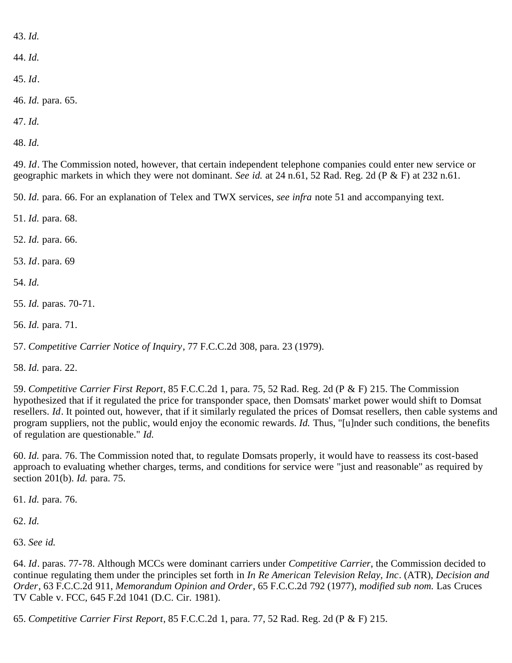<span id="page-39-0"></span>43. *Id.*

<span id="page-39-1"></span>44. *Id.*

<span id="page-39-2"></span>45. *Id*.

<span id="page-39-3"></span>46. *Id.* para. 65.

<span id="page-39-4"></span>47. *Id.*

<span id="page-39-5"></span>48. *Id.*

<span id="page-39-6"></span>49. *Id*. The Commission noted, however, that certain independent telephone companies could enter new service or geographic markets in which they were not dominant. *See id.* at 24 n.61, 52 Rad. Reg. 2d (P & F) at 232 n.61.

<span id="page-39-7"></span>50. *Id.* para. 66. For an explanation of Telex and TWX services, *see infra* note 51 and accompanying text.

<span id="page-39-8"></span>51. *Id.* para. 68.

<span id="page-39-9"></span>52. *Id.* para. 66.

<span id="page-39-10"></span>53. *Id*. para. 69

<span id="page-39-11"></span>54. *Id.*

<span id="page-39-12"></span>55. *Id.* paras. 70-71.

<span id="page-39-13"></span>56. *Id.* para. 71.

<span id="page-39-14"></span>57. *Competitive Carrier Notice of Inquiry*, 77 F.C.C.2d 308, para. 23 (1979).

<span id="page-39-15"></span>58. *Id.* para. 22.

<span id="page-39-16"></span>59. *Competitive Carrier First Report*, 85 F.C.C.2d 1, para. 75, 52 Rad. Reg. 2d (P & F) 215. The Commission hypothesized that if it regulated the price for transponder space, then Domsats' market power would shift to Domsat resellers. *Id*. It pointed out, however, that if it similarly regulated the prices of Domsat resellers, then cable systems and program suppliers, not the public, would enjoy the economic rewards. *Id.* Thus, "[u]nder such conditions, the benefits of regulation are questionable." *Id.*

<span id="page-39-17"></span>60. *Id.* para. 76. The Commission noted that, to regulate Domsats properly, it would have to reassess its cost-based approach to evaluating whether charges, terms, and conditions for service were "just and reasonable" as required by section 201(b). *Id.* para. 75.

<span id="page-39-18"></span>61. *Id.* para. 76.

<span id="page-39-19"></span>62. *Id.*

<span id="page-39-20"></span>63. *See id.*

<span id="page-39-21"></span>64. *Id*. paras. 77-78. Although MCCs were dominant carriers under *Competitive Carrier*, the Commission decided to continue regulating them under the principles set forth in *In Re American Television Relay, Inc*. (ATR), *Decision and Order*, 63 F.C.C.2d 911, *Memorandum Opinion and Order*, 65 F.C.C.2d 792 (1977), *modified sub nom.* Las Cruces TV Cable v. FCC, 645 F.2d 1041 (D.C. Cir. 1981).

<span id="page-39-22"></span>65. *Competitive Carrier First Report*, 85 F.C.C.2d 1, para. 77, 52 Rad. Reg. 2d (P & F) 215.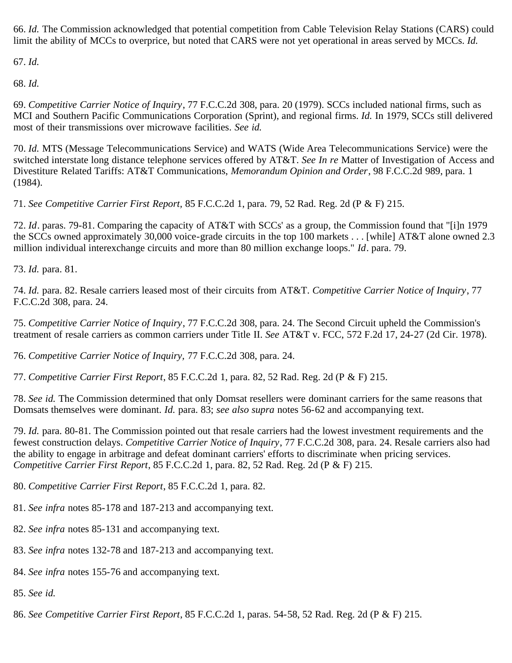<span id="page-40-0"></span>66. *Id.* The Commission acknowledged that potential competition from Cable Television Relay Stations (CARS) could limit the ability of MCCs to overprice, but noted that CARS were not yet operational in areas served by MCCs. *Id.*

<span id="page-40-1"></span>67. *Id.*

<span id="page-40-2"></span>68. *Id.*

<span id="page-40-3"></span>69. *Competitive Carrier Notice of Inquiry*, 77 F.C.C.2d 308, para. 20 (1979). SCCs included national firms, such as MCI and Southern Pacific Communications Corporation (Sprint), and regional firms. *Id.* In 1979, SCCs still delivered most of their transmissions over microwave facilities. *See id.*

<span id="page-40-4"></span>70. *Id.* MTS (Message Telecommunications Service) and WATS (Wide Area Telecommunications Service) were the switched interstate long distance telephone services offered by AT&T. *See In re* Matter of Investigation of Access and Divestiture Related Tariffs: AT&T Communications, *Memorandum Opinion and Order*, 98 F.C.C.2d 989, para. 1 (1984).

<span id="page-40-5"></span>71. *See Competitive Carrier First Report,* 85 F.C.C.2d 1, para. 79, 52 Rad. Reg. 2d (P & F) 215.

<span id="page-40-6"></span>72. *Id*. paras. 79-81. Comparing the capacity of AT&T with SCCs' as a group, the Commission found that "[i]n 1979 the SCCs owned approximately 30,000 voice-grade circuits in the top 100 markets . . . [while] AT&T alone owned 2.3 million individual interexchange circuits and more than 80 million exchange loops." *Id*. para. 79.

<span id="page-40-7"></span>73. *Id.* para. 81.

<span id="page-40-8"></span>74. *Id.* para. 82. Resale carriers leased most of their circuits from AT&T. *Competitive Carrier Notice of Inquiry*, 77 F.C.C.2d 308, para. 24.

<span id="page-40-9"></span>75. *Competitive Carrier Notice of Inquiry*, 77 F.C.C.2d 308, para. 24. The Second Circuit upheld the Commission's treatment of resale carriers as common carriers under Title II. *See* AT&T v. FCC, 572 F.2d 17, 24-27 (2d Cir. 1978).

<span id="page-40-10"></span>76. *Competitive Carrier Notice of Inquiry,* 77 F.C.C.2d 308, para. 24.

<span id="page-40-11"></span>77. *Competitive Carrier First Report*, 85 F.C.C.2d 1, para. 82, 52 Rad. Reg. 2d (P & F) 215.

<span id="page-40-12"></span>78. *See id.* The Commission determined that only Domsat resellers were dominant carriers for the same reasons that Domsats themselves were dominant. *Id.* para. 83; *see also supra* notes 56-62 and accompanying text.

<span id="page-40-13"></span>79. *Id.* para. 80-81. The Commission pointed out that resale carriers had the lowest investment requirements and the fewest construction delays. *Competitive Carrier Notice of Inquiry*, 77 F.C.C.2d 308, para. 24. Resale carriers also had the ability to engage in arbitrage and defeat dominant carriers' efforts to discriminate when pricing services. *Competitive Carrier First Report*, 85 F.C.C.2d 1, para. 82, 52 Rad. Reg. 2d (P & F) 215.

<span id="page-40-14"></span>80. *Competitive Carrier First Report*, 85 F.C.C.2d 1, para. 82.

- <span id="page-40-15"></span>81. *See infra* notes 85-178 and 187-213 and accompanying text.
- <span id="page-40-16"></span>82. *See infra* notes 85-131 and accompanying text.
- <span id="page-40-17"></span>83. *See infra* notes 132-78 and 187-213 and accompanying text.

<span id="page-40-18"></span>84. *See infra* notes 155-76 and accompanying text.

- <span id="page-40-19"></span>85. *See id.*
- <span id="page-40-20"></span>86. *See Competitive Carrier First Report*, 85 F.C.C.2d 1, paras. 54-58, 52 Rad. Reg. 2d (P & F) 215.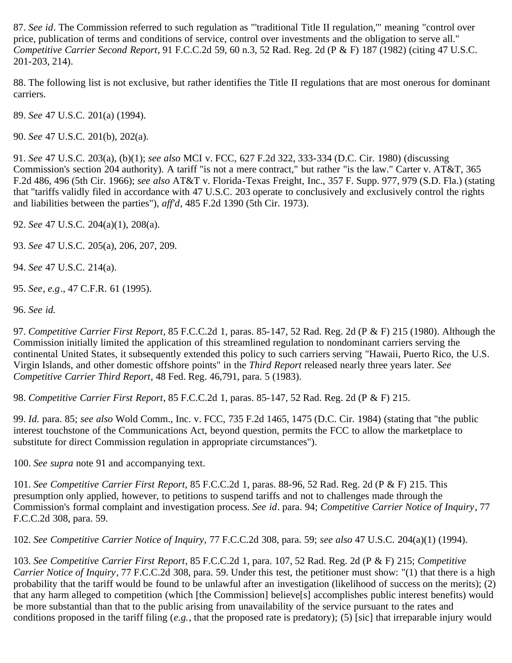<span id="page-41-0"></span>87. *See id*. The Commission referred to such regulation as "'traditional Title II regulation,'" meaning "control over price, publication of terms and conditions of service, control over investments and the obligation to serve all." *Competitive Carrier Second Report*, 91 F.C.C.2d 59, 60 n.3, 52 Rad. Reg. 2d (P & F) 187 (1982) (citing 47 U.S.C. 201-203, 214).

<span id="page-41-1"></span>88. The following list is not exclusive, but rather identifies the Title II regulations that are most onerous for dominant carriers.

<span id="page-41-2"></span>89. *See* 47 U.S.C. 201(a) (1994).

<span id="page-41-3"></span>90. *See* 47 U.S.C. 201(b), 202(a).

<span id="page-41-4"></span>91. *See* 47 U.S.C. 203(a), (b)(1); *see also* MCI v. FCC, 627 F.2d 322, 333-334 (D.C. Cir. 1980) (discussing Commission's section 204 authority). A tariff "is not a mere contract," but rather "is the law." Carter v. AT&T, 365 F.2d 486, 496 (5th Cir. 1966); *see also* AT&T v. Florida-Texas Freight, Inc., 357 F. Supp. 977, 979 (S.D. Fla.) (stating that "tariffs validly filed in accordance with 47 U.S.C. 203 operate to conclusively and exclusively control the rights and liabilities between the parties"), *aff'd*, 485 F.2d 1390 (5th Cir. 1973).

<span id="page-41-5"></span>92. *See* 47 U.S.C. 204(a)(1), 208(a).

<span id="page-41-6"></span>93. *See* 47 U.S.C. 205(a), 206, 207, 209.

<span id="page-41-7"></span>94. *See* 47 U.S.C. 214(a).

<span id="page-41-8"></span>95. *See*, *e.g*., 47 C.F.R. 61 (1995).

<span id="page-41-9"></span>96. *See id.*

<span id="page-41-10"></span>97. *Competitive Carrier First Report*, 85 F.C.C.2d 1, paras. 85-147, 52 Rad. Reg. 2d (P & F) 215 (1980). Although the Commission initially limited the application of this streamlined regulation to nondominant carriers serving the continental United States, it subsequently extended this policy to such carriers serving "Hawaii, Puerto Rico, the U.S. Virgin Islands, and other domestic offshore points" in the *Third Report* released nearly three years later. *See Competitive Carrier Third Report*, 48 Fed. Reg. 46,791, para. 5 (1983).

<span id="page-41-11"></span>98. *Competitive Carrier First Report*, 85 F.C.C.2d 1, paras. 85-147, 52 Rad. Reg. 2d (P & F) 215.

<span id="page-41-12"></span>99. *Id.* para. 85; *see also* Wold Comm., Inc. v. FCC, 735 F.2d 1465, 1475 (D.C. Cir. 1984) (stating that "the public interest touchstone of the Communications Act, beyond question, permits the FCC to allow the marketplace to substitute for direct Commission regulation in appropriate circumstances").

<span id="page-41-13"></span>100. *See supra* note 91 and accompanying text.

<span id="page-41-14"></span>101. *See Competitive Carrier First Report,* 85 F.C.C.2d 1, paras. 88-96, 52 Rad. Reg. 2d (P & F) 215. This presumption only applied, however, to petitions to suspend tariffs and not to challenges made through the Commission's formal complaint and investigation process. *See id*. para. 94; *Competitive Carrier Notice of Inquiry*, 77 F.C.C.2d 308, para. 59.

<span id="page-41-15"></span>102. *See Competitive Carrier Notice of Inquiry,* 77 F.C.C.2d 308, para. 59; *see also* 47 U.S.C. 204(a)(1) (1994).

<span id="page-41-16"></span>103. *See Competitive Carrier First Report*, 85 F.C.C.2d 1, para. 107, 52 Rad. Reg. 2d (P & F) 215; *Competitive Carrier Notice of Inquiry*, 77 F.C.C.2d 308, para. 59. Under this test, the petitioner must show: "(1) that there is a high probability that the tariff would be found to be unlawful after an investigation (likelihood of success on the merits); (2) that any harm alleged to competition (which [the Commission] believe[s] accomplishes public interest benefits) would be more substantial than that to the public arising from unavailability of the service pursuant to the rates and conditions proposed in the tariff filing (*e.g.*, that the proposed rate is predatory); (5) [sic] that irreparable injury would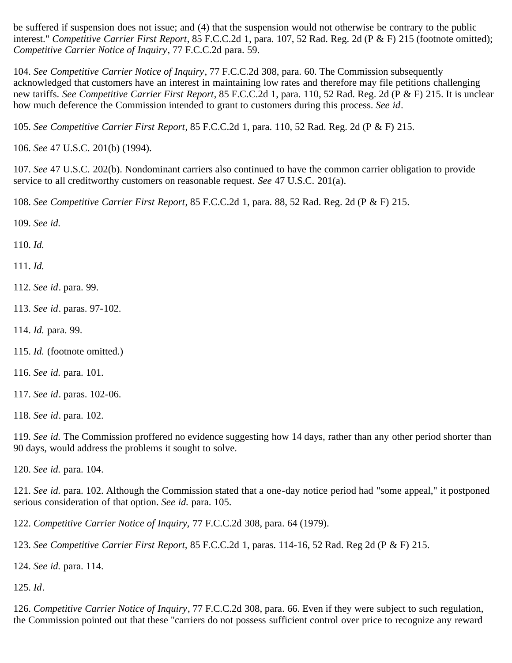be suffered if suspension does not issue; and (4) that the suspension would not otherwise be contrary to the public interest." *Competitive Carrier First Report*, 85 F.C.C.2d 1, para. 107, 52 Rad. Reg. 2d (P & F) 215 (footnote omitted); *Competitive Carrier Notice of Inquiry*, 77 F.C.C.2d para. 59.

<span id="page-42-0"></span>104. *See Competitive Carrier Notice of Inquiry*, 77 F.C.C.2d 308, para. 60. The Commission subsequently acknowledged that customers have an interest in maintaining low rates and therefore may file petitions challenging new tariffs. *See Competitive Carrier First Report*, 85 F.C.C.2d 1, para. 110, 52 Rad. Reg. 2d (P & F) 215. It is unclear how much deference the Commission intended to grant to customers during this process. *See id*.

<span id="page-42-1"></span>105. *See Competitive Carrier First Report*, 85 F.C.C.2d 1, para. 110, 52 Rad. Reg. 2d (P & F) 215.

<span id="page-42-2"></span>106. *See* 47 U.S.C. 201(b) (1994).

<span id="page-42-3"></span>107. *See* 47 U.S.C. 202(b). Nondominant carriers also continued to have the common carrier obligation to provide service to all creditworthy customers on reasonable request. *See* 47 U.S.C. 201(a).

<span id="page-42-4"></span>108. *See Competitive Carrier First Report*, 85 F.C.C.2d 1, para. 88, 52 Rad. Reg. 2d (P & F) 215.

<span id="page-42-5"></span>109. *See id.*

<span id="page-42-6"></span>110. *Id.*

<span id="page-42-7"></span>111. *Id.*

- <span id="page-42-8"></span>112. *See id*. para. 99.
- <span id="page-42-9"></span>113. *See id*. paras. 97-102.
- <span id="page-42-10"></span>114. *Id.* para. 99.
- <span id="page-42-11"></span>115. *Id.* (footnote omitted.)
- <span id="page-42-12"></span>116. *See id.* para. 101.
- <span id="page-42-13"></span>117. *See id*. paras. 102-06.

<span id="page-42-14"></span>118. *See id*. para. 102.

<span id="page-42-15"></span>119. *See id.* The Commission proffered no evidence suggesting how 14 days, rather than any other period shorter than 90 days, would address the problems it sought to solve.

<span id="page-42-16"></span>120. *See id.* para. 104.

<span id="page-42-17"></span>121. *See id.* para. 102. Although the Commission stated that a one-day notice period had "some appeal," it postponed serious consideration of that option. *See id.* para. 105.

<span id="page-42-18"></span>122. *Competitive Carrier Notice of Inquiry,* 77 F.C.C.2d 308, para. 64 (1979).

<span id="page-42-19"></span>123. *See Competitive Carrier First Report,* 85 F.C.C.2d 1, paras. 114-16, 52 Rad. Reg 2d (P & F) 215.

<span id="page-42-20"></span>124. *See id.* para. 114.

<span id="page-42-21"></span>125. *Id*.

<span id="page-42-22"></span>126. *Competitive Carrier Notice of Inquiry*, 77 F.C.C.2d 308, para. 66. Even if they were subject to such regulation, the Commission pointed out that these "carriers do not possess sufficient control over price to recognize any reward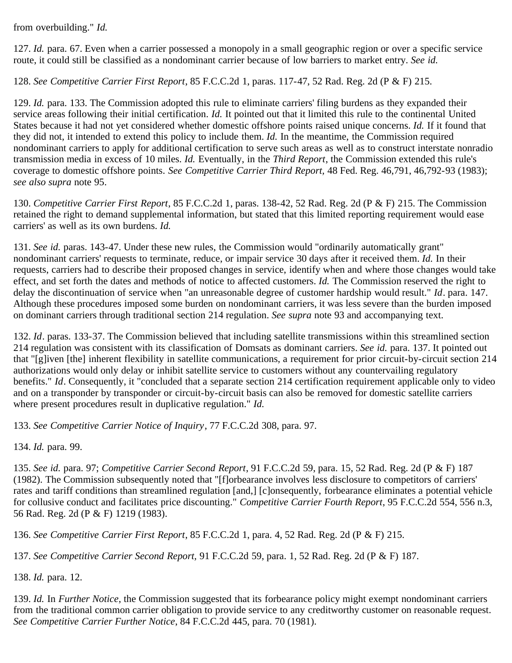from overbuilding." *Id.*

<span id="page-43-0"></span>127. *Id.* para. 67. Even when a carrier possessed a monopoly in a small geographic region or over a specific service route, it could still be classified as a nondominant carrier because of low barriers to market entry. *See id.*

<span id="page-43-1"></span>128. *See Competitive Carrier First Report*, 85 F.C.C.2d 1, paras. 117-47, 52 Rad. Reg. 2d (P & F) 215.

<span id="page-43-2"></span>129. *Id.* para. 133. The Commission adopted this rule to eliminate carriers' filing burdens as they expanded their service areas following their initial certification. *Id.* It pointed out that it limited this rule to the continental United States because it had not yet considered whether domestic offshore points raised unique concerns. *Id.* If it found that they did not, it intended to extend this policy to include them. *Id.* In the meantime, the Commission required nondominant carriers to apply for additional certification to serve such areas as well as to construct interstate nonradio transmission media in excess of 10 miles. *Id.* Eventually, in the *Third Report*, the Commission extended this rule's coverage to domestic offshore points. *See Competitive Carrier Third Report,* 48 Fed. Reg. 46,791, 46,792-93 (1983); *see also supra* note 95.

<span id="page-43-3"></span>130. *Competitive Carrier First Report*, 85 F.C.C.2d 1, paras. 138-42, 52 Rad. Reg. 2d (P & F) 215. The Commission retained the right to demand supplemental information, but stated that this limited reporting requirement would ease carriers' as well as its own burdens. *Id.*

<span id="page-43-4"></span>131. *See id.* paras. 143-47. Under these new rules, the Commission would "ordinarily automatically grant" nondominant carriers' requests to terminate, reduce, or impair service 30 days after it received them. *Id.* In their requests, carriers had to describe their proposed changes in service, identify when and where those changes would take effect, and set forth the dates and methods of notice to affected customers. *Id.* The Commission reserved the right to delay the discontinuation of service when "an unreasonable degree of customer hardship would result." *Id*. para. 147. Although these procedures imposed some burden on nondominant carriers, it was less severe than the burden imposed on dominant carriers through traditional section 214 regulation. *See supra* note 93 and accompanying text.

<span id="page-43-5"></span>132. *Id*. paras. 133-37. The Commission believed that including satellite transmissions within this streamlined section 214 regulation was consistent with its classification of Domsats as dominant carriers. *See id.* para. 137. It pointed out that "[g]iven [the] inherent flexibility in satellite communications, a requirement for prior circuit-by-circuit section 214 authorizations would only delay or inhibit satellite service to customers without any countervailing regulatory benefits." *Id*. Consequently, it "concluded that a separate section 214 certification requirement applicable only to video and on a transponder by transponder or circuit-by-circuit basis can also be removed for domestic satellite carriers where present procedures result in duplicative regulation." *Id.*

<span id="page-43-6"></span>133. *See Competitive Carrier Notice of Inquiry*, 77 F.C.C.2d 308, para. 97.

<span id="page-43-7"></span>134. *Id.* para. 99.

<span id="page-43-8"></span>135. *See id.* para. 97; *Competitive Carrier Second Report*, 91 F.C.C.2d 59, para. 15, 52 Rad. Reg. 2d (P & F) 187 (1982). The Commission subsequently noted that "[f]orbearance involves less disclosure to competitors of carriers' rates and tariff conditions than streamlined regulation [and,] [c]onsequently, forbearance eliminates a potential vehicle for collusive conduct and facilitates price discounting." *Competitive Carrier Fourth Report*, 95 F.C.C.2d 554, 556 n.3, 56 Rad. Reg. 2d (P & F) 1219 (1983).

<span id="page-43-9"></span>136. *See Competitive Carrier First Report*, 85 F.C.C.2d 1, para. 4, 52 Rad. Reg. 2d (P & F) 215.

<span id="page-43-10"></span>137. *See Competitive Carrier Second Report,* 91 F.C.C.2d 59, para. 1, 52 Rad. Reg. 2d (P & F) 187.

<span id="page-43-11"></span>138. *Id.* para. 12.

<span id="page-43-12"></span>139. *Id.* In *Further Notice*, the Commission suggested that its forbearance policy might exempt nondominant carriers from the traditional common carrier obligation to provide service to any creditworthy customer on reasonable request. *See Competitive Carrier Further Notice*, 84 F.C.C.2d 445, para. 70 (1981).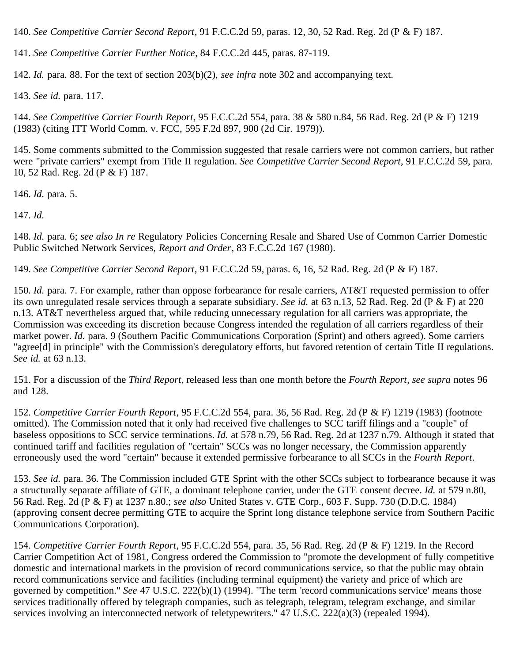<span id="page-44-0"></span>140. *See Competitive Carrier Second Report*, 91 F.C.C.2d 59, paras. 12, 30, 52 Rad. Reg. 2d (P & F) 187.

<span id="page-44-1"></span>141. *See Competitive Carrier Further Notice*, 84 F.C.C.2d 445, paras. 87-119.

<span id="page-44-2"></span>142. *Id.* para. 88. For the text of section 203(b)(2), *see infra* note 302 and accompanying text.

<span id="page-44-3"></span>143. *See id.* para. 117.

<span id="page-44-4"></span>144. *See Competitive Carrier Fourth Report*, 95 F.C.C.2d 554, para. 38 & 580 n.84, 56 Rad. Reg. 2d (P & F) 1219 (1983) (citing ITT World Comm. v. FCC, 595 F.2d 897, 900 (2d Cir. 1979)).

<span id="page-44-5"></span>145. Some comments submitted to the Commission suggested that resale carriers were not common carriers, but rather were "private carriers" exempt from Title II regulation. *See Competitive Carrier Second Report*, 91 F.C.C.2d 59, para. 10, 52 Rad. Reg. 2d (P & F) 187.

<span id="page-44-6"></span>146. *Id.* para. 5.

<span id="page-44-7"></span>147. *Id.*

<span id="page-44-8"></span>148. *Id.* para. 6; *see also In re* Regulatory Policies Concerning Resale and Shared Use of Common Carrier Domestic Public Switched Network Services, *Report and Order*, 83 F.C.C.2d 167 (1980).

<span id="page-44-9"></span>149. *See Competitive Carrier Second Report*, 91 F.C.C.2d 59, paras. 6, 16, 52 Rad. Reg. 2d (P & F) 187.

<span id="page-44-10"></span>150. *Id.* para. 7. For example, rather than oppose forbearance for resale carriers, AT&T requested permission to offer its own unregulated resale services through a separate subsidiary. *See id.* at 63 n.13, 52 Rad. Reg. 2d (P & F) at 220 n.13. AT&T nevertheless argued that, while reducing unnecessary regulation for all carriers was appropriate, the Commission was exceeding its discretion because Congress intended the regulation of all carriers regardless of their market power. *Id.* para. 9 (Southern Pacific Communications Corporation (Sprint) and others agreed). Some carriers "agree[d] in principle" with the Commission's deregulatory efforts, but favored retention of certain Title II regulations. *See id.* at 63 n.13.

<span id="page-44-11"></span>151. For a discussion of the *Third Report*, released less than one month before the *Fourth Report*, *see supra* notes 96 and 128.

<span id="page-44-12"></span>152. *Competitive Carrier Fourth Report*, 95 F.C.C.2d 554, para. 36, 56 Rad. Reg. 2d (P & F) 1219 (1983) (footnote omitted). The Commission noted that it only had received five challenges to SCC tariff filings and a "couple" of baseless oppositions to SCC service terminations. *Id.* at 578 n.79, 56 Rad. Reg. 2d at 1237 n.79. Although it stated that continued tariff and facilities regulation of "certain" SCCs was no longer necessary, the Commission apparently erroneously used the word "certain" because it extended permissive forbearance to all SCCs in the *Fourth Report*.

<span id="page-44-13"></span>153. *See id.* para. 36. The Commission included GTE Sprint with the other SCCs subject to forbearance because it was a structurally separate affiliate of GTE, a dominant telephone carrier, under the GTE consent decree. *Id.* at 579 n.80, 56 Rad. Reg. 2d (P & F) at 1237 n.80.; *see also* United States v. GTE Corp., 603 F. Supp. 730 (D.D.C. 1984) (approving consent decree permitting GTE to acquire the Sprint long distance telephone service from Southern Pacific Communications Corporation).

<span id="page-44-14"></span>154. *Competitive Carrier Fourth Report*, 95 F.C.C.2d 554, para. 35, 56 Rad. Reg. 2d (P & F) 1219. In the Record Carrier Competition Act of 1981, Congress ordered the Commission to "promote the development of fully competitive domestic and international markets in the provision of record communications service, so that the public may obtain record communications service and facilities (including terminal equipment) the variety and price of which are governed by competition." *See* 47 U.S.C. 222(b)(1) (1994). "The term 'record communications service' means those services traditionally offered by telegraph companies, such as telegraph, telegram, telegram exchange, and similar services involving an interconnected network of teletypewriters." 47 U.S.C. 222(a)(3) (repealed 1994).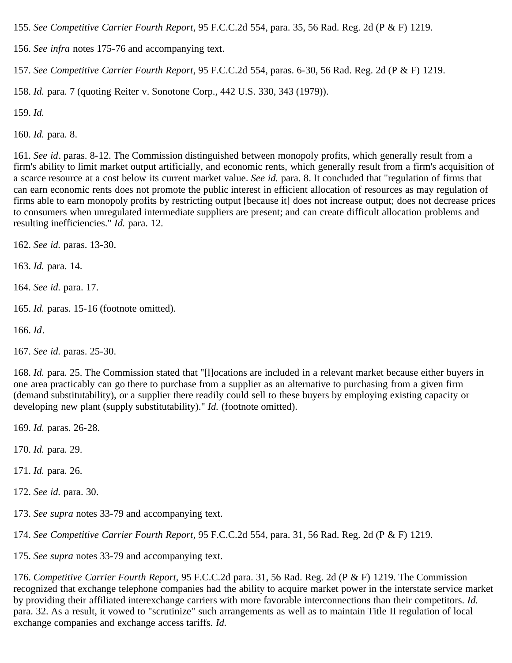<span id="page-45-0"></span>155. *See Competitive Carrier Fourth Report*, 95 F.C.C.2d 554, para. 35, 56 Rad. Reg. 2d (P & F) 1219.

<span id="page-45-1"></span>156. *See infra* notes 175-76 and accompanying text.

<span id="page-45-2"></span>157. *See Competitive Carrier Fourth Report*, 95 F.C.C.2d 554, paras. 6-30, 56 Rad. Reg. 2d (P & F) 1219.

<span id="page-45-3"></span>158. *Id.* para. 7 (quoting Reiter v. Sonotone Corp., 442 U.S. 330, 343 (1979)).

<span id="page-45-4"></span>159. *Id.*

<span id="page-45-5"></span>160. *Id.* para. 8.

<span id="page-45-6"></span>161. *See id*. paras. 8-12. The Commission distinguished between monopoly profits, which generally result from a firm's ability to limit market output artificially, and economic rents, which generally result from a firm's acquisition of a scarce resource at a cost below its current market value. *See id.* para. 8. It concluded that "regulation of firms that can earn economic rents does not promote the public interest in efficient allocation of resources as may regulation of firms able to earn monopoly profits by restricting output [because it] does not increase output; does not decrease prices to consumers when unregulated intermediate suppliers are present; and can create difficult allocation problems and resulting inefficiencies." *Id.* para. 12.

<span id="page-45-7"></span>162. *See id.* paras. 13-30.

<span id="page-45-8"></span>163. *Id.* para. 14.

<span id="page-45-9"></span>164. *See id.* para. 17.

<span id="page-45-10"></span>165. *Id.* paras. 15-16 (footnote omitted).

<span id="page-45-11"></span>166. *Id*.

<span id="page-45-12"></span>167. *See id.* paras. 25-30.

<span id="page-45-13"></span>168. *Id.* para. 25. The Commission stated that "[l]ocations are included in a relevant market because either buyers in one area practicably can go there to purchase from a supplier as an alternative to purchasing from a given firm (demand substitutability), or a supplier there readily could sell to these buyers by employing existing capacity or developing new plant (supply substitutability)." *Id.* (footnote omitted).

<span id="page-45-14"></span>169. *Id.* paras. 26-28.

<span id="page-45-15"></span>170. *Id.* para. 29.

<span id="page-45-16"></span>171. *Id.* para. 26.

<span id="page-45-17"></span>172. *See id.* para. 30.

<span id="page-45-18"></span>173. *See supra* notes 33-79 and accompanying text.

<span id="page-45-19"></span>174. *See Competitive Carrier Fourth Report*, 95 F.C.C.2d 554, para. 31, 56 Rad. Reg. 2d (P & F) 1219.

<span id="page-45-20"></span>175. *See supra* notes 33-79 and accompanying text.

<span id="page-45-21"></span>176. *Competitive Carrier Fourth Report,* 95 F.C.C.2d para. 31, 56 Rad. Reg. 2d (P & F) 1219. The Commission recognized that exchange telephone companies had the ability to acquire market power in the interstate service market by providing their affiliated interexchange carriers with more favorable interconnections than their competitors. *Id.* para. 32. As a result, it vowed to "scrutinize" such arrangements as well as to maintain Title II regulation of local exchange companies and exchange access tariffs. *Id.*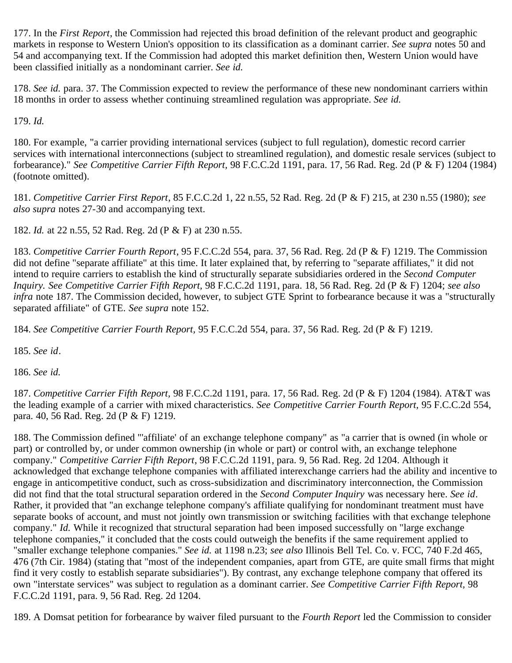<span id="page-46-0"></span>177. In the *First Report*, the Commission had rejected this broad definition of the relevant product and geographic markets in response to Western Union's opposition to its classification as a dominant carrier. *See supra* notes 50 and 54 and accompanying text. If the Commission had adopted this market definition then, Western Union would have been classified initially as a nondominant carrier. *See id.*

<span id="page-46-1"></span>178. *See id.* para. 37. The Commission expected to review the performance of these new nondominant carriers within 18 months in order to assess whether continuing streamlined regulation was appropriate. *See id.*

<span id="page-46-2"></span>179. *Id.*

<span id="page-46-3"></span>180. For example, "a carrier providing international services (subject to full regulation), domestic record carrier services with international interconnections (subject to streamlined regulation), and domestic resale services (subject to forbearance)." *See Competitive Carrier Fifth Report,* 98 F.C.C.2d 1191, para. 17, 56 Rad. Reg. 2d (P & F) 1204 (1984) (footnote omitted).

<span id="page-46-4"></span>181. *Competitive Carrier First Report*, 85 F.C.C.2d 1, 22 n.55, 52 Rad. Reg. 2d (P & F) 215, at 230 n.55 (1980); *see also supra* notes 27-30 and accompanying text.

<span id="page-46-5"></span>182. *Id.* at 22 n.55, 52 Rad. Reg. 2d (P & F) at 230 n.55.

<span id="page-46-6"></span>183. *Competitive Carrier Fourth Report*, 95 F.C.C.2d 554, para. 37, 56 Rad. Reg. 2d (P & F) 1219. The Commission did not define "separate affiliate" at this time. It later explained that, by referring to "separate affiliates," it did not intend to require carriers to establish the kind of structurally separate subsidiaries ordered in the *Second Computer Inquiry. See Competitive Carrier Fifth Report,* 98 F.C.C.2d 1191, para. 18, 56 Rad. Reg. 2d (P & F) 1204; *see also infra* note 187. The Commission decided, however, to subject GTE Sprint to forbearance because it was a "structurally separated affiliate" of GTE. *See supra* note 152.

<span id="page-46-7"></span>184. *See Competitive Carrier Fourth Report,* 95 F.C.C.2d 554, para. 37, 56 Rad. Reg. 2d (P & F) 1219.

<span id="page-46-8"></span>185. *See id*.

<span id="page-46-9"></span>186. *See id.*

<span id="page-46-10"></span>187. *Competitive Carrier Fifth Report,* 98 F.C.C.2d 1191, para. 17, 56 Rad. Reg. 2d (P & F) 1204 (1984). AT&T was the leading example of a carrier with mixed characteristics. *See Competitive Carrier Fourth Report,* 95 F.C.C.2d 554, para. 40, 56 Rad. Reg. 2d (P & F) 1219.

<span id="page-46-11"></span>188. The Commission defined "'affiliate' of an exchange telephone company" as "a carrier that is owned (in whole or part) or controlled by, or under common ownership (in whole or part) or control with, an exchange telephone company." *Competitive Carrier Fifth Report*, 98 F.C.C.2d 1191, para. 9, 56 Rad. Reg. 2d 1204. Although it acknowledged that exchange telephone companies with affiliated interexchange carriers had the ability and incentive to engage in anticompetitive conduct, such as cross-subsidization and discriminatory interconnection, the Commission did not find that the total structural separation ordered in the *Second Computer Inquiry* was necessary here. *See id*. Rather, it provided that "an exchange telephone company's affiliate qualifying for nondominant treatment must have separate books of account, and must not jointly own transmission or switching facilities with that exchange telephone company." *Id.* While it recognized that structural separation had been imposed successfully on "large exchange telephone companies," it concluded that the costs could outweigh the benefits if the same requirement applied to "smaller exchange telephone companies." *See id.* at 1198 n.23; *see also* Illinois Bell Tel. Co. v. FCC, 740 F.2d 465, 476 (7th Cir. 1984) (stating that "most of the independent companies, apart from GTE, are quite small firms that might find it very costly to establish separate subsidiaries"). By contrast, any exchange telephone company that offered its own "interstate services" was subject to regulation as a dominant carrier. *See Competitive Carrier Fifth Report,* 98 F.C.C.2d 1191, para. 9, 56 Rad. Reg. 2d 1204.

<span id="page-46-12"></span>189. A Domsat petition for forbearance by waiver filed pursuant to the *Fourth Report* led the Commission to consider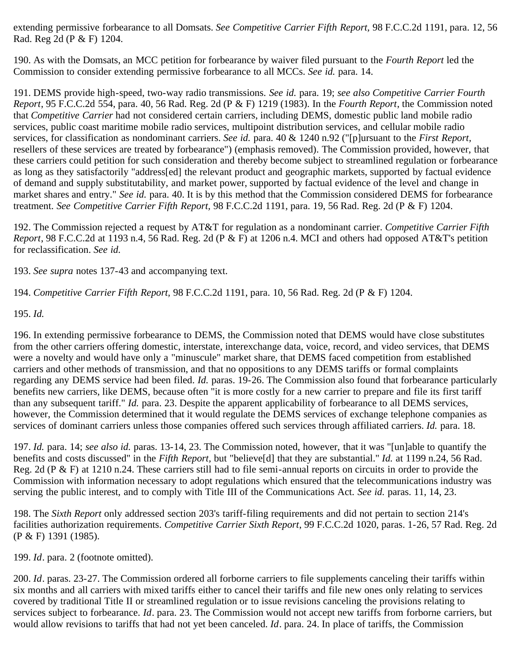extending permissive forbearance to all Domsats. *See Competitive Carrier Fifth Report,* 98 F.C.C.2d 1191, para. 12, 56 Rad. Reg 2d (P & F) 1204.

<span id="page-47-0"></span>190. As with the Domsats, an MCC petition for forbearance by waiver filed pursuant to the *Fourth Report* led the Commission to consider extending permissive forbearance to all MCCs. *See id.* para. 14.

<span id="page-47-1"></span>191. DEMS provide high-speed, two-way radio transmissions. *See id.* para. 19; *see also Competitive Carrier Fourth Report*, 95 F.C.C.2d 554, para. 40, 56 Rad. Reg. 2d (P & F) 1219 (1983). In the *Fourth Report*, the Commission noted that *Competitive Carrier* had not considered certain carriers, including DEMS, domestic public land mobile radio services, public coast maritime mobile radio services, multipoint distribution services, and cellular mobile radio services, for classification as nondominant carriers. *See id.* para. 40 & 1240 n.92 ("[p]ursuant to the *First Report,* resellers of these services are treated by forbearance") (emphasis removed). The Commission provided, however, that these carriers could petition for such consideration and thereby become subject to streamlined regulation or forbearance as long as they satisfactorily "address[ed] the relevant product and geographic markets, supported by factual evidence of demand and supply substitutability, and market power, supported by factual evidence of the level and change in market shares and entry." *See id.* para. 40. It is by this method that the Commission considered DEMS for forbearance treatment. *See Competitive Carrier Fifth Report,* 98 F.C.C.2d 1191, para. 19, 56 Rad. Reg. 2d (P & F) 1204.

<span id="page-47-2"></span>192. The Commission rejected a request by AT&T for regulation as a nondominant carrier. *Competitive Carrier Fifth Report*, 98 F.C.C.2d at 1193 n.4, 56 Rad. Reg. 2d (P & F) at 1206 n.4. MCI and others had opposed AT&T's petition for reclassification. *See id.*

<span id="page-47-3"></span>193. *See supra* notes 137-43 and accompanying text.

<span id="page-47-4"></span>194. *Competitive Carrier Fifth Report,* 98 F.C.C.2d 1191, para. 10, 56 Rad. Reg. 2d (P & F) 1204.

<span id="page-47-5"></span>195. *Id.*

<span id="page-47-6"></span>196. In extending permissive forbearance to DEMS, the Commission noted that DEMS would have close substitutes from the other carriers offering domestic, interstate, interexchange data, voice, record, and video services, that DEMS were a novelty and would have only a "minuscule" market share, that DEMS faced competition from established carriers and other methods of transmission, and that no oppositions to any DEMS tariffs or formal complaints regarding any DEMS service had been filed. *Id.* paras. 19-26. The Commission also found that forbearance particularly benefits new carriers, like DEMS, because often "it is more costly for a new carrier to prepare and file its first tariff than any subsequent tariff." *Id.* para. 23. Despite the apparent applicability of forbearance to all DEMS services, however, the Commission determined that it would regulate the DEMS services of exchange telephone companies as services of dominant carriers unless those companies offered such services through affiliated carriers. *Id.* para. 18.

<span id="page-47-7"></span>197. *Id.* para. 14; *see also id.* paras. 13-14, 23. The Commission noted, however, that it was "[un]able to quantify the benefits and costs discussed" in the *Fifth Report,* but "believe[d] that they are substantial." *Id.* at 1199 n.24, 56 Rad. Reg. 2d (P & F) at 1210 n.24. These carriers still had to file semi-annual reports on circuits in order to provide the Commission with information necessary to adopt regulations which ensured that the telecommunications industry was serving the public interest, and to comply with Title III of the Communications Act. *See id.* paras. 11, 14, 23.

<span id="page-47-8"></span>198. The *Sixth Report* only addressed section 203's tariff-filing requirements and did not pertain to section 214's facilities authorization requirements. *Competitive Carrier Sixth Report*, 99 F.C.C.2d 1020, paras. 1-26, 57 Rad. Reg. 2d (P & F) 1391 (1985).

<span id="page-47-9"></span>199. *Id*. para. 2 (footnote omitted).

<span id="page-47-10"></span>200. *Id*. paras. 23-27. The Commission ordered all forborne carriers to file supplements canceling their tariffs within six months and all carriers with mixed tariffs either to cancel their tariffs and file new ones only relating to services covered by traditional Title II or streamlined regulation or to issue revisions canceling the provisions relating to services subject to forbearance. *Id*. para. 23. The Commission would not accept new tariffs from forborne carriers, but would allow revisions to tariffs that had not yet been canceled. *Id*. para. 24. In place of tariffs, the Commission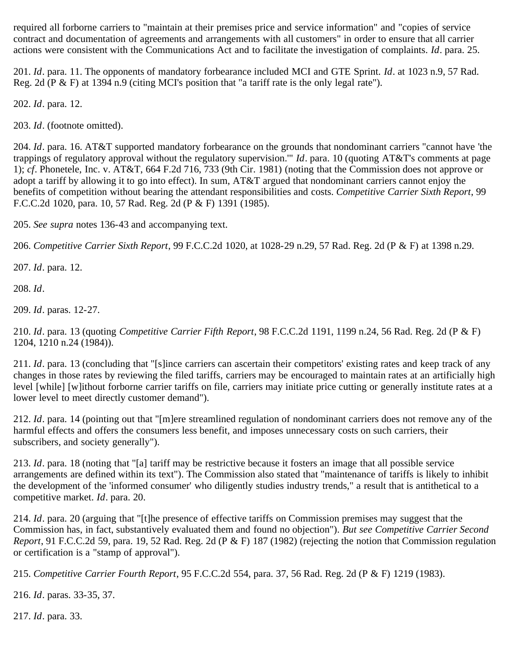required all forborne carriers to "maintain at their premises price and service information" and "copies of service contract and documentation of agreements and arrangements with all customers" in order to ensure that all carrier actions were consistent with the Communications Act and to facilitate the investigation of complaints. *Id*. para. 25.

<span id="page-48-0"></span>201. *Id*. para. 11. The opponents of mandatory forbearance included MCI and GTE Sprint. *Id*. at 1023 n.9, 57 Rad. Reg. 2d (P & F) at 1394 n.9 (citing MCI's position that "a tariff rate is the only legal rate").

<span id="page-48-1"></span>202. *Id*. para. 12.

<span id="page-48-2"></span>203. *Id*. (footnote omitted).

<span id="page-48-3"></span>204. *Id*. para. 16. AT&T supported mandatory forbearance on the grounds that nondominant carriers "cannot have 'the trappings of regulatory approval without the regulatory supervision.'" *Id*. para. 10 (quoting AT&T's comments at page 1); *cf*. Phonetele, Inc. v. AT&T, 664 F.2d 716, 733 (9th Cir. 1981) (noting that the Commission does not approve or adopt a tariff by allowing it to go into effect). In sum, AT&T argued that nondominant carriers cannot enjoy the benefits of competition without bearing the attendant responsibilities and costs. *Competitive Carrier Sixth Report*, 99 F.C.C.2d 1020, para. 10, 57 Rad. Reg. 2d (P & F) 1391 (1985).

<span id="page-48-4"></span>205. *See supra* notes 136-43 and accompanying text.

<span id="page-48-5"></span>206. *Competitive Carrier Sixth Report*, 99 F.C.C.2d 1020, at 1028-29 n.29, 57 Rad. Reg. 2d (P & F) at 1398 n.29.

<span id="page-48-6"></span>207. *Id*. para. 12.

<span id="page-48-7"></span>208. *Id*.

<span id="page-48-8"></span>209. *Id*. paras. 12-27.

<span id="page-48-9"></span>210. *Id*. para. 13 (quoting *Competitive Carrier Fifth Report*, 98 F.C.C.2d 1191, 1199 n.24, 56 Rad. Reg. 2d (P & F) 1204, 1210 n.24 (1984)).

<span id="page-48-10"></span>211. *Id*. para. 13 (concluding that "[s]ince carriers can ascertain their competitors' existing rates and keep track of any changes in those rates by reviewing the filed tariffs, carriers may be encouraged to maintain rates at an artificially high level [while] [w]ithout forborne carrier tariffs on file, carriers may initiate price cutting or generally institute rates at a lower level to meet directly customer demand").

<span id="page-48-11"></span>212. *Id*. para. 14 (pointing out that "[m]ere streamlined regulation of nondominant carriers does not remove any of the harmful effects and offers the consumers less benefit, and imposes unnecessary costs on such carriers, their subscribers, and society generally").

<span id="page-48-12"></span>213. *Id*. para. 18 (noting that "[a] tariff may be restrictive because it fosters an image that all possible service arrangements are defined within its text"). The Commission also stated that "maintenance of tariffs is likely to inhibit the development of the 'informed consumer' who diligently studies industry trends," a result that is antithetical to a competitive market. *Id*. para. 20.

<span id="page-48-13"></span>214. *Id*. para. 20 (arguing that "[t]he presence of effective tariffs on Commission premises may suggest that the Commission has, in fact, substantively evaluated them and found no objection"). *But see Competitive Carrier Second Report*, 91 F.C.C.2d 59, para. 19, 52 Rad. Reg. 2d (P & F) 187 (1982) (rejecting the notion that Commission regulation or certification is a "stamp of approval").

<span id="page-48-14"></span>215. *Competitive Carrier Fourth Report*, 95 F.C.C.2d 554, para. 37, 56 Rad. Reg. 2d (P & F) 1219 (1983).

<span id="page-48-15"></span>216. *Id*. paras. 33-35, 37.

<span id="page-48-16"></span>217. *Id*. para. 33.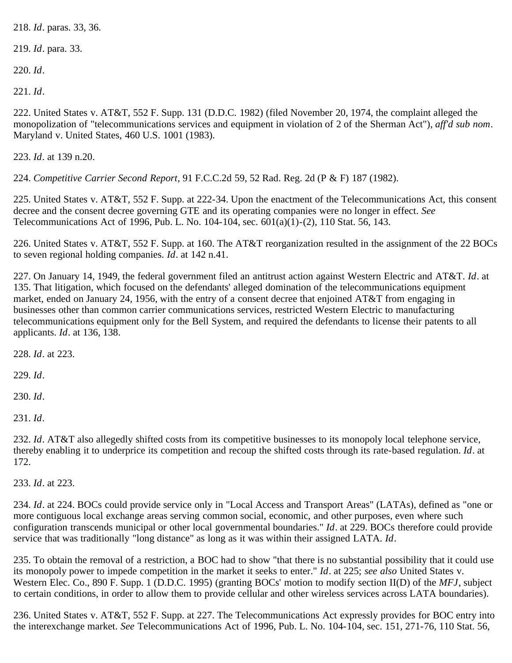<span id="page-49-0"></span>218. *Id*. paras. 33, 36.

<span id="page-49-1"></span>219. *Id*. para. 33.

<span id="page-49-2"></span>220. *Id*.

<span id="page-49-3"></span>221. *Id*.

<span id="page-49-4"></span>222. United States v. AT&T, 552 F. Supp. 131 (D.D.C. 1982) (filed November 20, 1974, the complaint alleged the monopolization of "telecommunications services and equipment in violation of 2 of the Sherman Act"), *aff'd sub nom*. Maryland v. United States, 460 U.S. 1001 (1983).

<span id="page-49-5"></span>223. *Id*. at 139 n.20.

<span id="page-49-6"></span>224. *Competitive Carrier Second Report*, 91 F.C.C.2d 59, 52 Rad. Reg. 2d (P & F) 187 (1982).

<span id="page-49-7"></span>225. United States v. AT&T, 552 F. Supp. at 222-34. Upon the enactment of the Telecommunications Act, this consent decree and the consent decree governing GTE and its operating companies were no longer in effect. *See* Telecommunications Act of 1996, Pub. L. No. 104-104, sec. 601(a)(1)-(2), 110 Stat. 56, 143.

<span id="page-49-8"></span>226. United States v. AT&T, 552 F. Supp. at 160. The AT&T reorganization resulted in the assignment of the 22 BOCs to seven regional holding companies. *Id*. at 142 n.41.

<span id="page-49-9"></span>227. On January 14, 1949, the federal government filed an antitrust action against Western Electric and AT&T. *Id*. at 135. That litigation, which focused on the defendants' alleged domination of the telecommunications equipment market, ended on January 24, 1956, with the entry of a consent decree that enjoined AT&T from engaging in businesses other than common carrier communications services, restricted Western Electric to manufacturing telecommunications equipment only for the Bell System, and required the defendants to license their patents to all applicants. *Id*. at 136, 138.

<span id="page-49-10"></span>228. *Id*. at 223.

<span id="page-49-11"></span>229. *Id*.

<span id="page-49-12"></span>230. *Id*.

<span id="page-49-13"></span>231. *Id*.

<span id="page-49-14"></span>232. *Id*. AT&T also allegedly shifted costs from its competitive businesses to its monopoly local telephone service, thereby enabling it to underprice its competition and recoup the shifted costs through its rate-based regulation. *Id*. at 172.

<span id="page-49-15"></span>233. *Id*. at 223.

<span id="page-49-16"></span>234. *Id*. at 224. BOCs could provide service only in "Local Access and Transport Areas" (LATAs), defined as "one or more contiguous local exchange areas serving common social, economic, and other purposes, even where such configuration transcends municipal or other local governmental boundaries." *Id*. at 229. BOCs therefore could provide service that was traditionally "long distance" as long as it was within their assigned LATA. *Id*.

<span id="page-49-17"></span>235. To obtain the removal of a restriction, a BOC had to show "that there is no substantial possibility that it could use its monopoly power to impede competition in the market it seeks to enter." *Id*. at 225; *see also* United States v. Western Elec. Co., 890 F. Supp. 1 (D.D.C. 1995) (granting BOCs' motion to modify section II(D) of the *MFJ*, subject to certain conditions, in order to allow them to provide cellular and other wireless services across LATA boundaries).

<span id="page-49-18"></span>236. United States v. AT&T, 552 F. Supp. at 227. The Telecommunications Act expressly provides for BOC entry into the interexchange market. *See* Telecommunications Act of 1996, Pub. L. No. 104-104, sec. 151, 271-76, 110 Stat. 56,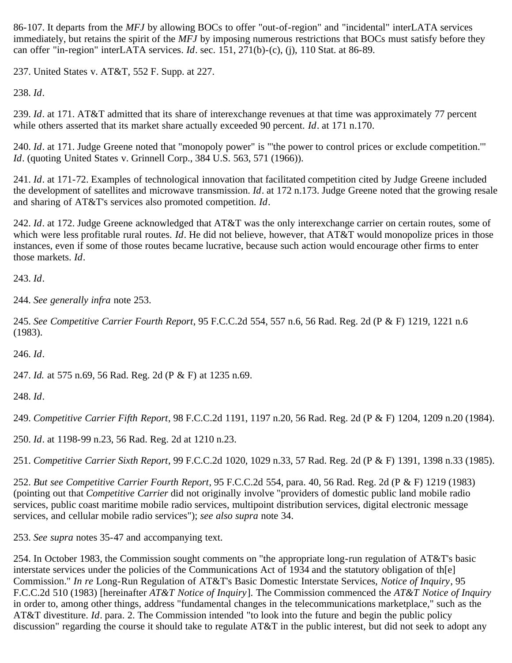86-107. It departs from the *MFJ* by allowing BOCs to offer "out-of-region" and "incidental" interLATA services immediately, but retains the spirit of the *MFJ* by imposing numerous restrictions that BOCs must satisfy before they can offer "in-region" interLATA services. *Id*. sec. 151, 271(b)-(c), (j), 110 Stat. at 86-89.

<span id="page-50-0"></span>237. United States v. AT&T, 552 F. Supp. at 227.

<span id="page-50-1"></span>238. *Id*.

<span id="page-50-2"></span>239. *Id*. at 171. AT&T admitted that its share of interexchange revenues at that time was approximately 77 percent while others asserted that its market share actually exceeded 90 percent. *Id*. at 171 n.170.

<span id="page-50-3"></span>240. *Id*. at 171. Judge Greene noted that "monopoly power" is "'the power to control prices or exclude competition.'" *Id.* (quoting United States v. Grinnell Corp., 384 U.S. 563, 571 (1966)).

<span id="page-50-4"></span>241. *Id*. at 171-72. Examples of technological innovation that facilitated competition cited by Judge Greene included the development of satellites and microwave transmission. *Id*. at 172 n.173. Judge Greene noted that the growing resale and sharing of AT&T's services also promoted competition. *Id*.

<span id="page-50-5"></span>242. *Id*. at 172. Judge Greene acknowledged that AT&T was the only interexchange carrier on certain routes, some of which were less profitable rural routes. *Id*. He did not believe, however, that AT&T would monopolize prices in those instances, even if some of those routes became lucrative, because such action would encourage other firms to enter those markets. *Id*.

<span id="page-50-6"></span>243. *Id*.

<span id="page-50-7"></span>244. *See generally infra* note 253.

<span id="page-50-8"></span>245. *See Competitive Carrier Fourth Report*, 95 F.C.C.2d 554, 557 n.6, 56 Rad. Reg. 2d (P & F) 1219, 1221 n.6 (1983).

<span id="page-50-9"></span>246. *Id*.

<span id="page-50-10"></span>247. *Id.* at 575 n.69, 56 Rad. Reg. 2d (P & F) at 1235 n.69.

<span id="page-50-11"></span>248. *Id*.

<span id="page-50-12"></span>249. *Competitive Carrier Fifth Report*, 98 F.C.C.2d 1191, 1197 n.20, 56 Rad. Reg. 2d (P & F) 1204, 1209 n.20 (1984).

<span id="page-50-13"></span>250. *Id*. at 1198-99 n.23, 56 Rad. Reg. 2d at 1210 n.23.

<span id="page-50-14"></span>251. *Competitive Carrier Sixth Report*, 99 F.C.C.2d 1020, 1029 n.33, 57 Rad. Reg. 2d (P & F) 1391, 1398 n.33 (1985).

<span id="page-50-15"></span>252. *But see Competitive Carrier Fourth Report*, 95 F.C.C.2d 554, para. 40, 56 Rad. Reg. 2d (P & F) 1219 (1983) (pointing out that *Competitive Carrier* did not originally involve "providers of domestic public land mobile radio services, public coast maritime mobile radio services, multipoint distribution services, digital electronic message services, and cellular mobile radio services"); *see also supra* note 34.

<span id="page-50-16"></span>253. *See supra* notes 35-47 and accompanying text.

<span id="page-50-17"></span>254. In October 1983, the Commission sought comments on "the appropriate long-run regulation of AT&T's basic interstate services under the policies of the Communications Act of 1934 and the statutory obligation of th[e] Commission." *In re* Long-Run Regulation of AT&T's Basic Domestic Interstate Services, *Notice of Inquiry*, 95 F.C.C.2d 510 (1983) [hereinafter *AT&T Notice of Inquiry*]. The Commission commenced the *AT&T Notice of Inquiry* in order to, among other things, address "fundamental changes in the telecommunications marketplace," such as the AT&T divestiture. *Id*. para. 2. The Commission intended "to look into the future and begin the public policy discussion" regarding the course it should take to regulate AT&T in the public interest, but did not seek to adopt any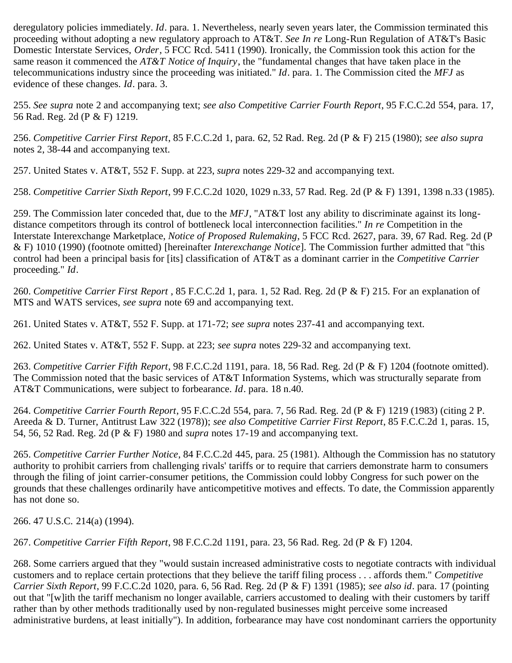deregulatory policies immediately. *Id*. para. 1. Nevertheless, nearly seven years later, the Commission terminated this proceeding without adopting a new regulatory approach to AT&T. *See In re* Long-Run Regulation of AT&T's Basic Domestic Interstate Services, *Order*, 5 FCC Rcd. 5411 (1990). Ironically, the Commission took this action for the same reason it commenced the *AT&T Notice of Inquiry*, the "fundamental changes that have taken place in the telecommunications industry since the proceeding was initiated." *Id*. para. 1. The Commission cited the *MFJ* as evidence of these changes. *Id*. para. 3.

<span id="page-51-0"></span>255. *See supra* note 2 and accompanying text; *see also Competitive Carrier Fourth Report*, 95 F.C.C.2d 554, para. 17, 56 Rad. Reg. 2d (P & F) 1219.

<span id="page-51-1"></span>256. *Competitive Carrier First Report*, 85 F.C.C.2d 1, para. 62, 52 Rad. Reg. 2d (P & F) 215 (1980); *see also supra* notes 2, 38-44 and accompanying text.

<span id="page-51-2"></span>257. United States v. AT&T, 552 F. Supp. at 223, *supra* notes 229-32 and accompanying text.

<span id="page-51-3"></span>258. *Competitive Carrier Sixth Report*, 99 F.C.C.2d 1020, 1029 n.33, 57 Rad. Reg. 2d (P & F) 1391, 1398 n.33 (1985).

<span id="page-51-4"></span>259. The Commission later conceded that, due to the *MFJ*, "AT&T lost any ability to discriminate against its longdistance competitors through its control of bottleneck local interconnection facilities." *In re* Competition in the Interstate Interexchange Marketplace, *Notice of Proposed Rulemaking*, 5 FCC Rcd. 2627, para. 39, 67 Rad. Reg. 2d (P & F) 1010 (1990) (footnote omitted) [hereinafter *Interexchange Notice*]. The Commission further admitted that "this control had been a principal basis for [its] classification of AT&T as a dominant carrier in the *Competitive Carrier* proceeding." *Id*.

<span id="page-51-5"></span>260. *Competitive Carrier First Report* , 85 F.C.C.2d 1, para. 1, 52 Rad. Reg. 2d (P & F) 215. For an explanation of MTS and WATS services, *see supra* note 69 and accompanying text.

<span id="page-51-6"></span>261. United States v. AT&T, 552 F. Supp. at 171-72; *see supra* notes 237-41 and accompanying text.

<span id="page-51-7"></span>262. United States v. AT&T, 552 F. Supp. at 223; *see supra* notes 229-32 and accompanying text.

<span id="page-51-8"></span>263. *Competitive Carrier Fifth Report*, 98 F.C.C.2d 1191, para. 18, 56 Rad. Reg. 2d (P & F) 1204 (footnote omitted). The Commission noted that the basic services of AT&T Information Systems, which was structurally separate from AT&T Communications, were subject to forbearance. *Id*. para. 18 n.40.

<span id="page-51-9"></span>264. *Competitive Carrier Fourth Report*, 95 F.C.C.2d 554, para. 7, 56 Rad. Reg. 2d (P & F) 1219 (1983) (citing 2 P. Areeda & D. Turner, Antitrust Law 322 (1978)); *see also Competitive Carrier First Report*, 85 F.C.C.2d 1, paras. 15, 54, 56, 52 Rad. Reg. 2d (P & F) 1980 and *supra* notes 17-19 and accompanying text.

<span id="page-51-10"></span>265. *Competitive Carrier Further Notice*, 84 F.C.C.2d 445, para. 25 (1981). Although the Commission has no statutory authority to prohibit carriers from challenging rivals' tariffs or to require that carriers demonstrate harm to consumers through the filing of joint carrier-consumer petitions, the Commission could lobby Congress for such power on the grounds that these challenges ordinarily have anticompetitive motives and effects. To date, the Commission apparently has not done so.

<span id="page-51-11"></span>266. 47 U.S.C. 214(a) (1994).

<span id="page-51-12"></span>267. *Competitive Carrier Fifth Report*, 98 F.C.C.2d 1191, para. 23, 56 Rad. Reg. 2d (P & F) 1204.

<span id="page-51-13"></span>268. Some carriers argued that they "would sustain increased administrative costs to negotiate contracts with individual customers and to replace certain protections that they believe the tariff filing process . . . affords them." *Competitive Carrier Sixth Report*, 99 F.C.C.2d 1020, para. 6, 56 Rad. Reg. 2d (P & F) 1391 (1985); *see also id*. para. 17 (pointing out that "[w]ith the tariff mechanism no longer available, carriers accustomed to dealing with their customers by tariff rather than by other methods traditionally used by non-regulated businesses might perceive some increased administrative burdens, at least initially"). In addition, forbearance may have cost nondominant carriers the opportunity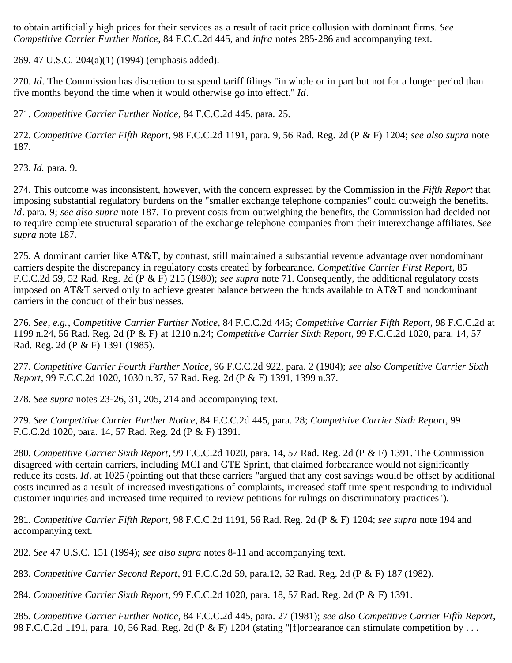to obtain artificially high prices for their services as a result of tacit price collusion with dominant firms. *See Competitive Carrier Further Notice*, 84 F.C.C.2d 445, and *infra* notes 285-286 and accompanying text.

<span id="page-52-0"></span>269. 47 U.S.C. 204(a)(1) (1994) (emphasis added).

<span id="page-52-1"></span>270. *Id*. The Commission has discretion to suspend tariff filings "in whole or in part but not for a longer period than five months beyond the time when it would otherwise go into effect." *Id*.

<span id="page-52-2"></span>271. *Competitive Carrier Further Notice*, 84 F.C.C.2d 445, para. 25.

<span id="page-52-3"></span>272. *Competitive Carrier Fifth Report*, 98 F.C.C.2d 1191, para. 9, 56 Rad. Reg. 2d (P & F) 1204; *see also supra* note 187.

<span id="page-52-4"></span>273. *Id.* para. 9.

<span id="page-52-5"></span>274. This outcome was inconsistent, however, with the concern expressed by the Commission in the *Fifth Report* that imposing substantial regulatory burdens on the "smaller exchange telephone companies" could outweigh the benefits. *Id*. para. 9; *see also supra* note 187. To prevent costs from outweighing the benefits, the Commission had decided not to require complete structural separation of the exchange telephone companies from their interexchange affiliates. *See supra* note 187.

<span id="page-52-6"></span>275. A dominant carrier like AT&T, by contrast, still maintained a substantial revenue advantage over nondominant carriers despite the discrepancy in regulatory costs created by forbearance. *Competitive Carrier First Report*, 85 F.C.C.2d 59, 52 Rad. Reg. 2d (P & F) 215 (1980); *see supra* note 71. Consequently, the additional regulatory costs imposed on AT&T served only to achieve greater balance between the funds available to AT&T and nondominant carriers in the conduct of their businesses.

<span id="page-52-7"></span>276. *See*, *e.g.*, *Competitive Carrier Further Notice*, 84 F.C.C.2d 445; *Competitive Carrier Fifth Report*, 98 F.C.C.2d at 1199 n.24, 56 Rad. Reg. 2d (P & F) at 1210 n.24; *Competitive Carrier Sixth Report*, 99 F.C.C.2d 1020, para. 14, 57 Rad. Reg. 2d (P & F) 1391 (1985).

<span id="page-52-8"></span>277. *Competitive Carrier Fourth Further Notice*, 96 F.C.C.2d 922, para. 2 (1984); *see also Competitive Carrier Sixth Report*, 99 F.C.C.2d 1020, 1030 n.37, 57 Rad. Reg. 2d (P & F) 1391, 1399 n.37.

<span id="page-52-9"></span>278. *See supra* notes 23-26, 31, 205, 214 and accompanying text.

<span id="page-52-10"></span>279. *See Competitive Carrier Further Notice*, 84 F.C.C.2d 445, para. 28; *Competitive Carrier Sixth Report*, 99 F.C.C.2d 1020, para. 14, 57 Rad. Reg. 2d (P & F) 1391.

<span id="page-52-11"></span>280. *Competitive Carrier Sixth Report*, 99 F.C.C.2d 1020, para. 14, 57 Rad. Reg. 2d (P & F) 1391. The Commission disagreed with certain carriers, including MCI and GTE Sprint, that claimed forbearance would not significantly reduce its costs. *Id*. at 1025 (pointing out that these carriers "argued that any cost savings would be offset by additional costs incurred as a result of increased investigations of complaints, increased staff time spent responding to individual customer inquiries and increased time required to review petitions for rulings on discriminatory practices").

<span id="page-52-12"></span>281. *Competitive Carrier Fifth Report*, 98 F.C.C.2d 1191, 56 Rad. Reg. 2d (P & F) 1204; *see supra* note 194 and accompanying text.

<span id="page-52-13"></span>282. *See* 47 U.S.C. 151 (1994); *see also supra* notes 8-11 and accompanying text.

<span id="page-52-14"></span>283. *Competitive Carrier Second Report*, 91 F.C.C.2d 59, para.12, 52 Rad. Reg. 2d (P & F) 187 (1982).

<span id="page-52-15"></span>284. *Competitive Carrier Sixth Report*, 99 F.C.C.2d 1020, para. 18, 57 Rad. Reg. 2d (P & F) 1391.

<span id="page-52-16"></span>285. *Competitive Carrier Further Notice*, 84 F.C.C.2d 445, para. 27 (1981); *see also Competitive Carrier Fifth Report*, 98 F.C.C.2d 1191, para. 10, 56 Rad. Reg. 2d (P & F) 1204 (stating "[f]orbearance can stimulate competition by ...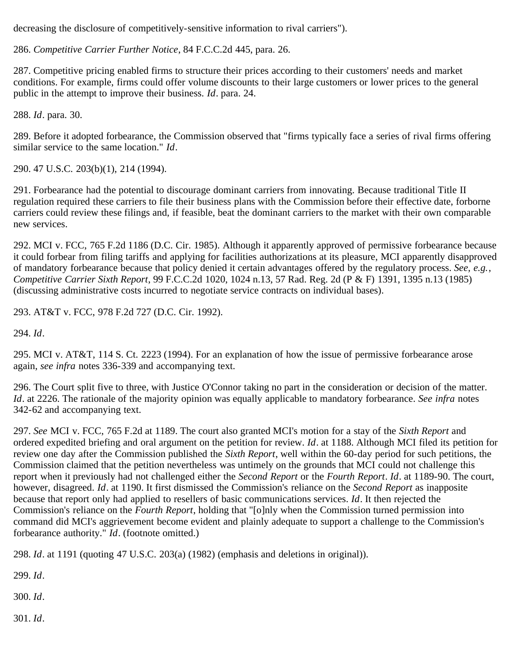decreasing the disclosure of competitively-sensitive information to rival carriers").

<span id="page-53-0"></span>286. *Competitive Carrier Further Notice*, 84 F.C.C.2d 445, para. 26.

<span id="page-53-1"></span>287. Competitive pricing enabled firms to structure their prices according to their customers' needs and market conditions. For example, firms could offer volume discounts to their large customers or lower prices to the general public in the attempt to improve their business. *Id*. para. 24.

<span id="page-53-2"></span>288. *Id*. para. 30.

<span id="page-53-3"></span>289. Before it adopted forbearance, the Commission observed that "firms typically face a series of rival firms offering similar service to the same location." *Id*.

<span id="page-53-4"></span>290. 47 U.S.C. 203(b)(1), 214 (1994).

<span id="page-53-5"></span>291. Forbearance had the potential to discourage dominant carriers from innovating. Because traditional Title II regulation required these carriers to file their business plans with the Commission before their effective date, forborne carriers could review these filings and, if feasible, beat the dominant carriers to the market with their own comparable new services.

<span id="page-53-6"></span>292. MCI v. FCC, 765 F.2d 1186 (D.C. Cir. 1985). Although it apparently approved of permissive forbearance because it could forbear from filing tariffs and applying for facilities authorizations at its pleasure, MCI apparently disapproved of mandatory forbearance because that policy denied it certain advantages offered by the regulatory process. *See, e.g.*, *Competitive Carrier Sixth Report*, 99 F.C.C.2d 1020, 1024 n.13, 57 Rad. Reg. 2d (P & F) 1391, 1395 n.13 (1985) (discussing administrative costs incurred to negotiate service contracts on individual bases).

<span id="page-53-7"></span>293. AT&T v. FCC, 978 F.2d 727 (D.C. Cir. 1992).

<span id="page-53-8"></span>294. *Id*.

<span id="page-53-9"></span>295. MCI v. AT&T, 114 S. Ct. 2223 (1994). For an explanation of how the issue of permissive forbearance arose again, *see infra* notes 336-339 and accompanying text.

<span id="page-53-10"></span>296. The Court split five to three, with Justice O'Connor taking no part in the consideration or decision of the matter. *Id*. at 2226. The rationale of the majority opinion was equally applicable to mandatory forbearance. *See infra* notes 342-62 and accompanying text.

<span id="page-53-11"></span>297. *See* MCI v. FCC, 765 F.2d at 1189. The court also granted MCI's motion for a stay of the *Sixth Report* and ordered expedited briefing and oral argument on the petition for review. *Id*. at 1188. Although MCI filed its petition for review one day after the Commission published the *Sixth Report*, well within the 60-day period for such petitions, the Commission claimed that the petition nevertheless was untimely on the grounds that MCI could not challenge this report when it previously had not challenged either the *Second Report* or the *Fourth Report*. *Id*. at 1189-90. The court, however, disagreed. *Id*. at 1190. It first dismissed the Commission's reliance on the *Second Report* as inapposite because that report only had applied to resellers of basic communications services. *Id*. It then rejected the Commission's reliance on the *Fourth Report*, holding that "[o]nly when the Commission turned permission into command did MCI's aggrievement become evident and plainly adequate to support a challenge to the Commission's forbearance authority." *Id*. (footnote omitted.)

<span id="page-53-12"></span>298. *Id*. at 1191 (quoting 47 U.S.C. 203(a) (1982) (emphasis and deletions in original)).

<span id="page-53-13"></span>299. *Id*.

<span id="page-53-14"></span>300. *Id*.

<span id="page-53-15"></span>301. *Id*.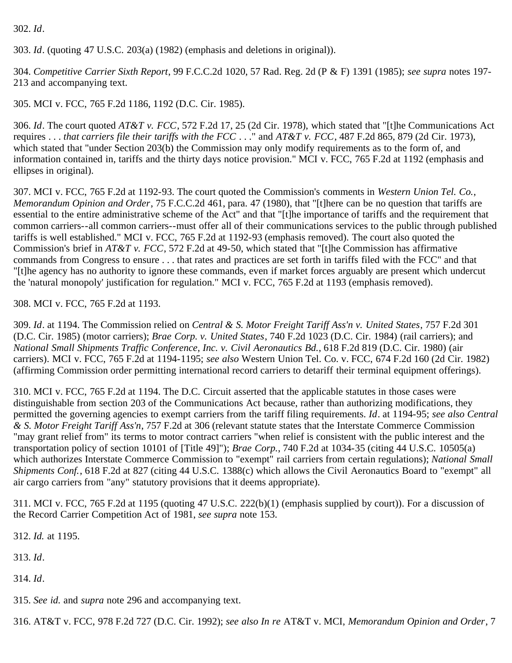#### <span id="page-54-0"></span>302. *Id*.

<span id="page-54-1"></span>303. *Id*. (quoting 47 U.S.C. 203(a) (1982) (emphasis and deletions in original)).

<span id="page-54-2"></span>304. *Competitive Carrier Sixth Report*, 99 F.C.C.2d 1020, 57 Rad. Reg. 2d (P & F) 1391 (1985); *see supra* notes 197- 213 and accompanying text.

<span id="page-54-3"></span>305. MCI v. FCC, 765 F.2d 1186, 1192 (D.C. Cir. 1985).

<span id="page-54-4"></span>306. *Id*. The court quoted *AT&T v. FCC*, 572 F.2d 17, 25 (2d Cir. 1978), which stated that "[t]he Communications Act requires . . . *that carriers file their tariffs with the FCC* . . ." and *AT&T v. FCC*, 487 F.2d 865, 879 (2d Cir. 1973), which stated that "under Section 203(b) the Commission may only modify requirements as to the form of, and information contained in, tariffs and the thirty days notice provision." MCI v. FCC, 765 F.2d at 1192 (emphasis and ellipses in original).

<span id="page-54-5"></span>307. MCI v. FCC, 765 F.2d at 1192-93. The court quoted the Commission's comments in *Western Union Tel. Co.*, *Memorandum Opinion and Order*, 75 F.C.C.2d 461, para. 47 (1980), that "[t]here can be no question that tariffs are essential to the entire administrative scheme of the Act" and that "[t]he importance of tariffs and the requirement that common carriers--all common carriers--must offer all of their communications services to the public through published tariffs is well established." MCI v. FCC, 765 F.2d at 1192-93 (emphasis removed). The court also quoted the Commission's brief in *AT&T v. FCC*, 572 F.2d at 49-50, which stated that "[t]he Commission has affirmative commands from Congress to ensure . . . that rates and practices are set forth in tariffs filed with the FCC" and that "[t]he agency has no authority to ignore these commands, even if market forces arguably are present which undercut the 'natural monopoly' justification for regulation." MCI v. FCC, 765 F.2d at 1193 (emphasis removed).

<span id="page-54-6"></span>308. MCI v. FCC, 765 F.2d at 1193.

<span id="page-54-7"></span>309. *Id*. at 1194. The Commission relied on *Central & S. Motor Freight Tariff Ass'n v. United States*, 757 F.2d 301 (D.C. Cir. 1985) (motor carriers); *Brae Corp. v. United States*, 740 F.2d 1023 (D.C. Cir. 1984) (rail carriers); and *National Small Shipments Traffic Conference, Inc. v. Civil Aeronautics Bd.*, 618 F.2d 819 (D.C. Cir. 1980) (air carriers). MCI v. FCC, 765 F.2d at 1194-1195; *see also* Western Union Tel. Co. v. FCC, 674 F.2d 160 (2d Cir. 1982) (affirming Commission order permitting international record carriers to detariff their terminal equipment offerings).

<span id="page-54-8"></span>310. MCI v. FCC, 765 F.2d at 1194. The D.C. Circuit asserted that the applicable statutes in those cases were distinguishable from section 203 of the Communications Act because, rather than authorizing modifications, they permitted the governing agencies to exempt carriers from the tariff filing requirements. *Id*. at 1194-95; *see also Central & S. Motor Freight Tariff Ass'n*, 757 F.2d at 306 (relevant statute states that the Interstate Commerce Commission "may grant relief from" its terms to motor contract carriers "when relief is consistent with the public interest and the transportation policy of section 10101 of [Title 49]"); *Brae Corp.*, 740 F.2d at 1034-35 (citing 44 U.S.C. 10505(a) which authorizes Interstate Commerce Commission to "exempt" rail carriers from certain regulations); *National Small Shipments Conf.*, 618 F.2d at 827 (citing 44 U.S.C. 1388(c) which allows the Civil Aeronautics Board to "exempt" all air cargo carriers from "any" statutory provisions that it deems appropriate).

<span id="page-54-9"></span>311. MCI v. FCC, 765 F.2d at 1195 (quoting 47 U.S.C. 222(b)(1) (emphasis supplied by court)). For a discussion of the Record Carrier Competition Act of 1981, *see supra* note 153.

<span id="page-54-10"></span>312. *Id.* at 1195.

<span id="page-54-11"></span>313. *Id*.

<span id="page-54-12"></span>314. *Id*.

<span id="page-54-13"></span>315. *See id.* and *supra* note 296 and accompanying text.

<span id="page-54-14"></span>316. AT&T v. FCC, 978 F.2d 727 (D.C. Cir. 1992); *see also In re* AT&T v. MCI, *Memorandum Opinion and Order*, 7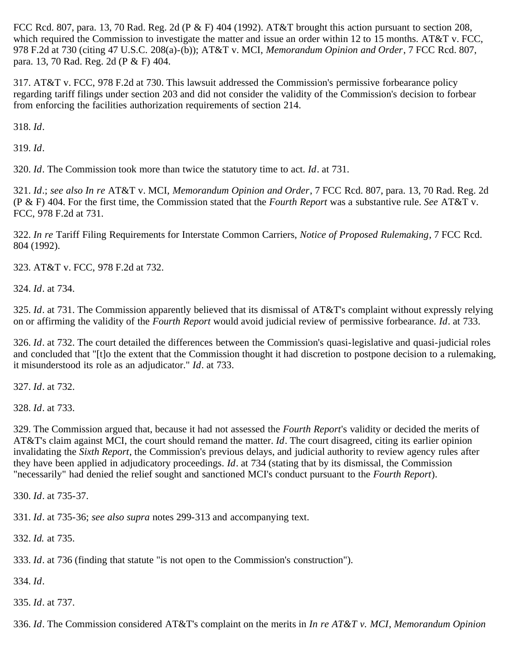FCC Rcd. 807, para. 13, 70 Rad. Reg. 2d (P & F) 404 (1992). AT&T brought this action pursuant to section 208, which required the Commission to investigate the matter and issue an order within 12 to 15 months. AT&T v. FCC, 978 F.2d at 730 (citing 47 U.S.C. 208(a)-(b)); AT&T v. MCI, *Memorandum Opinion and Order*, 7 FCC Rcd. 807, para. 13, 70 Rad. Reg. 2d (P & F) 404.

<span id="page-55-0"></span>317. AT&T v. FCC, 978 F.2d at 730. This lawsuit addressed the Commission's permissive forbearance policy regarding tariff filings under section 203 and did not consider the validity of the Commission's decision to forbear from enforcing the facilities authorization requirements of section 214.

<span id="page-55-1"></span>318. *Id*.

<span id="page-55-2"></span>319. *Id*.

<span id="page-55-3"></span>320. *Id*. The Commission took more than twice the statutory time to act. *Id*. at 731.

<span id="page-55-4"></span>321. *Id*.; *see also In re* AT&T v. MCI, *Memorandum Opinion and Order*, 7 FCC Rcd. 807, para. 13, 70 Rad. Reg. 2d (P & F) 404. For the first time, the Commission stated that the *Fourth Report* was a substantive rule. *See* AT&T v. FCC, 978 F.2d at 731.

<span id="page-55-5"></span>322. *In re* Tariff Filing Requirements for Interstate Common Carriers, *Notice of Proposed Rulemaking*, 7 FCC Rcd. 804 (1992).

<span id="page-55-6"></span>323. AT&T v. FCC, 978 F.2d at 732.

<span id="page-55-7"></span>324. *Id*. at 734.

<span id="page-55-8"></span>325. *Id*. at 731. The Commission apparently believed that its dismissal of AT&T's complaint without expressly relying on or affirming the validity of the *Fourth Report* would avoid judicial review of permissive forbearance. *Id*. at 733.

<span id="page-55-9"></span>326. *Id*. at 732. The court detailed the differences between the Commission's quasi-legislative and quasi-judicial roles and concluded that "[t]o the extent that the Commission thought it had discretion to postpone decision to a rulemaking, it misunderstood its role as an adjudicator." *Id*. at 733.

<span id="page-55-10"></span>327. *Id*. at 732.

<span id="page-55-11"></span>328. *Id*. at 733.

<span id="page-55-12"></span>329. The Commission argued that, because it had not assessed the *Fourth Report*'s validity or decided the merits of AT&T's claim against MCI, the court should remand the matter. *Id*. The court disagreed, citing its earlier opinion invalidating the *Sixth Report*, the Commission's previous delays, and judicial authority to review agency rules after they have been applied in adjudicatory proceedings. *Id*. at 734 (stating that by its dismissal, the Commission "necessarily" had denied the relief sought and sanctioned MCI's conduct pursuant to the *Fourth Report*).

<span id="page-55-13"></span>330. *Id*. at 735-37.

<span id="page-55-14"></span>331. *Id*. at 735-36; *see also supra* notes 299-313 and accompanying text.

<span id="page-55-15"></span>332. *Id.* at 735.

<span id="page-55-16"></span>333. *Id*. at 736 (finding that statute "is not open to the Commission's construction").

<span id="page-55-17"></span>334. *Id*.

<span id="page-55-18"></span>335. *Id*. at 737.

<span id="page-55-19"></span>336. *Id*. The Commission considered AT&T's complaint on the merits in *In re AT&T v. MCI*, *Memorandum Opinion*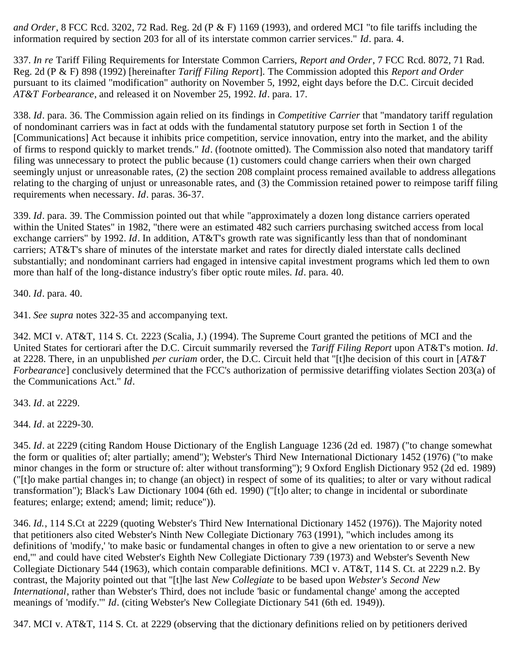*and Order*, 8 FCC Rcd. 3202, 72 Rad. Reg. 2d (P & F) 1169 (1993), and ordered MCI "to file tariffs including the information required by section 203 for all of its interstate common carrier services." *Id*. para. 4.

<span id="page-56-0"></span>337. *In re* Tariff Filing Requirements for Interstate Common Carriers, *Report and Order*, 7 FCC Rcd. 8072, 71 Rad. Reg. 2d (P & F) 898 (1992) [hereinafter *Tariff Filing Report*]. The Commission adopted this *Report and Order* pursuant to its claimed "modification" authority on November 5, 1992, eight days before the D.C. Circuit decided *AT&T Forbearance*, and released it on November 25, 1992. *Id*. para. 17.

<span id="page-56-1"></span>338. *Id*. para. 36. The Commission again relied on its findings in *Competitive Carrier* that "mandatory tariff regulation of nondominant carriers was in fact at odds with the fundamental statutory purpose set forth in Section 1 of the [Communications] Act because it inhibits price competition, service innovation, entry into the market, and the ability of firms to respond quickly to market trends." *Id*. (footnote omitted). The Commission also noted that mandatory tariff filing was unnecessary to protect the public because (1) customers could change carriers when their own charged seemingly unjust or unreasonable rates, (2) the section 208 complaint process remained available to address allegations relating to the charging of unjust or unreasonable rates, and (3) the Commission retained power to reimpose tariff filing requirements when necessary. *Id*. paras. 36-37.

<span id="page-56-2"></span>339. *Id*. para. 39. The Commission pointed out that while "approximately a dozen long distance carriers operated within the United States" in 1982, "there were an estimated 482 such carriers purchasing switched access from local exchange carriers" by 1992. *Id*. In addition, AT&T's growth rate was significantly less than that of nondominant carriers; AT&T's share of minutes of the interstate market and rates for directly dialed interstate calls declined substantially; and nondominant carriers had engaged in intensive capital investment programs which led them to own more than half of the long-distance industry's fiber optic route miles. *Id*. para. 40.

<span id="page-56-3"></span>340. *Id*. para. 40.

<span id="page-56-4"></span>341. *See supra* notes 322-35 and accompanying text.

<span id="page-56-5"></span>342. MCI v. AT&T, 114 S. Ct. 2223 (Scalia, J.) (1994). The Supreme Court granted the petitions of MCI and the United States for certiorari after the D.C. Circuit summarily reversed the *Tariff Filing Report* upon AT&T's motion. *Id*. at 2228. There, in an unpublished *per curiam* order, the D.C. Circuit held that "[t]he decision of this court in [*AT&T Forbearance*] conclusively determined that the FCC's authorization of permissive detariffing violates Section 203(a) of the Communications Act." *Id*.

<span id="page-56-6"></span>343. *Id*. at 2229.

<span id="page-56-7"></span>344. *Id*. at 2229-30.

<span id="page-56-8"></span>345. *Id*. at 2229 (citing Random House Dictionary of the English Language 1236 (2d ed. 1987) ("to change somewhat the form or qualities of; alter partially; amend"); Webster's Third New International Dictionary 1452 (1976) ("to make minor changes in the form or structure of: alter without transforming"); 9 Oxford English Dictionary 952 (2d ed. 1989) ("[t]o make partial changes in; to change (an object) in respect of some of its qualities; to alter or vary without radical transformation"); Black's Law Dictionary 1004 (6th ed. 1990) ("[t]o alter; to change in incidental or subordinate features; enlarge; extend; amend; limit; reduce")).

<span id="page-56-9"></span>346. *Id.*, 114 S.Ct at 2229 (quoting Webster's Third New International Dictionary 1452 (1976)). The Majority noted that petitioners also cited Webster's Ninth New Collegiate Dictionary 763 (1991), "which includes among its definitions of 'modify,' 'to make basic or fundamental changes in often to give a new orientation to or serve a new end,'" and could have cited Webster's Eighth New Collegiate Dictionary 739 (1973) and Webster's Seventh New Collegiate Dictionary 544 (1963), which contain comparable definitions. MCI v. AT&T, 114 S. Ct. at 2229 n.2. By contrast, the Majority pointed out that "[t]he last *New Collegiate* to be based upon *Webster's Second New International*, rather than Webster's Third, does not include 'basic or fundamental change' among the accepted meanings of 'modify.'" *Id*. (citing Webster's New Collegiate Dictionary 541 (6th ed. 1949)).

<span id="page-56-10"></span>347. MCI v. AT&T, 114 S. Ct. at 2229 (observing that the dictionary definitions relied on by petitioners derived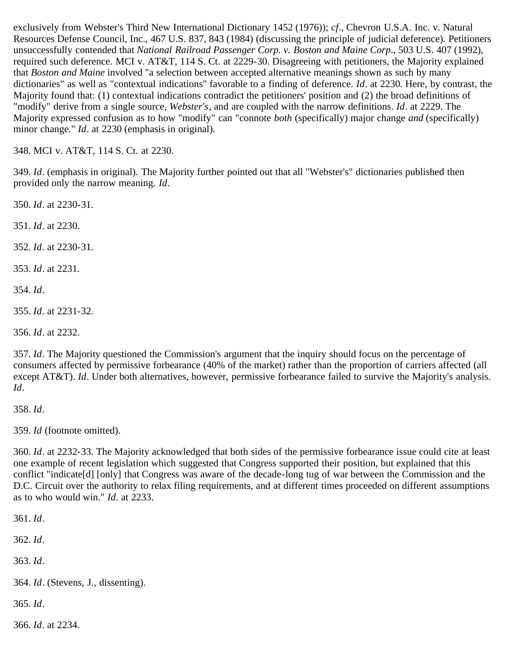exclusively from Webster's Third New International Dictionary 1452 (1976)); *cf*., Chevron U.S.A. Inc. v. Natural Resources Defense Council, Inc., 467 U.S. 837, 843 (1984) (discussing the principle of judicial deference). Petitioners unsuccessfully contended that *National Railroad Passenger Corp. v. Boston and Maine Corp*., 503 U.S. 407 (1992), required such deference. MCI v. AT&T, 114 S. Ct. at 2229-30. Disagreeing with petitioners, the Majority explained that *Boston and Maine* involved "a selection between accepted alternative meanings shown as such by many dictionaries" as well as "contextual indications" favorable to a finding of deference. *Id*. at 2230. Here, by contrast, the Majority found that: (1) contextual indications contradict the petitioners' position and (2) the broad definitions of "modify" derive from a single source, *Webster's*, and are coupled with the narrow definitions. *Id*. at 2229. The Majority expressed confusion as to how "modify" can "connote *both* (specifically) major change *and* (specifically) minor change." *Id*. at 2230 (emphasis in original).

<span id="page-57-0"></span>348. MCI v. AT&T, 114 S. Ct. at 2230.

<span id="page-57-1"></span>349. *Id*. (emphasis in original). The Majority further pointed out that all "Webster's" dictionaries published then provided only the narrow meaning. *Id*.

<span id="page-57-2"></span>350. *Id*. at 2230-31.

<span id="page-57-3"></span>351. *Id*. at 2230.

<span id="page-57-4"></span>352. *Id*. at 2230-31.

<span id="page-57-5"></span>353. *Id*. at 2231.

<span id="page-57-6"></span>354. *Id*.

<span id="page-57-7"></span>355. *Id*. at 2231-32.

<span id="page-57-8"></span>356. *Id*. at 2232.

<span id="page-57-9"></span>357. *Id*. The Majority questioned the Commission's argument that the inquiry should focus on the percentage of consumers affected by permissive forbearance (40% of the market) rather than the proportion of carriers affected (all except AT&T). *Id*. Under both alternatives, however, permissive forbearance failed to survive the Majority's analysis. *Id*.

<span id="page-57-10"></span>358. *Id*.

<span id="page-57-11"></span>359. *Id* (footnote omitted).

<span id="page-57-12"></span>360. *Id*. at 2232-33. The Majority acknowledged that both sides of the permissive forbearance issue could cite at least one example of recent legislation which suggested that Congress supported their position, but explained that this conflict "indicate[d] [only] that Congress was aware of the decade-long tug of war between the Commission and the D.C. Circuit over the authority to relax filing requirements, and at different times proceeded on different assumptions as to who would win." *Id*. at 2233.

<span id="page-57-13"></span>361. *Id*.

<span id="page-57-14"></span>362. *Id*.

<span id="page-57-15"></span>363. *Id*.

<span id="page-57-16"></span>364. *Id*. (Stevens, J., dissenting).

<span id="page-57-17"></span>365. *Id*.

<span id="page-57-18"></span>366. *Id*. at 2234.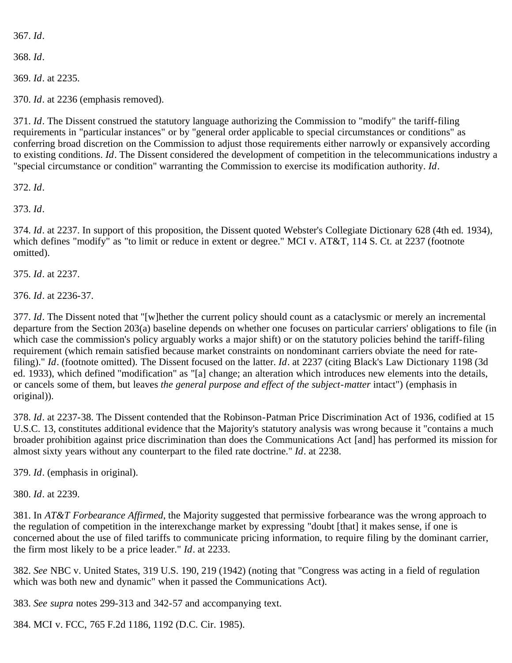<span id="page-58-0"></span>367. *Id*.

<span id="page-58-1"></span>368. *Id*.

<span id="page-58-2"></span>369. *Id*. at 2235.

<span id="page-58-3"></span>370. *Id*. at 2236 (emphasis removed).

<span id="page-58-4"></span>371. *Id*. The Dissent construed the statutory language authorizing the Commission to "modify" the tariff-filing requirements in "particular instances" or by "general order applicable to special circumstances or conditions" as conferring broad discretion on the Commission to adjust those requirements either narrowly or expansively according to existing conditions. *Id*. The Dissent considered the development of competition in the telecommunications industry a "special circumstance or condition" warranting the Commission to exercise its modification authority. *Id*.

<span id="page-58-5"></span>372. *Id*.

<span id="page-58-6"></span>373. *Id*.

<span id="page-58-7"></span>374. *Id*. at 2237. In support of this proposition, the Dissent quoted Webster's Collegiate Dictionary 628 (4th ed. 1934), which defines "modify" as "to limit or reduce in extent or degree." MCI v. AT&T, 114 S. Ct. at 2237 (footnote omitted).

<span id="page-58-8"></span>375. *Id*. at 2237.

<span id="page-58-9"></span>376. *Id*. at 2236-37.

<span id="page-58-10"></span>377. *Id*. The Dissent noted that "[w]hether the current policy should count as a cataclysmic or merely an incremental departure from the Section 203(a) baseline depends on whether one focuses on particular carriers' obligations to file (in which case the commission's policy arguably works a major shift) or on the statutory policies behind the tariff-filing requirement (which remain satisfied because market constraints on nondominant carriers obviate the need for ratefiling)." *Id*. (footnote omitted). The Dissent focused on the latter. *Id*. at 2237 (citing Black's Law Dictionary 1198 (3d ed. 1933), which defined "modification" as "[a] change; an alteration which introduces new elements into the details, or cancels some of them, but leaves *the general purpose and effect of the subject-matter* intact") (emphasis in original)).

<span id="page-58-11"></span>378. *Id*. at 2237-38. The Dissent contended that the Robinson-Patman Price Discrimination Act of 1936, codified at 15 U.S.C. 13, constitutes additional evidence that the Majority's statutory analysis was wrong because it "contains a much broader prohibition against price discrimination than does the Communications Act [and] has performed its mission for almost sixty years without any counterpart to the filed rate doctrine." *Id*. at 2238.

<span id="page-58-12"></span>379. *Id*. (emphasis in original).

<span id="page-58-13"></span>380. *Id*. at 2239.

<span id="page-58-14"></span>381. In *AT&T Forbearance Affirmed*, the Majority suggested that permissive forbearance was the wrong approach to the regulation of competition in the interexchange market by expressing "doubt [that] it makes sense, if one is concerned about the use of filed tariffs to communicate pricing information, to require filing by the dominant carrier, the firm most likely to be a price leader." *Id*. at 2233.

<span id="page-58-15"></span>382. *See* NBC v. United States, 319 U.S. 190, 219 (1942) (noting that "Congress was acting in a field of regulation which was both new and dynamic" when it passed the Communications Act).

<span id="page-58-16"></span>383. *See supra* notes 299-313 and 342-57 and accompanying text.

<span id="page-58-17"></span>384. MCI v. FCC, 765 F.2d 1186, 1192 (D.C. Cir. 1985).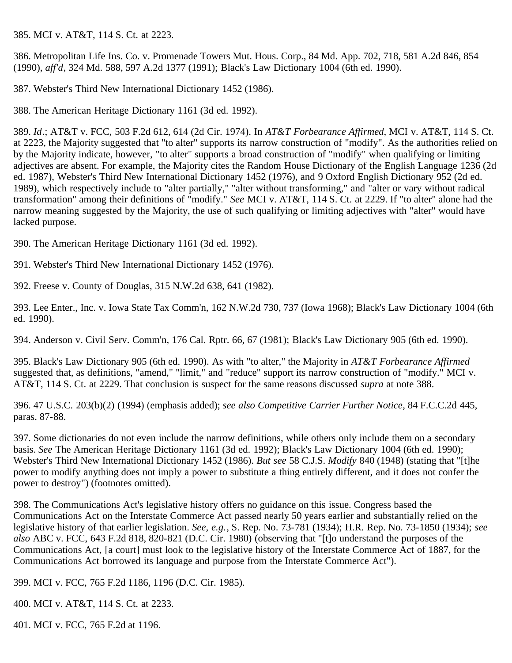<span id="page-59-0"></span>385. MCI v. AT&T, 114 S. Ct. at 2223.

<span id="page-59-1"></span>386. Metropolitan Life Ins. Co. v. Promenade Towers Mut. Hous. Corp., 84 Md. App. 702, 718, 581 A.2d 846, 854 (1990), *aff'd*, 324 Md. 588, 597 A.2d 1377 (1991); Black's Law Dictionary 1004 (6th ed. 1990).

<span id="page-59-2"></span>387. Webster's Third New International Dictionary 1452 (1986).

<span id="page-59-3"></span>388. The American Heritage Dictionary 1161 (3d ed. 1992).

<span id="page-59-4"></span>389. *Id*.; AT&T v. FCC, 503 F.2d 612, 614 (2d Cir. 1974). In *AT&T Forbearance Affirmed*, MCI v. AT&T, 114 S. Ct. at 2223, the Majority suggested that "to alter" supports its narrow construction of "modify". As the authorities relied on by the Majority indicate, however, "to alter" supports a broad construction of "modify" when qualifying or limiting adjectives are absent. For example, the Majority cites the Random House Dictionary of the English Language 1236 (2d ed. 1987), Webster's Third New International Dictionary 1452 (1976), and 9 Oxford English Dictionary 952 (2d ed. 1989), which respectively include to "alter partially," "alter without transforming," and "alter or vary without radical transformation" among their definitions of "modify." *See* MCI v. AT&T, 114 S. Ct. at 2229. If "to alter" alone had the narrow meaning suggested by the Majority, the use of such qualifying or limiting adjectives with "alter" would have lacked purpose.

<span id="page-59-5"></span>390. The American Heritage Dictionary 1161 (3d ed. 1992).

<span id="page-59-6"></span>391. Webster's Third New International Dictionary 1452 (1976).

<span id="page-59-7"></span>392. Freese v. County of Douglas, 315 N.W.2d 638, 641 (1982).

<span id="page-59-8"></span>393. Lee Enter., Inc. v. Iowa State Tax Comm'n, 162 N.W.2d 730, 737 (Iowa 1968); Black's Law Dictionary 1004 (6th ed. 1990).

<span id="page-59-9"></span>394. Anderson v. Civil Serv. Comm'n, 176 Cal. Rptr. 66, 67 (1981); Black's Law Dictionary 905 (6th ed. 1990).

<span id="page-59-10"></span>395. Black's Law Dictionary 905 (6th ed. 1990). As with "to alter," the Majority in *AT&T Forbearance Affirmed* suggested that, as definitions, "amend," "limit," and "reduce" support its narrow construction of "modify." MCI v. AT&T, 114 S. Ct. at 2229. That conclusion is suspect for the same reasons discussed *supra* at note 388.

<span id="page-59-11"></span>396. 47 U.S.C. 203(b)(2) (1994) (emphasis added); *see also Competitive Carrier Further Notice*, 84 F.C.C.2d 445, paras. 87-88.

<span id="page-59-12"></span>397. Some dictionaries do not even include the narrow definitions, while others only include them on a secondary basis. *See* The American Heritage Dictionary 1161 (3d ed. 1992); Black's Law Dictionary 1004 (6th ed. 1990); Webster's Third New International Dictionary 1452 (1986). *But see* 58 C.J.S. *Modify* 840 (1948) (stating that "[t]he power to modify anything does not imply a power to substitute a thing entirely different, and it does not confer the power to destroy") (footnotes omitted).

<span id="page-59-13"></span>398. The Communications Act's legislative history offers no guidance on this issue. Congress based the Communications Act on the Interstate Commerce Act passed nearly 50 years earlier and substantially relied on the legislative history of that earlier legislation. *See, e.g.*, S. Rep. No. 73-781 (1934); H.R. Rep. No. 73-1850 (1934); *see also* ABC v. FCC, 643 F.2d 818, 820-821 (D.C. Cir. 1980) (observing that "[t]o understand the purposes of the Communications Act, [a court] must look to the legislative history of the Interstate Commerce Act of 1887, for the Communications Act borrowed its language and purpose from the Interstate Commerce Act").

<span id="page-59-14"></span>399. MCI v. FCC, 765 F.2d 1186, 1196 (D.C. Cir. 1985).

<span id="page-59-15"></span>400. MCI v. AT&T, 114 S. Ct. at 2233.

<span id="page-59-16"></span>401. MCI v. FCC, 765 F.2d at 1196.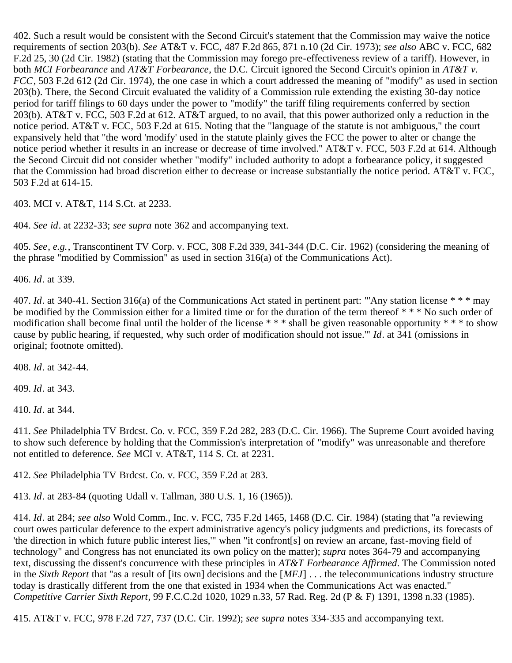<span id="page-60-0"></span>402. Such a result would be consistent with the Second Circuit's statement that the Commission may waive the notice requirements of section 203(b). *See* AT&T v. FCC, 487 F.2d 865, 871 n.10 (2d Cir. 1973); *see also* ABC v. FCC, 682 F.2d 25, 30 (2d Cir. 1982) (stating that the Commission may forego pre-effectiveness review of a tariff). However, in both *MCI Forbearance* and *AT&T Forbearance*, the D.C. Circuit ignored the Second Circuit's opinion in *AT&T v. FCC*, 503 F.2d 612 (2d Cir. 1974), the one case in which a court addressed the meaning of "modify" as used in section 203(b). There, the Second Circuit evaluated the validity of a Commission rule extending the existing 30-day notice period for tariff filings to 60 days under the power to "modify" the tariff filing requirements conferred by section 203(b). AT&T v. FCC, 503 F.2d at 612. AT&T argued, to no avail, that this power authorized only a reduction in the notice period. AT&T v. FCC, 503 F.2d at 615. Noting that the "language of the statute is not ambiguous," the court expansively held that "the word 'modify' used in the statute plainly gives the FCC the power to alter or change the notice period whether it results in an increase or decrease of time involved." AT&T v. FCC, 503 F.2d at 614. Although the Second Circuit did not consider whether "modify" included authority to adopt a forbearance policy, it suggested that the Commission had broad discretion either to decrease or increase substantially the notice period. AT&T v. FCC, 503 F.2d at 614-15.

<span id="page-60-1"></span>403. MCI v. AT&T, 114 S.Ct. at 2233.

<span id="page-60-2"></span>404. *See id*. at 2232-33; *see supra* note 362 and accompanying text.

<span id="page-60-3"></span>405. *See*, *e.g.*, Transcontinent TV Corp. v. FCC, 308 F.2d 339, 341-344 (D.C. Cir. 1962) (considering the meaning of the phrase "modified by Commission" as used in section 316(a) of the Communications Act).

<span id="page-60-4"></span>406. *Id*. at 339.

<span id="page-60-5"></span>407. *Id*. at 340-41. Section 316(a) of the Communications Act stated in pertinent part: "'Any station license \* \* \* may be modified by the Commission either for a limited time or for the duration of the term thereof \* \* \* No such order of modification shall become final until the holder of the license \* \* \* shall be given reasonable opportunity \* \* \* to show cause by public hearing, if requested, why such order of modification should not issue.'" *Id*. at 341 (omissions in original; footnote omitted).

<span id="page-60-6"></span>408. *Id*. at 342-44.

<span id="page-60-7"></span>409. *Id*. at 343.

<span id="page-60-8"></span>410. *Id*. at 344.

<span id="page-60-9"></span>411. *See* Philadelphia TV Brdcst. Co. v. FCC, 359 F.2d 282, 283 (D.C. Cir. 1966). The Supreme Court avoided having to show such deference by holding that the Commission's interpretation of "modify" was unreasonable and therefore not entitled to deference. *See* MCI v. AT&T, 114 S. Ct. at 2231.

<span id="page-60-10"></span>412. *See* Philadelphia TV Brdcst. Co. v. FCC, 359 F.2d at 283.

<span id="page-60-11"></span>413. *Id*. at 283-84 (quoting Udall v. Tallman, 380 U.S. 1, 16 (1965)).

<span id="page-60-12"></span>414. *Id*. at 284; *see also* Wold Comm., Inc. v. FCC, 735 F.2d 1465, 1468 (D.C. Cir. 1984) (stating that "a reviewing court owes particular deference to the expert administrative agency's policy judgments and predictions, its forecasts of 'the direction in which future public interest lies,'" when "it confront[s] on review an arcane, fast-moving field of technology" and Congress has not enunciated its own policy on the matter); *supra* notes 364-79 and accompanying text, discussing the dissent's concurrence with these principles in *AT&T Forbearance Affirmed*. The Commission noted in the *Sixth Report* that "as a result of [its own] decisions and the [*MFJ*] . . . the telecommunications industry structure today is drastically different from the one that existed in 1934 when the Communications Act was enacted." *Competitive Carrier Sixth Report*, 99 F.C.C.2d 1020, 1029 n.33, 57 Rad. Reg. 2d (P & F) 1391, 1398 n.33 (1985).

<span id="page-60-13"></span>415. AT&T v. FCC, 978 F.2d 727, 737 (D.C. Cir. 1992); *see supra* notes 334-335 and accompanying text.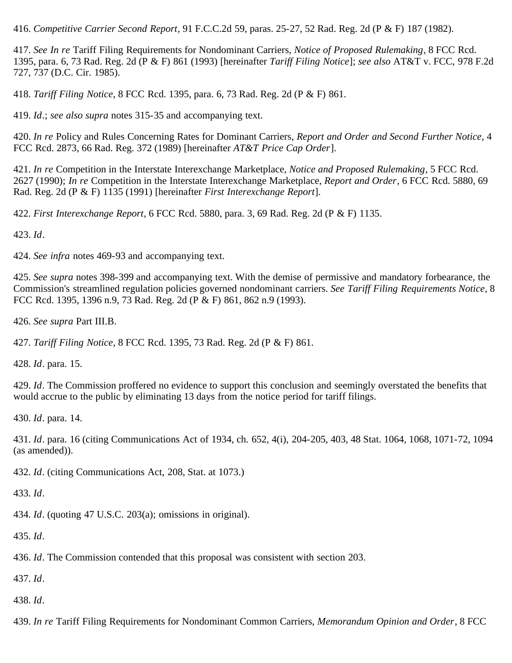<span id="page-61-0"></span>416. *Competitive Carrier Second Report*, 91 F.C.C.2d 59, paras. 25-27, 52 Rad. Reg. 2d (P & F) 187 (1982).

<span id="page-61-1"></span>417. *See In re* Tariff Filing Requirements for Nondominant Carriers, *Notice of Proposed Rulemaking*, 8 FCC Rcd. 1395, para. 6, 73 Rad. Reg. 2d (P & F) 861 (1993) [hereinafter *Tariff Filing Notice*]; *see also* AT&T v. FCC, 978 F.2d 727, 737 (D.C. Cir. 1985).

<span id="page-61-2"></span>418. *Tariff Filing Notice*, 8 FCC Rcd. 1395, para. 6, 73 Rad. Reg. 2d (P & F) 861.

<span id="page-61-3"></span>419. *Id*.; *see also supra* notes 315-35 and accompanying text.

<span id="page-61-4"></span>420. *In re* Policy and Rules Concerning Rates for Dominant Carriers, *Report and Order and Second Further Notice*, 4 FCC Rcd. 2873, 66 Rad. Reg. 372 (1989) [hereinafter *AT&T Price Cap Order*].

<span id="page-61-5"></span>421. *In re* Competition in the Interstate Interexchange Marketplace, *Notice and Proposed Rulemaking*, 5 FCC Rcd. 2627 (1990); *In re* Competition in the Interstate Interexchange Marketplace, *Report and Order*, 6 FCC Rcd. 5880, 69 Rad. Reg. 2d (P & F) 1135 (1991) [hereinafter *First Interexchange Report*].

<span id="page-61-6"></span>422. *First Interexchange Report*, 6 FCC Rcd. 5880, para. 3, 69 Rad. Reg. 2d (P & F) 1135.

<span id="page-61-7"></span>423. *Id*.

<span id="page-61-8"></span>424. *See infra* notes 469-93 and accompanying text.

<span id="page-61-9"></span>425. *See supra* notes 398-399 and accompanying text. With the demise of permissive and mandatory forbearance, the Commission's streamlined regulation policies governed nondominant carriers. *See Tariff Filing Requirements Notice*, 8 FCC Rcd. 1395, 1396 n.9, 73 Rad. Reg. 2d (P & F) 861, 862 n.9 (1993).

<span id="page-61-10"></span>426. *See supra* Part III.B.

<span id="page-61-11"></span>427. *Tariff Filing Notice*, 8 FCC Rcd. 1395, 73 Rad. Reg. 2d (P & F) 861.

<span id="page-61-12"></span>428. *Id*. para. 15.

<span id="page-61-13"></span>429. *Id*. The Commission proffered no evidence to support this conclusion and seemingly overstated the benefits that would accrue to the public by eliminating 13 days from the notice period for tariff filings.

<span id="page-61-14"></span>430. *Id*. para. 14.

<span id="page-61-15"></span>431. *Id*. para. 16 (citing Communications Act of 1934, ch. 652, 4(i), 204-205, 403, 48 Stat. 1064, 1068, 1071-72, 1094 (as amended)).

<span id="page-61-16"></span>432. *Id*. (citing Communications Act, 208, Stat. at 1073.)

<span id="page-61-17"></span>433. *Id*.

<span id="page-61-18"></span>434. *Id*. (quoting 47 U.S.C. 203(a); omissions in original).

<span id="page-61-19"></span>435. *Id*.

<span id="page-61-20"></span>436. *Id*. The Commission contended that this proposal was consistent with section 203.

<span id="page-61-21"></span>437. *Id*.

<span id="page-61-22"></span>438. *Id*.

<span id="page-61-23"></span>439. *In re* Tariff Filing Requirements for Nondominant Common Carriers, *Memorandum Opinion and Order*, 8 FCC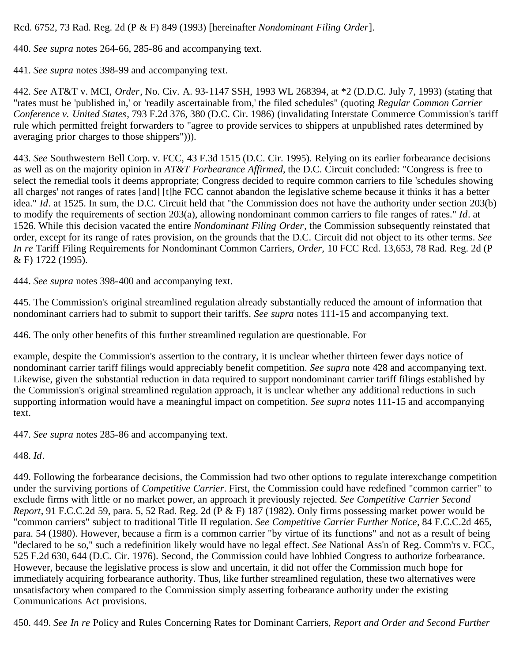Rcd. 6752, 73 Rad. Reg. 2d (P & F) 849 (1993) [hereinafter *Nondominant Filing Order*].

<span id="page-62-0"></span>440. *See supra* notes 264-66, 285-86 and accompanying text.

<span id="page-62-1"></span>441. *See supra* notes 398-99 and accompanying text.

<span id="page-62-2"></span>442. *See* AT&T v. MCI, *Order*, No. Civ. A. 93-1147 SSH, 1993 WL 268394, at \*2 (D.D.C. July 7, 1993) (stating that "rates must be 'published in,' or 'readily ascertainable from,' the filed schedules" (quoting *Regular Common Carrier Conference v. United States*, 793 F.2d 376, 380 (D.C. Cir. 1986) (invalidating Interstate Commerce Commission's tariff rule which permitted freight forwarders to "agree to provide services to shippers at unpublished rates determined by averaging prior charges to those shippers"))).

<span id="page-62-3"></span>443. *See* Southwestern Bell Corp. v. FCC, 43 F.3d 1515 (D.C. Cir. 1995). Relying on its earlier forbearance decisions as well as on the majority opinion in *AT&T Forbearance Affirmed*, the D.C. Circuit concluded: "Congress is free to select the remedial tools it deems appropriate; Congress decided to require common carriers to file 'schedules showing all charges' not ranges of rates [and] [t]he FCC cannot abandon the legislative scheme because it thinks it has a better idea." *Id*. at 1525. In sum, the D.C. Circuit held that "the Commission does not have the authority under section 203(b) to modify the requirements of section 203(a), allowing nondominant common carriers to file ranges of rates." *Id*. at 1526. While this decision vacated the entire *Nondominant Filing Order*, the Commission subsequently reinstated that order, except for its range of rates provision, on the grounds that the D.C. Circuit did not object to its other terms. *See In re* Tariff Filing Requirements for Nondominant Common Carriers, *Order,* 10 FCC Rcd. 13,653, 78 Rad. Reg. 2d (P & F) 1722 (1995).

<span id="page-62-4"></span>444. *See supra* notes 398-400 and accompanying text.

<span id="page-62-5"></span>445. The Commission's original streamlined regulation already substantially reduced the amount of information that nondominant carriers had to submit to support their tariffs. *See supra* notes 111-15 and accompanying text.

<span id="page-62-6"></span>446. The only other benefits of this further streamlined regulation are questionable. For

example, despite the Commission's assertion to the contrary, it is unclear whether thirteen fewer days notice of nondominant carrier tariff filings would appreciably benefit competition. *See supra* note 428 and accompanying text. Likewise, given the substantial reduction in data required to support nondominant carrier tariff filings established by the Commission's original streamlined regulation approach, it is unclear whether any additional reductions in such supporting information would have a meaningful impact on competition. *See supra* notes 111-15 and accompanying text.

<span id="page-62-7"></span>447. *See supra* notes 285-86 and accompanying text.

<span id="page-62-8"></span>448. *Id*.

<span id="page-62-9"></span>449. Following the forbearance decisions, the Commission had two other options to regulate interexchange competition under the surviving portions of *Competitive Carrier*. First, the Commission could have redefined "common carrier" to exclude firms with little or no market power, an approach it previously rejected. *See Competitive Carrier Second Report*, 91 F.C.C.2d 59, para. 5, 52 Rad. Reg. 2d (P & F) 187 (1982). Only firms possessing market power would be "common carriers" subject to traditional Title II regulation. *See Competitive Carrier Further Notice*, 84 F.C.C.2d 465, para. 54 (1980). However, because a firm is a common carrier "by virtue of its functions" and not as a result of being "declared to be so," such a redefinition likely would have no legal effect. *See* National Ass'n of Reg. Comm'rs v. FCC, 525 F.2d 630, 644 (D.C. Cir. 1976). Second, the Commission could have lobbied Congress to authorize forbearance. However, because the legislative process is slow and uncertain, it did not offer the Commission much hope for immediately acquiring forbearance authority. Thus, like further streamlined regulation, these two alternatives were unsatisfactory when compared to the Commission simply asserting forbearance authority under the existing Communications Act provisions.

<span id="page-62-10"></span>450. 449. *See In re* Policy and Rules Concerning Rates for Dominant Carriers, *Report and Order and Second Further*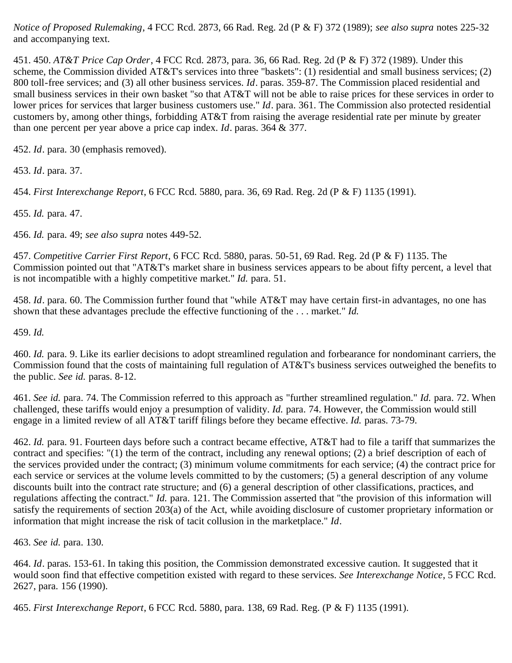*Notice of Proposed Rulemaking*, 4 FCC Rcd. 2873, 66 Rad. Reg. 2d (P & F) 372 (1989); *see also supra* notes 225-32 and accompanying text.

<span id="page-63-0"></span>451. 450. *AT&T Price Cap Order*, 4 FCC Rcd. 2873, para. 36, 66 Rad. Reg. 2d (P & F) 372 (1989). Under this scheme, the Commission divided AT&T's services into three "baskets": (1) residential and small business services; (2) 800 toll-free services; and (3) all other business services. *Id*. paras. 359-87. The Commission placed residential and small business services in their own basket "so that AT&T will not be able to raise prices for these services in order to lower prices for services that larger business customers use." *Id*. para. 361. The Commission also protected residential customers by, among other things, forbidding AT&T from raising the average residential rate per minute by greater than one percent per year above a price cap index. *Id*. paras. 364 & 377.

<span id="page-63-1"></span>452. *Id*. para. 30 (emphasis removed).

<span id="page-63-2"></span>453. *Id*. para. 37.

<span id="page-63-3"></span>454. *First Interexchange Report*, 6 FCC Rcd. 5880, para. 36, 69 Rad. Reg. 2d (P & F) 1135 (1991).

<span id="page-63-4"></span>455. *Id.* para. 47.

<span id="page-63-5"></span>456. *Id.* para. 49; *see also supra* notes 449-52.

<span id="page-63-6"></span>457. *Competitive Carrier First Report*, 6 FCC Rcd. 5880, paras. 50-51, 69 Rad. Reg. 2d (P & F) 1135. The Commission pointed out that "AT&T's market share in business services appears to be about fifty percent, a level that is not incompatible with a highly competitive market." *Id.* para. 51.

<span id="page-63-7"></span>458. *Id*. para. 60. The Commission further found that "while AT&T may have certain first-in advantages, no one has shown that these advantages preclude the effective functioning of the . . . market." *Id.*

<span id="page-63-8"></span>459. *Id.*

<span id="page-63-9"></span>460. *Id.* para. 9. Like its earlier decisions to adopt streamlined regulation and forbearance for nondominant carriers, the Commission found that the costs of maintaining full regulation of AT&T's business services outweighed the benefits to the public. *See id.* paras. 8-12.

<span id="page-63-10"></span>461. *See id.* para. 74. The Commission referred to this approach as "further streamlined regulation." *Id.* para. 72. When challenged, these tariffs would enjoy a presumption of validity. *Id.* para. 74. However, the Commission would still engage in a limited review of all AT&T tariff filings before they became effective. *Id.* paras. 73-79.

<span id="page-63-11"></span>462. *Id.* para. 91. Fourteen days before such a contract became effective, AT&T had to file a tariff that summarizes the contract and specifies: "(1) the term of the contract, including any renewal options; (2) a brief description of each of the services provided under the contract; (3) minimum volume commitments for each service; (4) the contract price for each service or services at the volume levels committed to by the customers; (5) a general description of any volume discounts built into the contract rate structure; and (6) a general description of other classifications, practices, and regulations affecting the contract." *Id.* para. 121. The Commission asserted that "the provision of this information will satisfy the requirements of section 203(a) of the Act, while avoiding disclosure of customer proprietary information or information that might increase the risk of tacit collusion in the marketplace." *Id*.

<span id="page-63-12"></span>463. *See id.* para. 130.

<span id="page-63-13"></span>464. *Id*. paras. 153-61. In taking this position, the Commission demonstrated excessive caution. It suggested that it would soon find that effective competition existed with regard to these services. *See Interexchange Notice*, 5 FCC Rcd. 2627, para. 156 (1990).

<span id="page-63-14"></span>465. *First Interexchange Report*, 6 FCC Rcd. 5880, para. 138, 69 Rad. Reg. (P & F) 1135 (1991).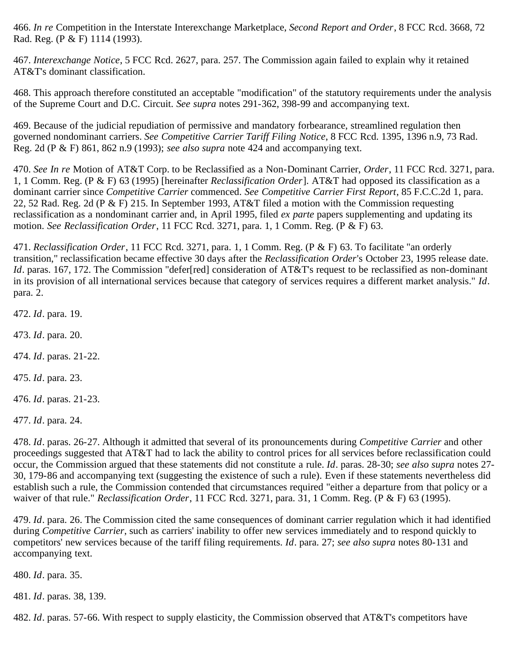<span id="page-64-0"></span>466. *In re* Competition in the Interstate Interexchange Marketplace, *Second Report and Order*, 8 FCC Rcd. 3668, 72 Rad. Reg. (P & F) 1114 (1993).

<span id="page-64-1"></span>467. *Interexchange Notice*, 5 FCC Rcd. 2627, para. 257. The Commission again failed to explain why it retained AT&T's dominant classification.

<span id="page-64-2"></span>468. This approach therefore constituted an acceptable "modification" of the statutory requirements under the analysis of the Supreme Court and D.C. Circuit. *See supra* notes 291-362, 398-99 and accompanying text.

<span id="page-64-3"></span>469. Because of the judicial repudiation of permissive and mandatory forbearance, streamlined regulation then governed nondominant carriers. *See Competitive Carrier Tariff Filing Notice*, 8 FCC Rcd. 1395, 1396 n.9, 73 Rad. Reg. 2d (P & F) 861, 862 n.9 (1993); *see also supra* note 424 and accompanying text.

<span id="page-64-4"></span>470. *See In re* Motion of AT&T Corp. to be Reclassified as a Non-Dominant Carrier, *Order*, 11 FCC Rcd. 3271, para. 1, 1 Comm. Reg. (P & F) 63 (1995) [hereinafter *Reclassification Order*]. AT&T had opposed its classification as a dominant carrier since *Competitive Carrier* commenced. *See Competitive Carrier First Report*, 85 F.C.C.2d 1, para. 22, 52 Rad. Reg. 2d (P & F) 215. In September 1993, AT&T filed a motion with the Commission requesting reclassification as a nondominant carrier and, in April 1995, filed *ex parte* papers supplementing and updating its motion. *See Reclassification Order*, 11 FCC Rcd. 3271, para. 1, 1 Comm. Reg. (P & F) 63.

<span id="page-64-5"></span>471. *Reclassification Order*, 11 FCC Rcd. 3271, para. 1, 1 Comm. Reg. (P & F) 63. To facilitate "an orderly transition," reclassification became effective 30 days after the *Reclassification Order*'s October 23, 1995 release date. *Id*. paras. 167, 172. The Commission "defer[red] consideration of AT&T's request to be reclassified as non-dominant in its provision of all international services because that category of services requires a different market analysis." *Id*. para. 2.

<span id="page-64-6"></span>472. *Id*. para. 19.

<span id="page-64-7"></span>473. *Id*. para. 20.

<span id="page-64-8"></span>474. *Id*. paras. 21-22.

<span id="page-64-9"></span>475. *Id*. para. 23.

<span id="page-64-10"></span>476. *Id*. paras. 21-23.

<span id="page-64-11"></span>477. *Id*. para. 24.

<span id="page-64-12"></span>478. *Id*. paras. 26-27. Although it admitted that several of its pronouncements during *Competitive Carrier* and other proceedings suggested that AT&T had to lack the ability to control prices for all services before reclassification could occur, the Commission argued that these statements did not constitute a rule. *Id*. paras. 28-30; *see also supra* notes 27- 30, 179-86 and accompanying text (suggesting the existence of such a rule). Even if these statements nevertheless did establish such a rule, the Commission contended that circumstances required "either a departure from that policy or a waiver of that rule." *Reclassification Order*, 11 FCC Rcd. 3271, para. 31, 1 Comm. Reg. (P & F) 63 (1995).

<span id="page-64-13"></span>479. *Id*. para. 26. The Commission cited the same consequences of dominant carrier regulation which it had identified during *Competitive Carrier*, such as carriers' inability to offer new services immediately and to respond quickly to competitors' new services because of the tariff filing requirements. *Id*. para. 27; *see also supra* notes 80-131 and accompanying text.

<span id="page-64-14"></span>480. *Id*. para. 35.

<span id="page-64-15"></span>481. *Id*. paras. 38, 139.

<span id="page-64-16"></span>482. *Id*. paras. 57-66. With respect to supply elasticity, the Commission observed that AT&T's competitors have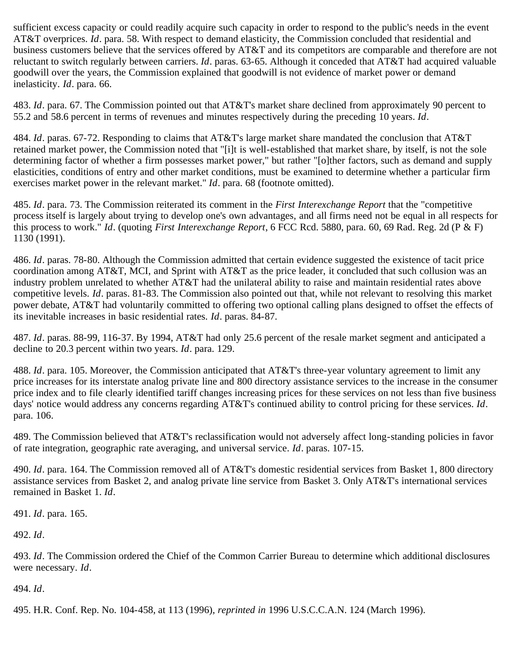sufficient excess capacity or could readily acquire such capacity in order to respond to the public's needs in the event AT&T overprices. *Id*. para. 58. With respect to demand elasticity, the Commission concluded that residential and business customers believe that the services offered by AT&T and its competitors are comparable and therefore are not reluctant to switch regularly between carriers. *Id*. paras. 63-65. Although it conceded that AT&T had acquired valuable goodwill over the years, the Commission explained that goodwill is not evidence of market power or demand inelasticity. *Id*. para. 66.

<span id="page-65-0"></span>483. *Id*. para. 67. The Commission pointed out that AT&T's market share declined from approximately 90 percent to 55.2 and 58.6 percent in terms of revenues and minutes respectively during the preceding 10 years. *Id*.

<span id="page-65-1"></span>484. *Id*. paras. 67-72. Responding to claims that AT&T's large market share mandated the conclusion that AT&T retained market power, the Commission noted that "[i]t is well-established that market share, by itself, is not the sole determining factor of whether a firm possesses market power," but rather "[o]ther factors, such as demand and supply elasticities, conditions of entry and other market conditions, must be examined to determine whether a particular firm exercises market power in the relevant market." *Id*. para. 68 (footnote omitted).

<span id="page-65-2"></span>485. *Id*. para. 73. The Commission reiterated its comment in the *First Interexchange Report* that the "competitive process itself is largely about trying to develop one's own advantages, and all firms need not be equal in all respects for this process to work." *Id*. (quoting *First Interexchange Report*, 6 FCC Rcd. 5880, para. 60, 69 Rad. Reg. 2d (P & F) 1130 (1991).

<span id="page-65-3"></span>486. *Id*. paras. 78-80. Although the Commission admitted that certain evidence suggested the existence of tacit price coordination among AT&T, MCI, and Sprint with AT&T as the price leader, it concluded that such collusion was an industry problem unrelated to whether AT&T had the unilateral ability to raise and maintain residential rates above competitive levels. *Id*. paras. 81-83. The Commission also pointed out that, while not relevant to resolving this market power debate, AT&T had voluntarily committed to offering two optional calling plans designed to offset the effects of its inevitable increases in basic residential rates. *Id*. paras. 84-87.

<span id="page-65-4"></span>487. *Id*. paras. 88-99, 116-37. By 1994, AT&T had only 25.6 percent of the resale market segment and anticipated a decline to 20.3 percent within two years. *Id*. para. 129.

<span id="page-65-5"></span>488. *Id*. para. 105. Moreover, the Commission anticipated that AT&T's three-year voluntary agreement to limit any price increases for its interstate analog private line and 800 directory assistance services to the increase in the consumer price index and to file clearly identified tariff changes increasing prices for these services on not less than five business days' notice would address any concerns regarding AT&T's continued ability to control pricing for these services. *Id*. para. 106.

<span id="page-65-6"></span>489. The Commission believed that AT&T's reclassification would not adversely affect long-standing policies in favor of rate integration, geographic rate averaging, and universal service. *Id*. paras. 107-15.

<span id="page-65-7"></span>490. *Id*. para. 164. The Commission removed all of AT&T's domestic residential services from Basket 1, 800 directory assistance services from Basket 2, and analog private line service from Basket 3. Only AT&T's international services remained in Basket 1. *Id*.

<span id="page-65-8"></span>491. *Id*. para. 165.

<span id="page-65-9"></span>492. *Id*.

<span id="page-65-10"></span>493. *Id*. The Commission ordered the Chief of the Common Carrier Bureau to determine which additional disclosures were necessary. *Id*.

<span id="page-65-11"></span>494. *Id*.

<span id="page-65-12"></span>495. H.R. Conf. Rep. No. 104-458, at 113 (1996), *reprinted in* 1996 U.S.C.C.A.N. 124 (March 1996).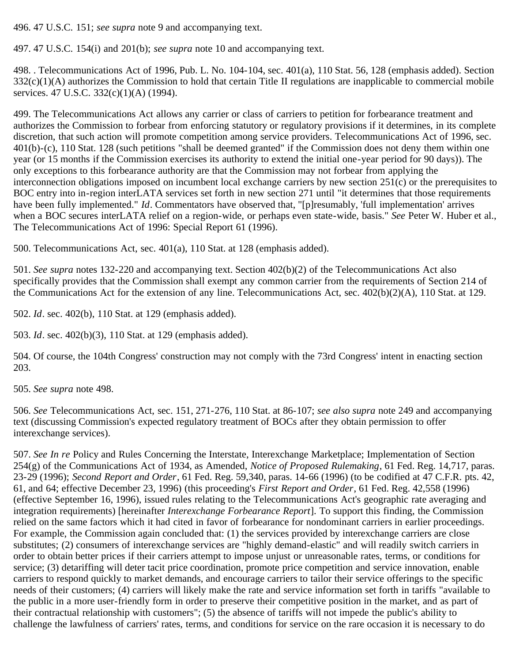<span id="page-66-0"></span>496. 47 U.S.C. 151; *see supra* note 9 and accompanying text.

<span id="page-66-1"></span>497. 47 U.S.C. 154(i) and 201(b); *see supra* note 10 and accompanying text.

<span id="page-66-2"></span>498. . Telecommunications Act of 1996, Pub. L. No. 104-104, sec. 401(a), 110 Stat. 56, 128 (emphasis added). Section  $332(c)(1)(A)$  authorizes the Commission to hold that certain Title II regulations are inapplicable to commercial mobile services. 47 U.S.C. 332(c)(1)(A) (1994).

<span id="page-66-3"></span>499. The Telecommunications Act allows any carrier or class of carriers to petition for forbearance treatment and authorizes the Commission to forbear from enforcing statutory or regulatory provisions if it determines, in its complete discretion, that such action will promote competition among service providers. Telecommunications Act of 1996, sec. 401(b)-(c), 110 Stat. 128 (such petitions "shall be deemed granted" if the Commission does not deny them within one year (or 15 months if the Commission exercises its authority to extend the initial one-year period for 90 days)). The only exceptions to this forbearance authority are that the Commission may not forbear from applying the interconnection obligations imposed on incumbent local exchange carriers by new section 251(c) or the prerequisites to BOC entry into in-region interLATA services set forth in new section 271 until "it determines that those requirements have been fully implemented." *Id*. Commentators have observed that, "[p]resumably, 'full implementation' arrives when a BOC secures interLATA relief on a region-wide, or perhaps even state-wide, basis." *See* Peter W. Huber et al., The Telecommunications Act of 1996: Special Report 61 (1996).

<span id="page-66-4"></span>500. Telecommunications Act, sec. 401(a), 110 Stat. at 128 (emphasis added).

<span id="page-66-5"></span>501. *See supra* notes 132-220 and accompanying text. Section 402(b)(2) of the Telecommunications Act also specifically provides that the Commission shall exempt any common carrier from the requirements of Section 214 of the Communications Act for the extension of any line. Telecommunications Act, sec.  $402(b)(2)(A)$ , 110 Stat. at 129.

<span id="page-66-6"></span>502. *Id*. sec. 402(b), 110 Stat. at 129 (emphasis added).

<span id="page-66-7"></span>503. *Id*. sec. 402(b)(3), 110 Stat. at 129 (emphasis added).

<span id="page-66-8"></span>504. Of course, the 104th Congress' construction may not comply with the 73rd Congress' intent in enacting section 203.

<span id="page-66-9"></span>505. *See supra* note 498.

<span id="page-66-10"></span>506. *See* Telecommunications Act, sec. 151, 271-276, 110 Stat. at 86-107; *see also supra* note 249 and accompanying text (discussing Commission's expected regulatory treatment of BOCs after they obtain permission to offer interexchange services).

<span id="page-66-11"></span>507. *See In re* Policy and Rules Concerning the Interstate, Interexchange Marketplace; Implementation of Section 254(g) of the Communications Act of 1934, as Amended, *Notice of Proposed Rulemaking*, 61 Fed. Reg. 14,717, paras. 23-29 (1996); *Second Report and Order*, 61 Fed. Reg. 59,340, paras. 14-66 (1996) (to be codified at 47 C.F.R. pts. 42, 61, and 64; effective December 23, 1996) (this proceeding's *First Report and Order*, 61 Fed. Reg. 42,558 (1996) (effective September 16, 1996), issued rules relating to the Telecommunications Act's geographic rate averaging and integration requirements) [hereinafter *Interexchange Forbearance Report*]. To support this finding, the Commission relied on the same factors which it had cited in favor of forbearance for nondominant carriers in earlier proceedings. For example, the Commission again concluded that: (1) the services provided by interexchange carriers are close substitutes; (2) consumers of interexchange services are "highly demand-elastic" and will readily switch carriers in order to obtain better prices if their carriers attempt to impose unjust or unreasonable rates, terms, or conditions for service; (3) detariffing will deter tacit price coordination, promote price competition and service innovation, enable carriers to respond quickly to market demands, and encourage carriers to tailor their service offerings to the specific needs of their customers; (4) carriers will likely make the rate and service information set forth in tariffs "available to the public in a more user-friendly form in order to preserve their competitive position in the market, and as part of their contractual relationship with customers"; (5) the absence of tariffs will not impede the public's ability to challenge the lawfulness of carriers' rates, terms, and conditions for service on the rare occasion it is necessary to do